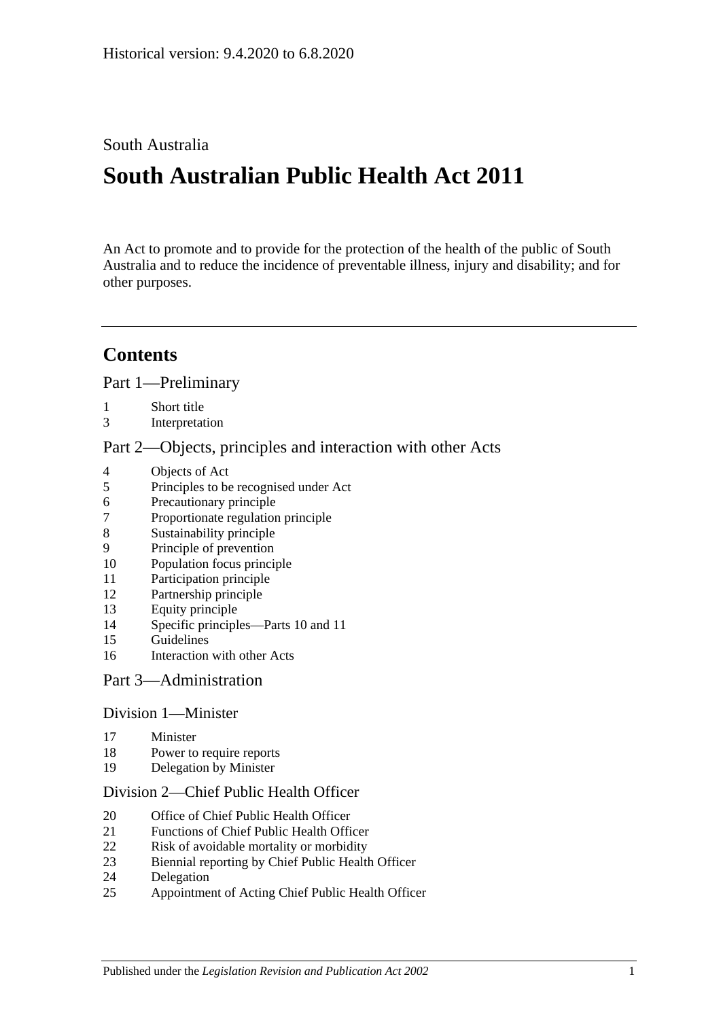# South Australia

# **South Australian Public Health Act 2011**

An Act to promote and to provide for the protection of the health of the public of South Australia and to reduce the incidence of preventable illness, injury and disability; and for other purposes.

# **Contents**

Part [1—Preliminary](#page-4-0)

- [Short title](#page-4-1)
- [Interpretation](#page-4-2)

#### Part [2—Objects, principles and interaction with other Acts](#page-7-0)

- [Objects of Act](#page-7-1)
- [Principles to be recognised under Act](#page-8-0)
- [Precautionary principle](#page-8-1)
- [Proportionate regulation principle](#page-8-2)
- [Sustainability principle](#page-8-3)
- [Principle of prevention](#page-8-4)
- [Population focus principle](#page-8-5)
- [Participation principle](#page-8-6)
- [Partnership principle](#page-9-0)
- [Equity principle](#page-9-1)
- [Specific principles—Parts](#page-9-2) 10 and [11](#page-9-2)
- [Guidelines](#page-10-0)
- [Interaction with other Acts](#page-11-0)

#### Part [3—Administration](#page-11-1)

## Division [1—Minister](#page-11-2)

- [Minister](#page-11-3)
- [Power to require reports](#page-12-0)
- [Delegation by Minister](#page-12-1)

#### Division [2—Chief Public Health Officer](#page-13-0)

- [Office of Chief Public Health Officer](#page-13-1)
- [Functions of Chief Public Health Officer](#page-13-2)
- [Risk of avoidable mortality or morbidity](#page-14-0)
- [Biennial reporting by Chief Public Health Officer](#page-14-1)
- [Delegation](#page-15-0)
- [Appointment of Acting Chief Public Health Officer](#page-15-1)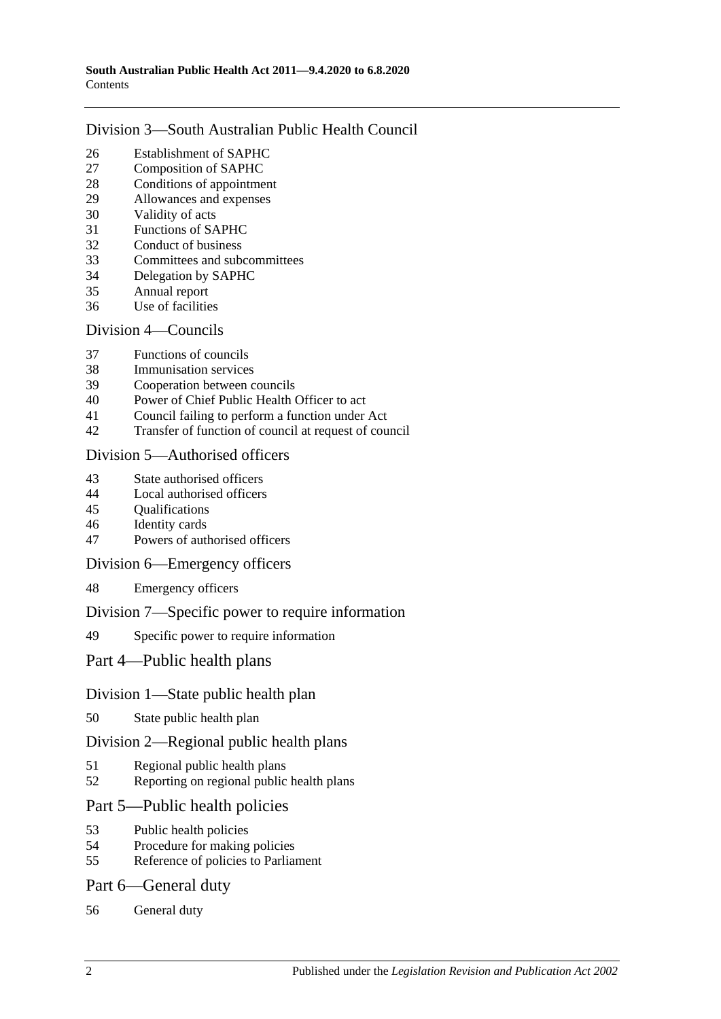## Division [3—South Australian Public Health Council](#page-15-2)

- [Establishment of SAPHC](#page-15-3)<br>27 Composition of SAPHC
- [Composition of SAPHC](#page-15-4)
- [Conditions of appointment](#page-16-0)
- [Allowances and expenses](#page-17-0)
- [Validity of acts](#page-17-1)
- [Functions of SAPHC](#page-17-2)
- [Conduct of business](#page-17-3)
- [Committees and subcommittees](#page-18-0)
- [Delegation by SAPHC](#page-18-1)
- [Annual report](#page-18-2)
- [Use of facilities](#page-19-0)

## Division [4—Councils](#page-19-1)

- [Functions of councils](#page-19-2)
- [Immunisation services](#page-19-3)
- [Cooperation between councils](#page-19-4)
- [Power of Chief Public Health Officer to act](#page-20-0)
- [Council failing to perform a function under Act](#page-20-1)
- [Transfer of function of council at request of council](#page-21-0)

## Division [5—Authorised officers](#page-22-0)

- [State authorised officers](#page-22-1)
- [Local authorised officers](#page-22-2)
- [Qualifications](#page-23-0)
- [Identity cards](#page-23-1)
- [Powers of authorised officers](#page-24-0)

## Division [6—Emergency officers](#page-25-0)

[Emergency officers](#page-25-1)

## Division [7—Specific power to require information](#page-26-0)

[Specific power to require information](#page-26-1)

# Part [4—Public health plans](#page-26-2)

# Division [1—State public health plan](#page-26-3)

[State public health plan](#page-26-4)

## Division [2—Regional public health plans](#page-28-0)

- [Regional public health plans](#page-28-1)
- [Reporting on regional public health plans](#page-30-0)

# Part [5—Public health policies](#page-31-0)

- [Public health policies](#page-31-1)
- [Procedure for making policies](#page-31-2)
- [Reference of policies to Parliament](#page-32-0)

## Part [6—General duty](#page-32-1)

[General duty](#page-32-2)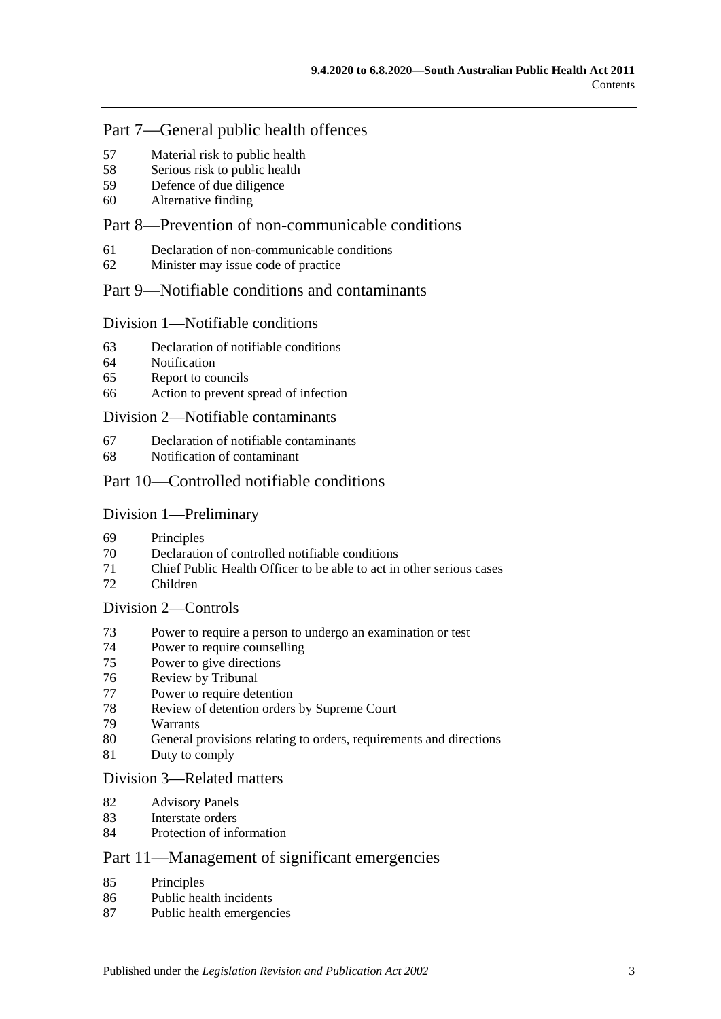## Part [7—General public health offences](#page-33-0)

- [Material risk to public health](#page-33-1)
- [Serious risk to public health](#page-33-2)
- [Defence of due diligence](#page-34-0)
- [Alternative finding](#page-34-1)

# Part [8—Prevention of non-communicable conditions](#page-35-0)

- [Declaration of non-communicable conditions](#page-35-1)
- [Minister may issue code of practice](#page-35-2)

## Part [9—Notifiable conditions and contaminants](#page-36-0)

#### Division [1—Notifiable conditions](#page-36-1)

- [Declaration of notifiable conditions](#page-36-2)
- [Notification](#page-36-3)
- [Report to councils](#page-37-0)
- [Action to prevent spread of infection](#page-38-0)

#### Division [2—Notifiable contaminants](#page-39-0)

- [Declaration of notifiable contaminants](#page-39-1)
- [Notification of contaminant](#page-39-2)

## Part [10—Controlled notifiable conditions](#page-41-0)

#### Division [1—Preliminary](#page-41-1)

- [Principles](#page-41-2)
- Declaration [of controlled notifiable conditions](#page-41-3)
- [Chief Public Health Officer to be able to act in other serious cases](#page-42-0)
- [Children](#page-43-0)

#### Division [2—Controls](#page-43-1)

- [Power to require a person to undergo an examination or test](#page-43-2)
- [Power to require counselling](#page-45-0)
- [Power to give directions](#page-46-0)
- [Review by Tribunal](#page-47-0)
- [Power to require detention](#page-48-0)
- [Review of detention orders by Supreme](#page-50-0) Court
- [Warrants](#page-51-0)
- [General provisions relating to orders, requirements and directions](#page-52-0)
- [Duty to comply](#page-52-1)

#### Division [3—Related matters](#page-52-2)

- [Advisory Panels](#page-52-3)
- [Interstate orders](#page-53-0)
- [Protection of information](#page-54-0)

# Part [11—Management of significant emergencies](#page-54-1)

- [Principles](#page-54-2)
- [Public health incidents](#page-54-3)
- [Public health emergencies](#page-54-4)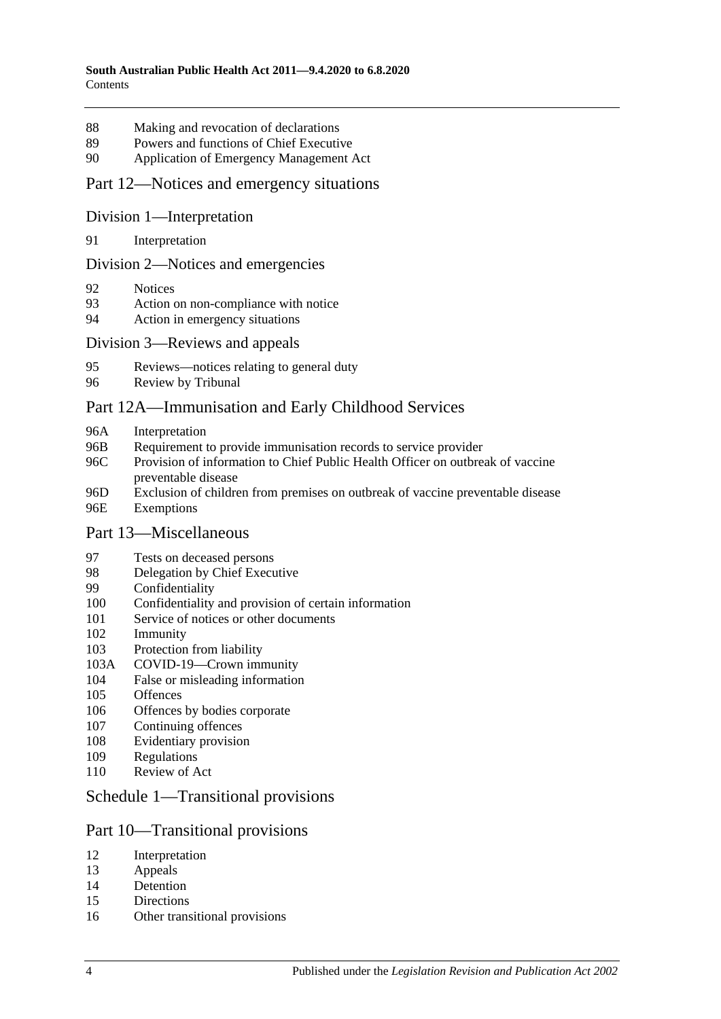- [Making and revocation of declarations](#page-55-0)
- [Powers and functions of Chief Executive](#page-55-1)
- [Application of Emergency Management Act](#page-55-2)

#### Part [12—Notices and emergency situations](#page-59-0)

#### Division [1—Interpretation](#page-59-1)

[Interpretation](#page-59-2)

#### Division [2—Notices and emergencies](#page-59-3)

- [Notices](#page-59-4)
- [Action on non-compliance with notice](#page-62-0)
- [Action in emergency situations](#page-62-1)

#### Division [3—Reviews and appeals](#page-63-0)

- [Reviews—notices relating to general duty](#page-63-1)
- [Review by Tribunal](#page-64-0)

#### [Part 12A—Immunisation and Early Childhood Services](#page-65-0)

- 96A [Interpretation](#page-65-1)
- 96B [Requirement to provide immunisation records to service provider](#page-66-0)
- 96C [Provision of information to Chief Public Health Officer on outbreak of vaccine](#page-67-0)  [preventable disease](#page-67-0)
- 96D [Exclusion of children from premises on outbreak of vaccine preventable disease](#page-67-1) 96E [Exemptions](#page-68-0)

#### Part [13—Miscellaneous](#page-69-0)

- [Tests on deceased persons](#page-69-1)
- [Delegation by Chief Executive](#page-69-2)
- [Confidentiality](#page-70-0)
- [Confidentiality and provision of certain information](#page-71-0)
- [Service of notices or other documents](#page-72-0)
- [Immunity](#page-73-0)
- [Protection from liability](#page-73-1)
- 103A [COVID-19—Crown immunity](#page-73-2)
- [False or misleading information](#page-74-0)
- [Offences](#page-74-1)
- [Offences by bodies corporate](#page-74-2)
- [Continuing offences](#page-75-0)
- [Evidentiary provision](#page-75-1)
- [Regulations](#page-75-2)
- [Review of Act](#page-78-0)

## Schedule [1—Transitional provisions](#page-78-1)

#### Part 10—Transitional provisions

- [Interpretation](#page-78-2)
- [Appeals](#page-78-3)
- [Detention](#page-79-0)
- [Directions](#page-79-1)
- [Other transitional provisions](#page-79-2)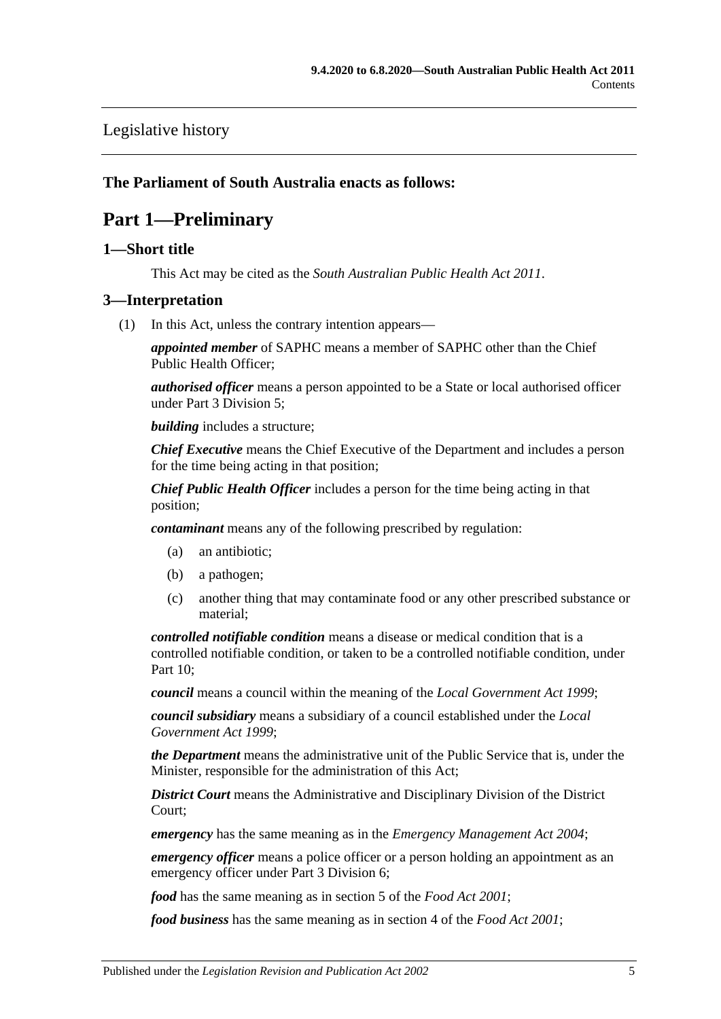# [Legislative history](#page-80-0)

## <span id="page-4-0"></span>**The Parliament of South Australia enacts as follows:**

# **Part 1—Preliminary**

## <span id="page-4-1"></span>**1—Short title**

This Act may be cited as the *South Australian Public Health Act 2011*.

#### <span id="page-4-3"></span><span id="page-4-2"></span>**3—Interpretation**

(1) In this Act, unless the contrary intention appears—

*appointed member* of SAPHC means a member of SAPHC other than the Chief Public Health Officer;

*authorised officer* means a person appointed to be a State or local authorised officer under Part [3 Division](#page-22-0) 5;

*building* includes a structure;

*Chief Executive* means the Chief Executive of the Department and includes a person for the time being acting in that position;

*Chief Public Health Officer* includes a person for the time being acting in that position;

*contaminant* means any of the following prescribed by regulation:

- (a) an antibiotic;
- (b) a pathogen;
- (c) another thing that may contaminate food or any other prescribed substance or material;

*controlled notifiable condition* means a disease or medical condition that is a controlled notifiable condition, or taken to be a controlled notifiable condition, under [Part](#page-41-0) 10;

*council* means a council within the meaning of the *[Local Government Act](http://www.legislation.sa.gov.au/index.aspx?action=legref&type=act&legtitle=Local%20Government%20Act%201999) 1999*;

*council subsidiary* means a subsidiary of a council established under the *[Local](http://www.legislation.sa.gov.au/index.aspx?action=legref&type=act&legtitle=Local%20Government%20Act%201999)  [Government Act](http://www.legislation.sa.gov.au/index.aspx?action=legref&type=act&legtitle=Local%20Government%20Act%201999) 1999*;

*the Department* means the administrative unit of the Public Service that is, under the Minister, responsible for the administration of this Act;

*District Court* means the Administrative and Disciplinary Division of the District Court;

*emergency* has the same meaning as in the *[Emergency Management Act](http://www.legislation.sa.gov.au/index.aspx?action=legref&type=act&legtitle=Emergency%20Management%20Act%202004) 2004*;

*emergency officer* means a police officer or a person holding an appointment as an emergency officer under Part [3 Division](#page-25-0) 6;

*food* has the same meaning as in section 5 of the *[Food Act](http://www.legislation.sa.gov.au/index.aspx?action=legref&type=act&legtitle=Food%20Act%202001) 2001*;

*food business* has the same meaning as in section 4 of the *[Food Act](http://www.legislation.sa.gov.au/index.aspx?action=legref&type=act&legtitle=Food%20Act%202001) 2001*;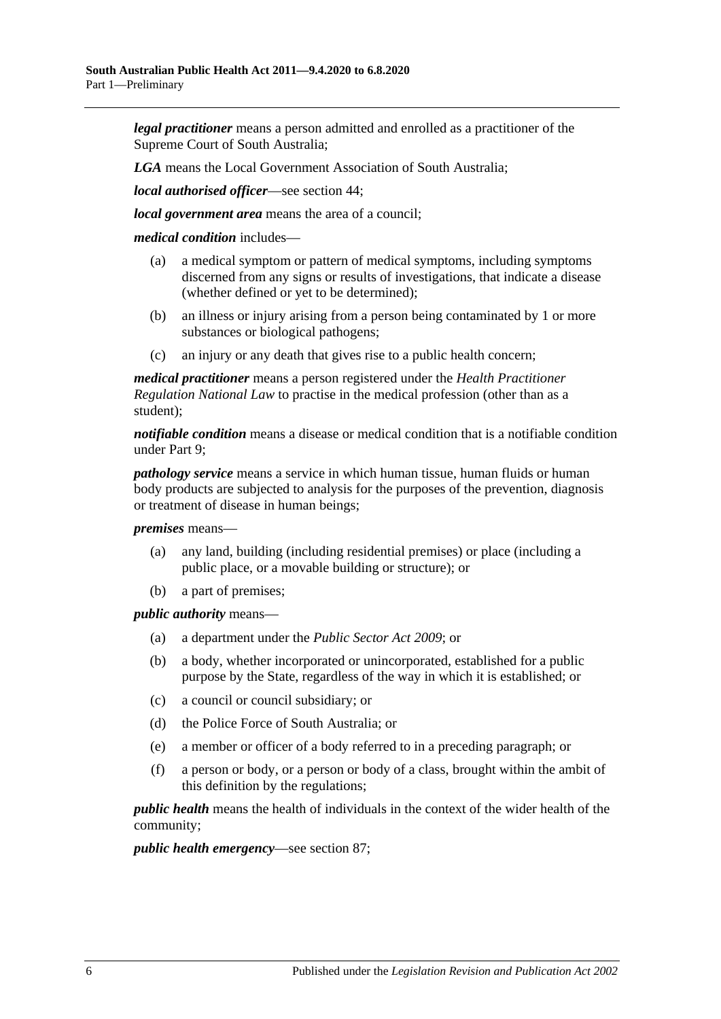*legal practitioner* means a person admitted and enrolled as a practitioner of the Supreme Court of South Australia;

*LGA* means the Local Government Association of South Australia;

*local authorised officer*—see [section](#page-22-2) 44;

*local government area* means the area of a council;

*medical condition* includes—

- (a) a medical symptom or pattern of medical symptoms, including symptoms discerned from any signs or results of investigations, that indicate a disease (whether defined or yet to be determined);
- (b) an illness or injury arising from a person being contaminated by 1 or more substances or biological pathogens;
- (c) an injury or any death that gives rise to a public health concern;

*medical practitioner* means a person registered under the *Health Practitioner Regulation National Law* to practise in the medical profession (other than as a student);

*notifiable condition* means a disease or medical condition that is a notifiable condition under [Part](#page-36-0) 9;

*pathology service* means a service in which human tissue, human fluids or human body products are subjected to analysis for the purposes of the prevention, diagnosis or treatment of disease in human beings;

*premises* means—

- (a) any land, building (including residential premises) or place (including a public place, or a movable building or structure); or
- (b) a part of premises;

*public authority* means—

- (a) a department under the *[Public Sector Act](http://www.legislation.sa.gov.au/index.aspx?action=legref&type=act&legtitle=Public%20Sector%20Act%202009) 2009*; or
- (b) a body, whether incorporated or unincorporated, established for a public purpose by the State, regardless of the way in which it is established; or
- (c) a council or council subsidiary; or
- (d) the Police Force of South Australia; or
- (e) a member or officer of a body referred to in a preceding paragraph; or
- (f) a person or body, or a person or body of a class, brought within the ambit of this definition by the regulations;

*public health* means the health of individuals in the context of the wider health of the community;

*public health emergency*—see [section](#page-54-4) 87;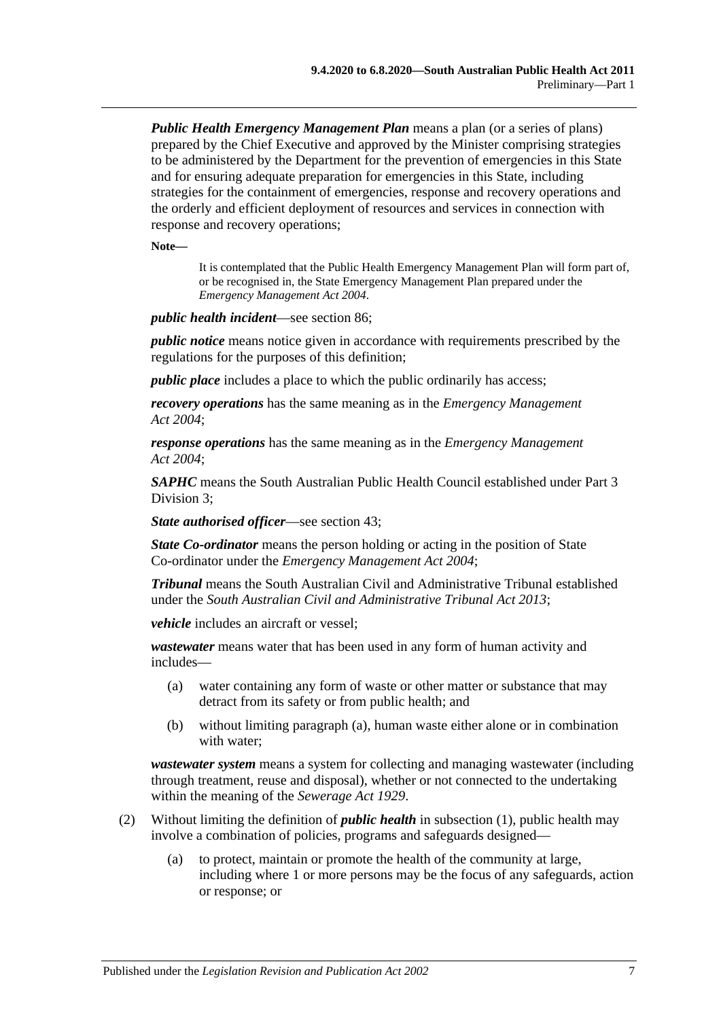*Public Health Emergency Management Plan* means a plan (or a series of plans) prepared by the Chief Executive and approved by the Minister comprising strategies to be administered by the Department for the prevention of emergencies in this State and for ensuring adequate preparation for emergencies in this State, including strategies for the containment of emergencies, response and recovery operations and the orderly and efficient deployment of resources and services in connection with response and recovery operations;

**Note—**

It is contemplated that the Public Health Emergency Management Plan will form part of, or be recognised in, the State Emergency Management Plan prepared under the *[Emergency Management Act](http://www.legislation.sa.gov.au/index.aspx?action=legref&type=act&legtitle=Emergency%20Management%20Act%202004) 2004*.

*public health incident*—see [section](#page-54-3) 86;

*public notice* means notice given in accordance with requirements prescribed by the regulations for the purposes of this definition;

*public place* includes a place to which the public ordinarily has access;

*recovery operations* has the same meaning as in the *[Emergency Management](http://www.legislation.sa.gov.au/index.aspx?action=legref&type=act&legtitle=Emergency%20Management%20Act%202004)  Act [2004](http://www.legislation.sa.gov.au/index.aspx?action=legref&type=act&legtitle=Emergency%20Management%20Act%202004)*;

*response operations* has the same meaning as in the *[Emergency Management](http://www.legislation.sa.gov.au/index.aspx?action=legref&type=act&legtitle=Emergency%20Management%20Act%202004)  Act [2004](http://www.legislation.sa.gov.au/index.aspx?action=legref&type=act&legtitle=Emergency%20Management%20Act%202004)*;

*SAPHC* means the South Australian Public Health Council established under [Part](#page-15-2) 3 [Division](#page-15-2) 3;

*State authorised officer*—see [section](#page-22-1) 43;

*State Co-ordinator* means the person holding or acting in the position of State Co-ordinator under the *[Emergency Management Act](http://www.legislation.sa.gov.au/index.aspx?action=legref&type=act&legtitle=Emergency%20Management%20Act%202004) 2004*;

*Tribunal* means the South Australian Civil and Administrative Tribunal established under the *[South Australian Civil and Administrative Tribunal Act](http://www.legislation.sa.gov.au/index.aspx?action=legref&type=act&legtitle=South%20Australian%20Civil%20and%20Administrative%20Tribunal%20Act%202013) 2013*;

*vehicle* includes an aircraft or vessel;

<span id="page-6-0"></span>*wastewater* means water that has been used in any form of human activity and includes—

- (a) water containing any form of waste or other matter or substance that may detract from its safety or from public health; and
- (b) without limiting [paragraph](#page-6-0) (a), human waste either alone or in combination with water;

*wastewater system* means a system for collecting and managing wastewater (including through treatment, reuse and disposal), whether or not connected to the undertaking within the meaning of the *[Sewerage Act](http://www.legislation.sa.gov.au/index.aspx?action=legref&type=act&legtitle=Sewerage%20Act%201929) 1929*.

- (2) Without limiting the definition of *public health* in [subsection](#page-4-3) (1), public health may involve a combination of policies, programs and safeguards designed—
	- (a) to protect, maintain or promote the health of the community at large, including where 1 or more persons may be the focus of any safeguards, action or response; or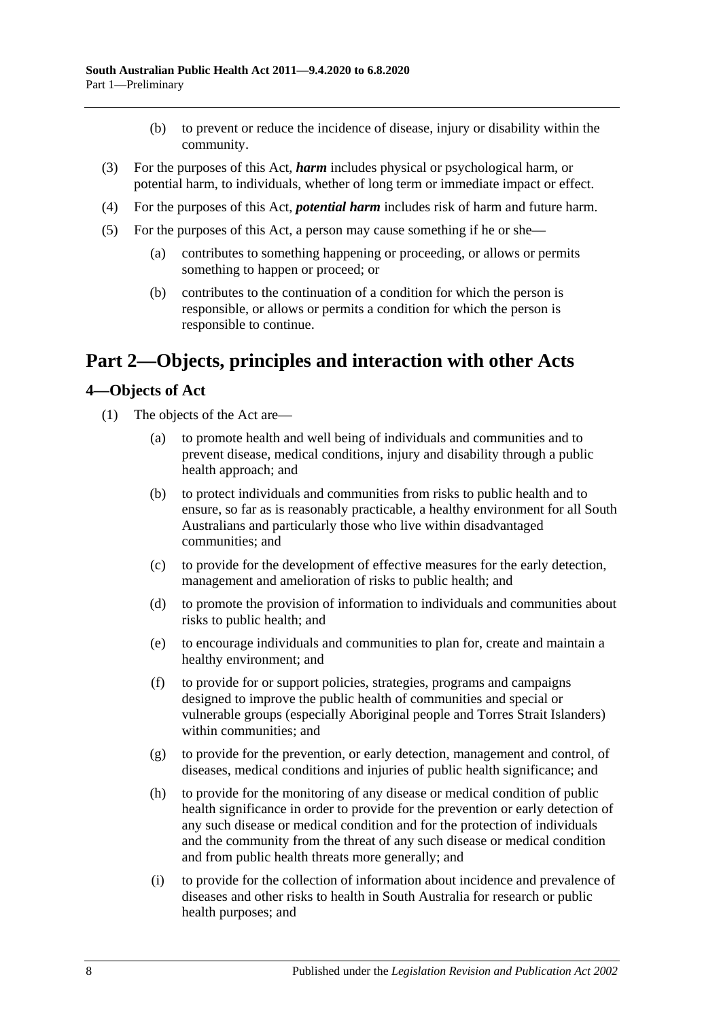- (b) to prevent or reduce the incidence of disease, injury or disability within the community.
- (3) For the purposes of this Act, *harm* includes physical or psychological harm, or potential harm, to individuals, whether of long term or immediate impact or effect.
- (4) For the purposes of this Act, *potential harm* includes risk of harm and future harm.
- (5) For the purposes of this Act, a person may cause something if he or she—
	- (a) contributes to something happening or proceeding, or allows or permits something to happen or proceed; or
	- (b) contributes to the continuation of a condition for which the person is responsible, or allows or permits a condition for which the person is responsible to continue.

# <span id="page-7-0"></span>**Part 2—Objects, principles and interaction with other Acts**

## <span id="page-7-1"></span>**4—Objects of Act**

- (1) The objects of the Act are—
	- (a) to promote health and well being of individuals and communities and to prevent disease, medical conditions, injury and disability through a public health approach; and
	- (b) to protect individuals and communities from risks to public health and to ensure, so far as is reasonably practicable, a healthy environment for all South Australians and particularly those who live within disadvantaged communities; and
	- (c) to provide for the development of effective measures for the early detection, management and amelioration of risks to public health; and
	- (d) to promote the provision of information to individuals and communities about risks to public health; and
	- (e) to encourage individuals and communities to plan for, create and maintain a healthy environment; and
	- (f) to provide for or support policies, strategies, programs and campaigns designed to improve the public health of communities and special or vulnerable groups (especially Aboriginal people and Torres Strait Islanders) within communities; and
	- (g) to provide for the prevention, or early detection, management and control, of diseases, medical conditions and injuries of public health significance; and
	- (h) to provide for the monitoring of any disease or medical condition of public health significance in order to provide for the prevention or early detection of any such disease or medical condition and for the protection of individuals and the community from the threat of any such disease or medical condition and from public health threats more generally; and
	- (i) to provide for the collection of information about incidence and prevalence of diseases and other risks to health in South Australia for research or public health purposes; and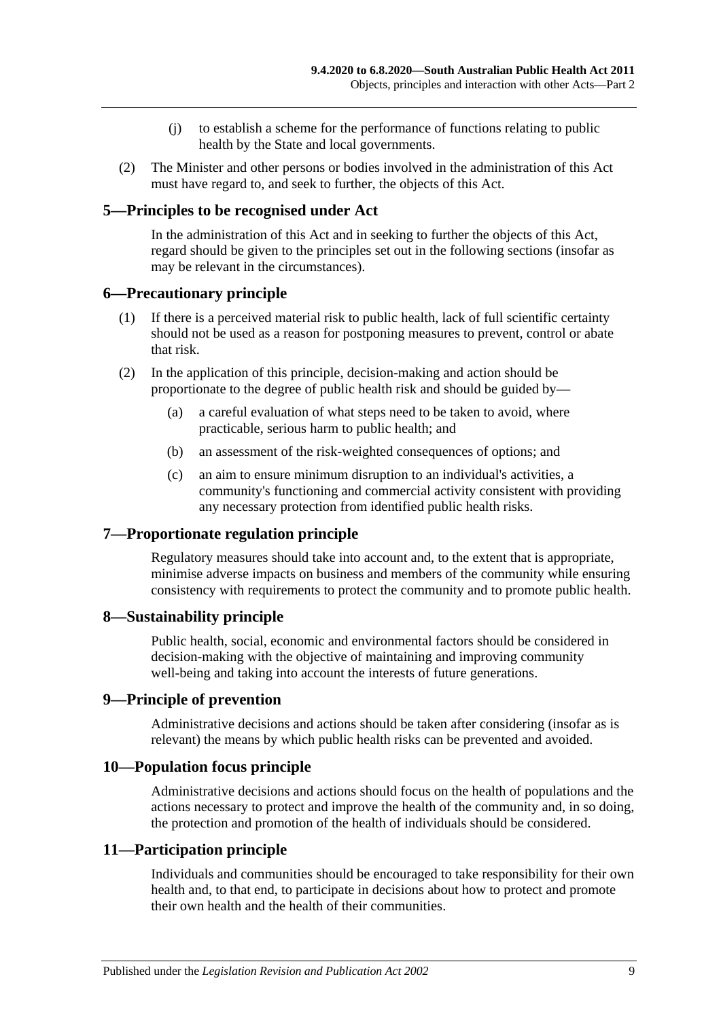- (j) to establish a scheme for the performance of functions relating to public health by the State and local governments.
- (2) The Minister and other persons or bodies involved in the administration of this Act must have regard to, and seek to further, the objects of this Act.

## <span id="page-8-0"></span>**5—Principles to be recognised under Act**

In the administration of this Act and in seeking to further the objects of this Act, regard should be given to the principles set out in the following sections (insofar as may be relevant in the circumstances).

#### <span id="page-8-1"></span>**6—Precautionary principle**

- (1) If there is a perceived material risk to public health, lack of full scientific certainty should not be used as a reason for postponing measures to prevent, control or abate that risk.
- (2) In the application of this principle, decision-making and action should be proportionate to the degree of public health risk and should be guided by—
	- (a) a careful evaluation of what steps need to be taken to avoid, where practicable, serious harm to public health; and
	- (b) an assessment of the risk-weighted consequences of options; and
	- (c) an aim to ensure minimum disruption to an individual's activities, a community's functioning and commercial activity consistent with providing any necessary protection from identified public health risks.

#### <span id="page-8-2"></span>**7—Proportionate regulation principle**

Regulatory measures should take into account and, to the extent that is appropriate, minimise adverse impacts on business and members of the community while ensuring consistency with requirements to protect the community and to promote public health.

#### <span id="page-8-3"></span>**8—Sustainability principle**

Public health, social, economic and environmental factors should be considered in decision-making with the objective of maintaining and improving community well-being and taking into account the interests of future generations.

#### <span id="page-8-4"></span>**9—Principle of prevention**

Administrative decisions and actions should be taken after considering (insofar as is relevant) the means by which public health risks can be prevented and avoided.

#### <span id="page-8-5"></span>**10—Population focus principle**

Administrative decisions and actions should focus on the health of populations and the actions necessary to protect and improve the health of the community and, in so doing, the protection and promotion of the health of individuals should be considered.

#### <span id="page-8-6"></span>**11—Participation principle**

Individuals and communities should be encouraged to take responsibility for their own health and, to that end, to participate in decisions about how to protect and promote their own health and the health of their communities.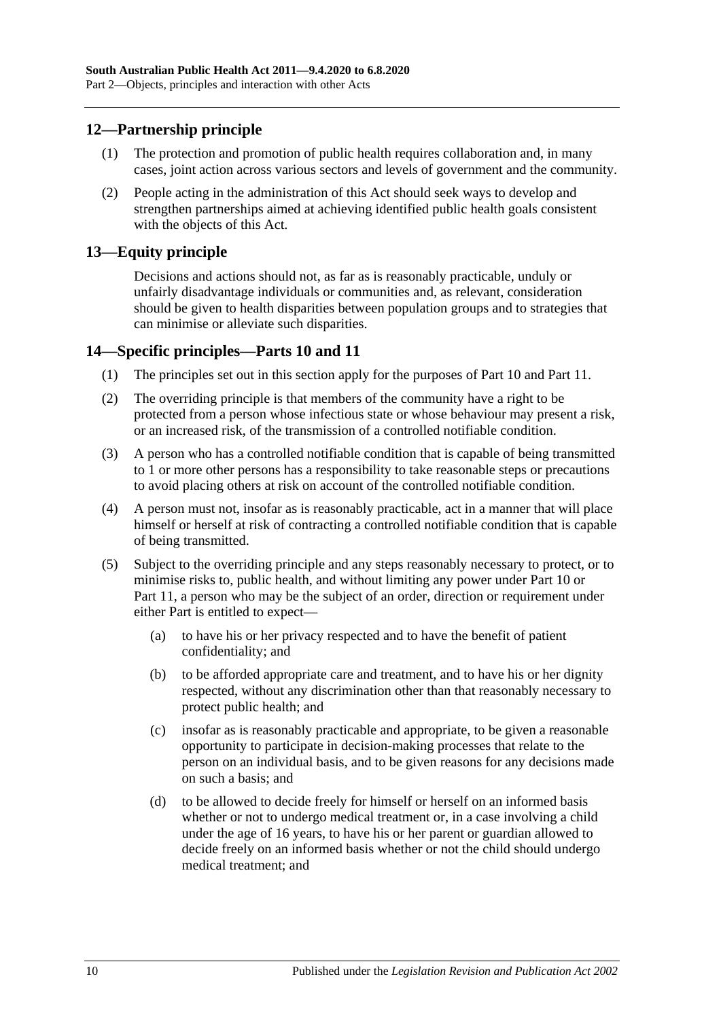## <span id="page-9-0"></span>**12—Partnership principle**

- (1) The protection and promotion of public health requires collaboration and, in many cases, joint action across various sectors and levels of government and the community.
- (2) People acting in the administration of this Act should seek ways to develop and strengthen partnerships aimed at achieving identified public health goals consistent with the objects of this Act.

## <span id="page-9-1"></span>**13—Equity principle**

Decisions and actions should not, as far as is reasonably practicable, unduly or unfairly disadvantage individuals or communities and, as relevant, consideration should be given to health disparities between population groups and to strategies that can minimise or alleviate such disparities.

## <span id="page-9-2"></span>**14—Specific principles[—Parts](#page-41-0) 10 and [11](#page-54-1)**

- (1) The principles set out in this section apply for the purposes of [Part](#page-41-0) 10 and [Part](#page-54-1) 11.
- (2) The overriding principle is that members of the community have a right to be protected from a person whose infectious state or whose behaviour may present a risk, or an increased risk, of the transmission of a controlled notifiable condition.
- (3) A person who has a controlled notifiable condition that is capable of being transmitted to 1 or more other persons has a responsibility to take reasonable steps or precautions to avoid placing others at risk on account of the controlled notifiable condition.
- (4) A person must not, insofar as is reasonably practicable, act in a manner that will place himself or herself at risk of contracting a controlled notifiable condition that is capable of being transmitted.
- (5) Subject to the overriding principle and any steps reasonably necessary to protect, or to minimise risks to, public health, and without limiting any power under [Part](#page-41-0) 10 or [Part](#page-54-1) 11, a person who may be the subject of an order, direction or requirement under either Part is entitled to expect—
	- (a) to have his or her privacy respected and to have the benefit of patient confidentiality; and
	- (b) to be afforded appropriate care and treatment, and to have his or her dignity respected, without any discrimination other than that reasonably necessary to protect public health; and
	- (c) insofar as is reasonably practicable and appropriate, to be given a reasonable opportunity to participate in decision-making processes that relate to the person on an individual basis, and to be given reasons for any decisions made on such a basis; and
	- (d) to be allowed to decide freely for himself or herself on an informed basis whether or not to undergo medical treatment or, in a case involving a child under the age of 16 years, to have his or her parent or guardian allowed to decide freely on an informed basis whether or not the child should undergo medical treatment; and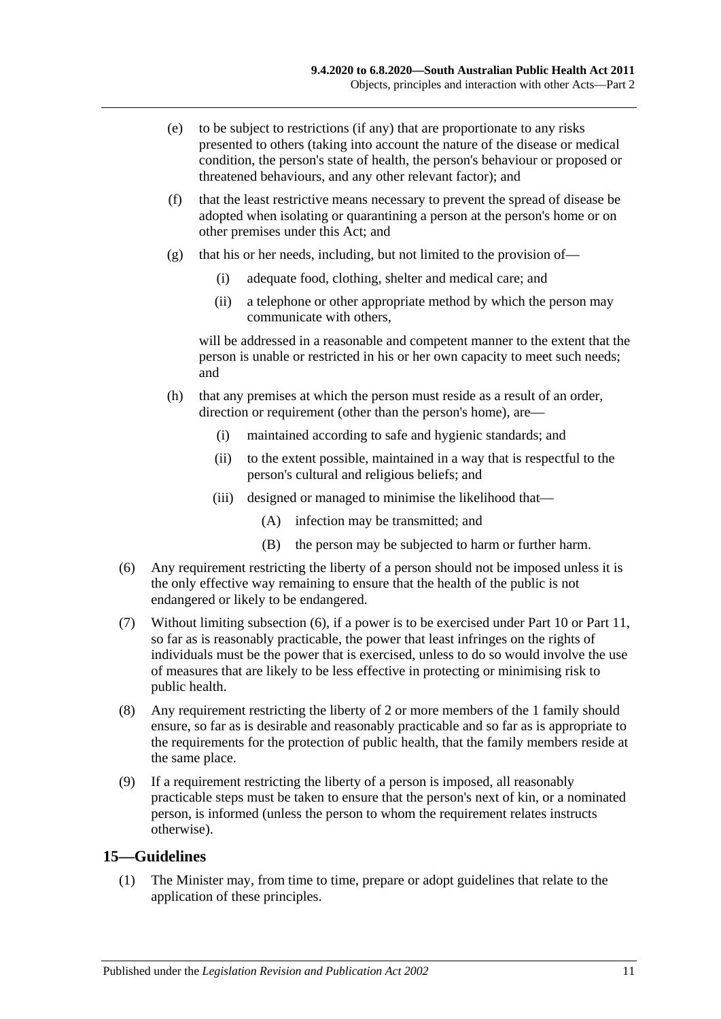- (e) to be subject to restrictions (if any) that are proportionate to any risks presented to others (taking into account the nature of the disease or medical condition, the person's state of health, the person's behaviour or proposed or threatened behaviours, and any other relevant factor); and
- (f) that the least restrictive means necessary to prevent the spread of disease be adopted when isolating or quarantining a person at the person's home or on other premises under this Act; and
- (g) that his or her needs, including, but not limited to the provision of—
	- (i) adequate food, clothing, shelter and medical care; and
	- (ii) a telephone or other appropriate method by which the person may communicate with others,

will be addressed in a reasonable and competent manner to the extent that the person is unable or restricted in his or her own capacity to meet such needs; and

- (h) that any premises at which the person must reside as a result of an order, direction or requirement (other than the person's home), are—
	- (i) maintained according to safe and hygienic standards; and
	- (ii) to the extent possible, maintained in a way that is respectful to the person's cultural and religious beliefs; and
	- (iii) designed or managed to minimise the likelihood that—
		- (A) infection may be transmitted; and
		- (B) the person may be subjected to harm or further harm.
- <span id="page-10-1"></span>(6) Any requirement restricting the liberty of a person should not be imposed unless it is the only effective way remaining to ensure that the health of the public is not endangered or likely to be endangered.
- (7) Without limiting [subsection](#page-10-1) (6), if a power is to be exercised under [Part](#page-41-0) 10 or [Part](#page-54-1) 11, so far as is reasonably practicable, the power that least infringes on the rights of individuals must be the power that is exercised, unless to do so would involve the use of measures that are likely to be less effective in protecting or minimising risk to public health.
- (8) Any requirement restricting the liberty of 2 or more members of the 1 family should ensure, so far as is desirable and reasonably practicable and so far as is appropriate to the requirements for the protection of public health, that the family members reside at the same place.
- (9) If a requirement restricting the liberty of a person is imposed, all reasonably practicable steps must be taken to ensure that the person's next of kin, or a nominated person, is informed (unless the person to whom the requirement relates instructs otherwise).

## <span id="page-10-2"></span><span id="page-10-0"></span>**15—Guidelines**

(1) The Minister may, from time to time, prepare or adopt guidelines that relate to the application of these principles.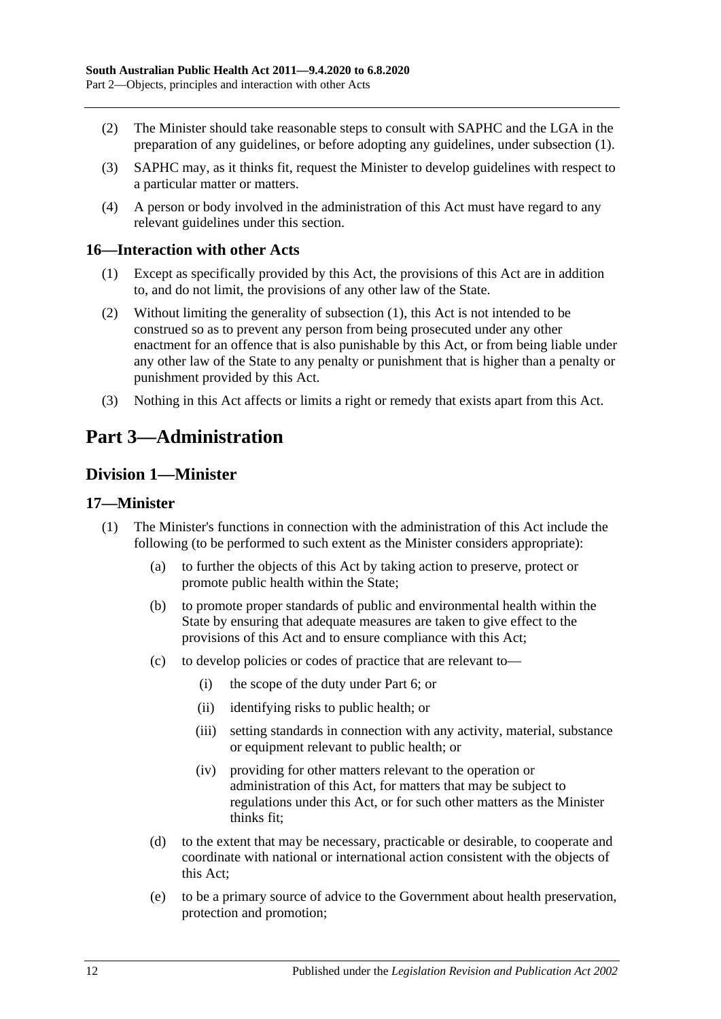- (2) The Minister should take reasonable steps to consult with SAPHC and the LGA in the preparation of any guidelines, or before adopting any guidelines, under [subsection](#page-10-2) (1).
- (3) SAPHC may, as it thinks fit, request the Minister to develop guidelines with respect to a particular matter or matters.
- (4) A person or body involved in the administration of this Act must have regard to any relevant guidelines under this section.

#### <span id="page-11-4"></span><span id="page-11-0"></span>**16—Interaction with other Acts**

- (1) Except as specifically provided by this Act, the provisions of this Act are in addition to, and do not limit, the provisions of any other law of the State.
- (2) Without limiting the generality of [subsection](#page-11-4) (1), this Act is not intended to be construed so as to prevent any person from being prosecuted under any other enactment for an offence that is also punishable by this Act, or from being liable under any other law of the State to any penalty or punishment that is higher than a penalty or punishment provided by this Act.
- (3) Nothing in this Act affects or limits a right or remedy that exists apart from this Act.

# <span id="page-11-1"></span>**Part 3—Administration**

# <span id="page-11-2"></span>**Division 1—Minister**

#### <span id="page-11-3"></span>**17—Minister**

- (1) The Minister's functions in connection with the administration of this Act include the following (to be performed to such extent as the Minister considers appropriate):
	- (a) to further the objects of this Act by taking action to preserve, protect or promote public health within the State;
	- (b) to promote proper standards of public and environmental health within the State by ensuring that adequate measures are taken to give effect to the provisions of this Act and to ensure compliance with this Act;
	- (c) to develop policies or codes of practice that are relevant to—
		- (i) the scope of the duty under [Part](#page-32-1) 6; or
		- (ii) identifying risks to public health; or
		- (iii) setting standards in connection with any activity, material, substance or equipment relevant to public health; or
		- (iv) providing for other matters relevant to the operation or administration of this Act, for matters that may be subject to regulations under this Act, or for such other matters as the Minister thinks fit;
	- (d) to the extent that may be necessary, practicable or desirable, to cooperate and coordinate with national or international action consistent with the objects of this Act;
	- (e) to be a primary source of advice to the Government about health preservation, protection and promotion;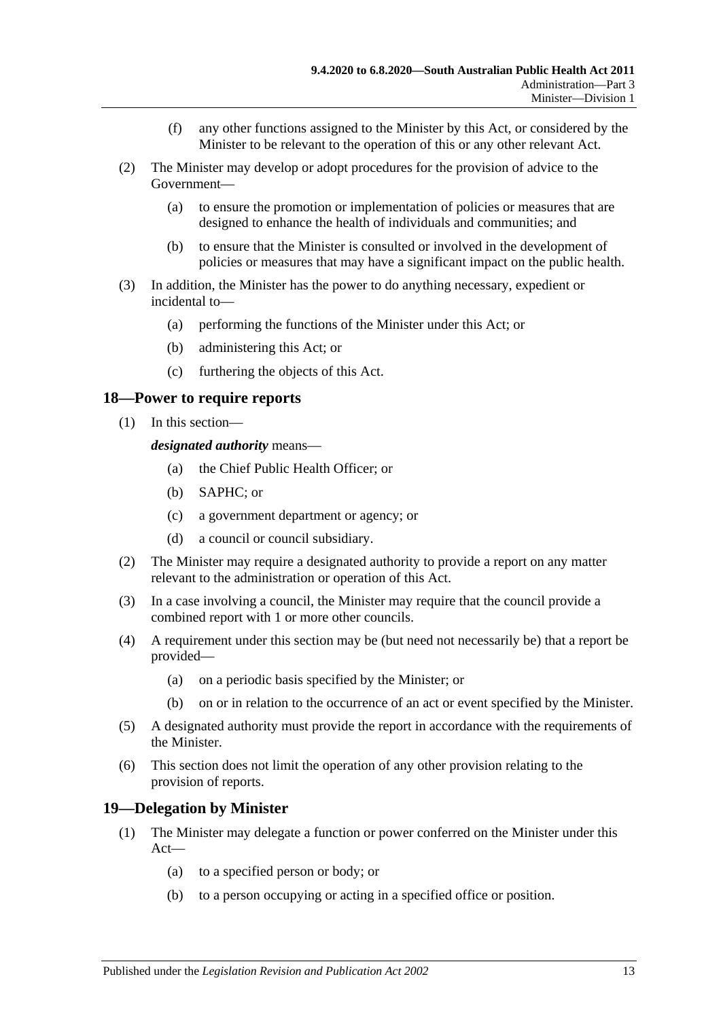- (f) any other functions assigned to the Minister by this Act, or considered by the Minister to be relevant to the operation of this or any other relevant Act.
- (2) The Minister may develop or adopt procedures for the provision of advice to the Government—
	- (a) to ensure the promotion or implementation of policies or measures that are designed to enhance the health of individuals and communities; and
	- (b) to ensure that the Minister is consulted or involved in the development of policies or measures that may have a significant impact on the public health.
- (3) In addition, the Minister has the power to do anything necessary, expedient or incidental to—
	- (a) performing the functions of the Minister under this Act; or
	- (b) administering this Act; or
	- (c) furthering the objects of this Act.

#### <span id="page-12-0"></span>**18—Power to require reports**

(1) In this section—

*designated authority* means—

- (a) the Chief Public Health Officer; or
- (b) SAPHC; or
- (c) a government department or agency; or
- (d) a council or council subsidiary.
- (2) The Minister may require a designated authority to provide a report on any matter relevant to the administration or operation of this Act.
- (3) In a case involving a council, the Minister may require that the council provide a combined report with 1 or more other councils.
- (4) A requirement under this section may be (but need not necessarily be) that a report be provided—
	- (a) on a periodic basis specified by the Minister; or
	- (b) on or in relation to the occurrence of an act or event specified by the Minister.
- (5) A designated authority must provide the report in accordance with the requirements of the Minister.
- (6) This section does not limit the operation of any other provision relating to the provision of reports.

#### <span id="page-12-1"></span>**19—Delegation by Minister**

- (1) The Minister may delegate a function or power conferred on the Minister under this Act—
	- (a) to a specified person or body; or
	- (b) to a person occupying or acting in a specified office or position.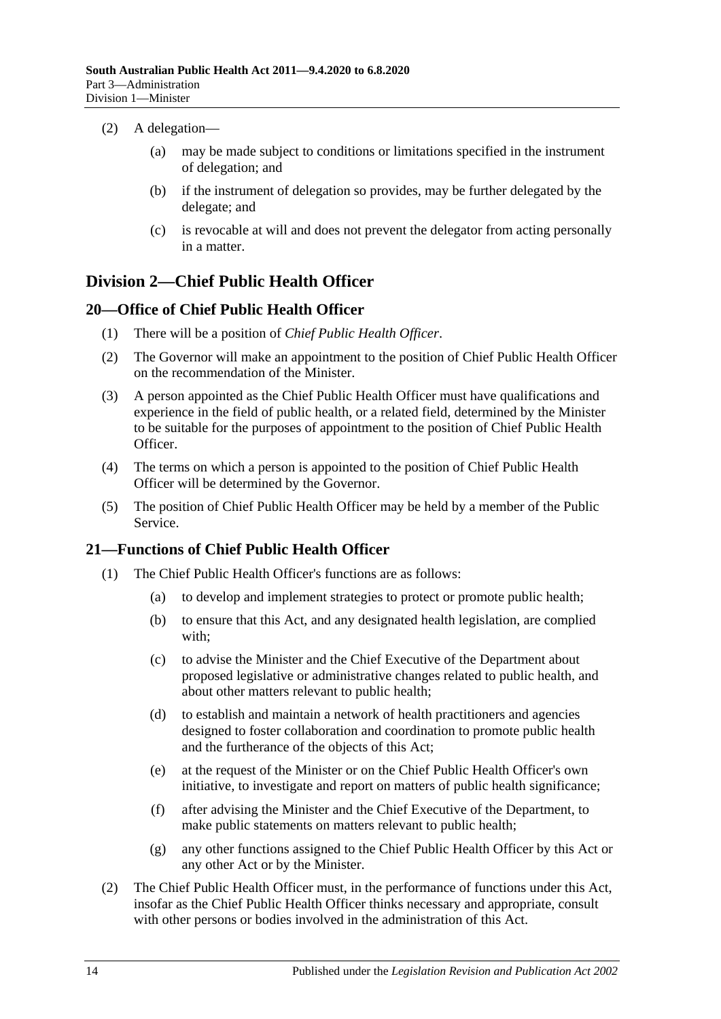- (2) A delegation—
	- (a) may be made subject to conditions or limitations specified in the instrument of delegation; and
	- (b) if the instrument of delegation so provides, may be further delegated by the delegate; and
	- (c) is revocable at will and does not prevent the delegator from acting personally in a matter.

# <span id="page-13-0"></span>**Division 2—Chief Public Health Officer**

## <span id="page-13-1"></span>**20—Office of Chief Public Health Officer**

- (1) There will be a position of *Chief Public Health Officer*.
- (2) The Governor will make an appointment to the position of Chief Public Health Officer on the recommendation of the Minister.
- (3) A person appointed as the Chief Public Health Officer must have qualifications and experience in the field of public health, or a related field, determined by the Minister to be suitable for the purposes of appointment to the position of Chief Public Health Officer.
- (4) The terms on which a person is appointed to the position of Chief Public Health Officer will be determined by the Governor.
- (5) The position of Chief Public Health Officer may be held by a member of the Public Service.

# <span id="page-13-3"></span><span id="page-13-2"></span>**21—Functions of Chief Public Health Officer**

- (1) The Chief Public Health Officer's functions are as follows:
	- (a) to develop and implement strategies to protect or promote public health;
	- (b) to ensure that this Act, and any designated health legislation, are complied with;
	- (c) to advise the Minister and the Chief Executive of the Department about proposed legislative or administrative changes related to public health, and about other matters relevant to public health;
	- (d) to establish and maintain a network of health practitioners and agencies designed to foster collaboration and coordination to promote public health and the furtherance of the objects of this Act;
	- (e) at the request of the Minister or on the Chief Public Health Officer's own initiative, to investigate and report on matters of public health significance;
	- (f) after advising the Minister and the Chief Executive of the Department, to make public statements on matters relevant to public health;
	- (g) any other functions assigned to the Chief Public Health Officer by this Act or any other Act or by the Minister.
- (2) The Chief Public Health Officer must, in the performance of functions under this Act, insofar as the Chief Public Health Officer thinks necessary and appropriate, consult with other persons or bodies involved in the administration of this Act.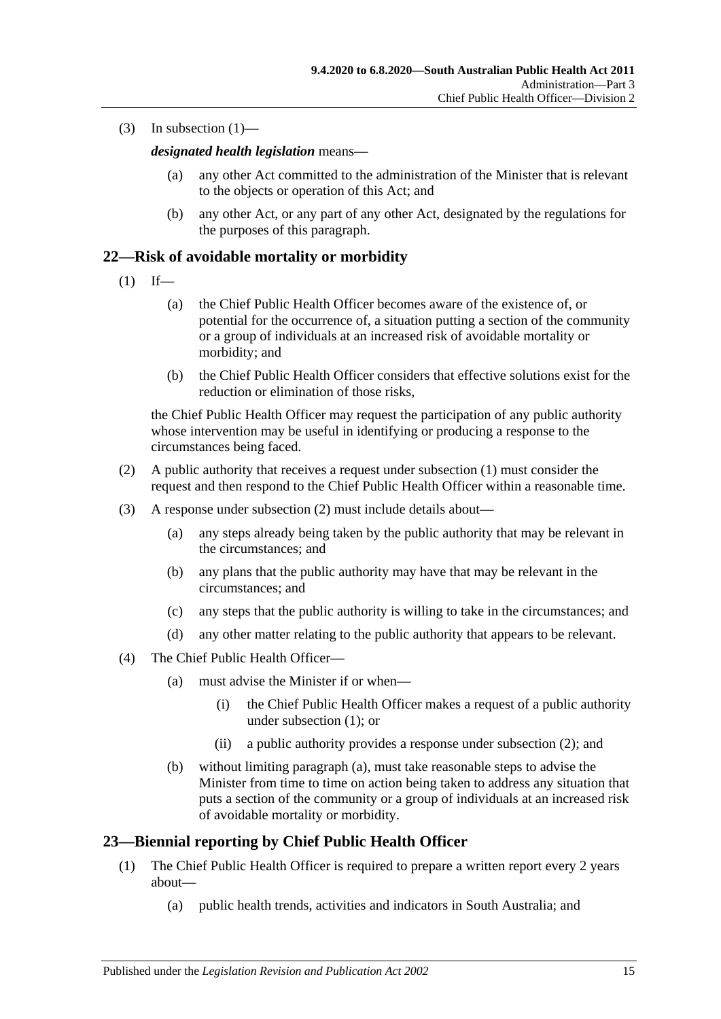(3) In [subsection](#page-13-3)  $(1)$ —

*designated health legislation* means—

- (a) any other Act committed to the administration of the Minister that is relevant to the objects or operation of this Act; and
- (b) any other Act, or any part of any other Act, designated by the regulations for the purposes of this paragraph.

## <span id="page-14-2"></span><span id="page-14-0"></span>**22—Risk of avoidable mortality or morbidity**

- $(1)$  If—
	- (a) the Chief Public Health Officer becomes aware of the existence of, or potential for the occurrence of, a situation putting a section of the community or a group of individuals at an increased risk of avoidable mortality or morbidity; and
	- (b) the Chief Public Health Officer considers that effective solutions exist for the reduction or elimination of those risks,

the Chief Public Health Officer may request the participation of any public authority whose intervention may be useful in identifying or producing a response to the circumstances being faced.

- <span id="page-14-3"></span>(2) A public authority that receives a request under [subsection](#page-14-2) (1) must consider the request and then respond to the Chief Public Health Officer within a reasonable time.
- (3) A response under [subsection](#page-14-3) (2) must include details about—
	- (a) any steps already being taken by the public authority that may be relevant in the circumstances; and
	- (b) any plans that the public authority may have that may be relevant in the circumstances; and
	- (c) any steps that the public authority is willing to take in the circumstances; and
	- (d) any other matter relating to the public authority that appears to be relevant.
- <span id="page-14-4"></span>(4) The Chief Public Health Officer—
	- (a) must advise the Minister if or when—
		- (i) the Chief Public Health Officer makes a request of a public authority under [subsection](#page-14-2) (1); or
		- (ii) a public authority provides a response under [subsection](#page-14-3) (2); and
	- (b) without limiting [paragraph](#page-14-4) (a), must take reasonable steps to advise the Minister from time to time on action being taken to address any situation that puts a section of the community or a group of individuals at an increased risk of avoidable mortality or morbidity.

## <span id="page-14-1"></span>**23—Biennial reporting by Chief Public Health Officer**

- (1) The Chief Public Health Officer is required to prepare a written report every 2 years about—
	- (a) public health trends, activities and indicators in South Australia; and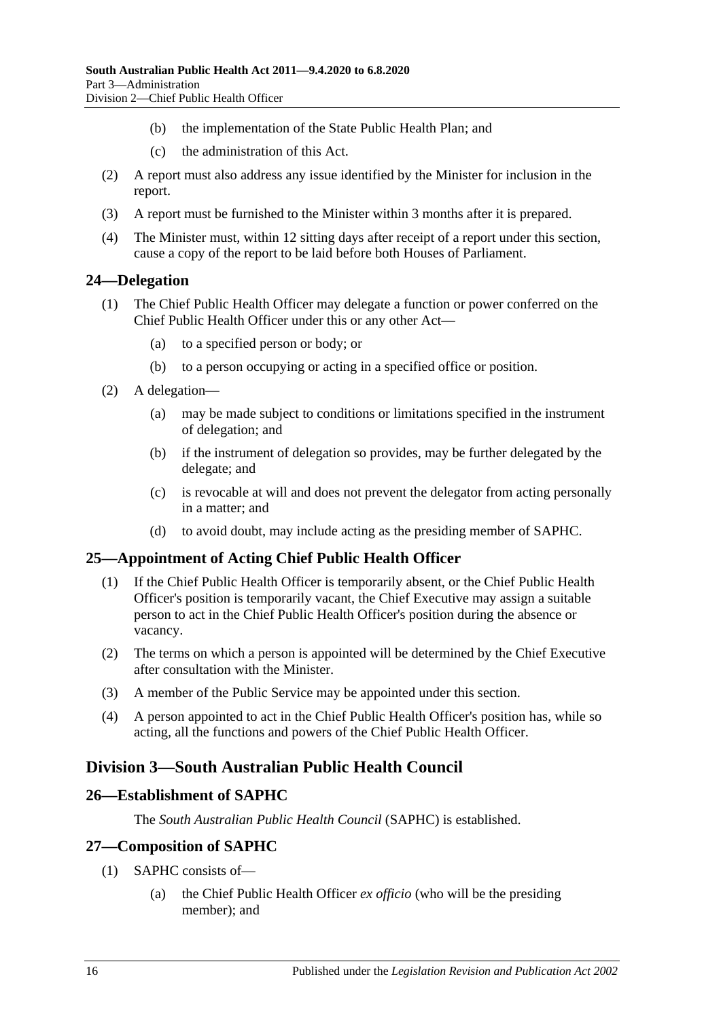- (b) the implementation of the State Public Health Plan; and
- (c) the administration of this Act.
- (2) A report must also address any issue identified by the Minister for inclusion in the report.
- (3) A report must be furnished to the Minister within 3 months after it is prepared.
- (4) The Minister must, within 12 sitting days after receipt of a report under this section, cause a copy of the report to be laid before both Houses of Parliament.

## <span id="page-15-0"></span>**24—Delegation**

- (1) The Chief Public Health Officer may delegate a function or power conferred on the Chief Public Health Officer under this or any other Act—
	- (a) to a specified person or body; or
	- (b) to a person occupying or acting in a specified office or position.
- (2) A delegation—
	- (a) may be made subject to conditions or limitations specified in the instrument of delegation; and
	- (b) if the instrument of delegation so provides, may be further delegated by the delegate; and
	- (c) is revocable at will and does not prevent the delegator from acting personally in a matter; and
	- (d) to avoid doubt, may include acting as the presiding member of SAPHC.

# <span id="page-15-1"></span>**25—Appointment of Acting Chief Public Health Officer**

- (1) If the Chief Public Health Officer is temporarily absent, or the Chief Public Health Officer's position is temporarily vacant, the Chief Executive may assign a suitable person to act in the Chief Public Health Officer's position during the absence or vacancy.
- (2) The terms on which a person is appointed will be determined by the Chief Executive after consultation with the Minister.
- (3) A member of the Public Service may be appointed under this section.
- (4) A person appointed to act in the Chief Public Health Officer's position has, while so acting, all the functions and powers of the Chief Public Health Officer.

# <span id="page-15-2"></span>**Division 3—South Australian Public Health Council**

## <span id="page-15-3"></span>**26—Establishment of SAPHC**

The *South Australian Public Health Council* (SAPHC) is established.

## <span id="page-15-4"></span>**27—Composition of SAPHC**

- (1) SAPHC consists of—
	- (a) the Chief Public Health Officer *ex officio* (who will be the presiding member); and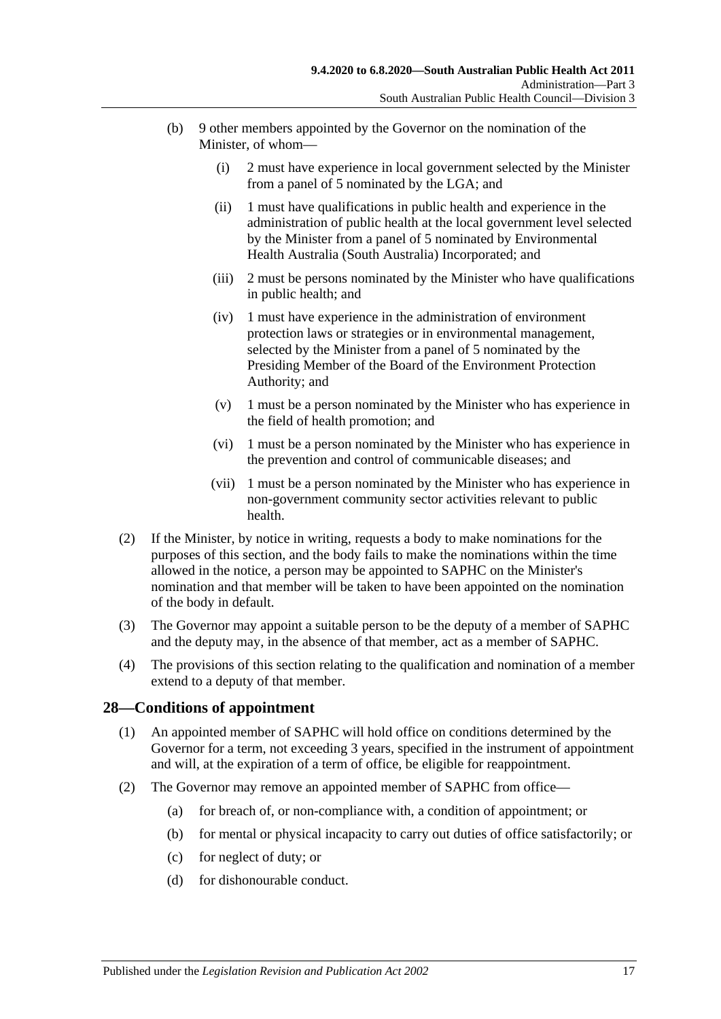- (b) 9 other members appointed by the Governor on the nomination of the Minister, of whom—
	- (i) 2 must have experience in local government selected by the Minister from a panel of 5 nominated by the LGA; and
	- (ii) 1 must have qualifications in public health and experience in the administration of public health at the local government level selected by the Minister from a panel of 5 nominated by Environmental Health Australia (South Australia) Incorporated; and
	- (iii) 2 must be persons nominated by the Minister who have qualifications in public health; and
	- (iv) 1 must have experience in the administration of environment protection laws or strategies or in environmental management, selected by the Minister from a panel of 5 nominated by the Presiding Member of the Board of the Environment Protection Authority; and
	- (v) 1 must be a person nominated by the Minister who has experience in the field of health promotion; and
	- (vi) 1 must be a person nominated by the Minister who has experience in the prevention and control of communicable diseases; and
	- (vii) 1 must be a person nominated by the Minister who has experience in non-government community sector activities relevant to public health.
- (2) If the Minister, by notice in writing, requests a body to make nominations for the purposes of this section, and the body fails to make the nominations within the time allowed in the notice, a person may be appointed to SAPHC on the Minister's nomination and that member will be taken to have been appointed on the nomination of the body in default.
- (3) The Governor may appoint a suitable person to be the deputy of a member of SAPHC and the deputy may, in the absence of that member, act as a member of SAPHC.
- (4) The provisions of this section relating to the qualification and nomination of a member extend to a deputy of that member.

## <span id="page-16-0"></span>**28—Conditions of appointment**

- (1) An appointed member of SAPHC will hold office on conditions determined by the Governor for a term, not exceeding 3 years, specified in the instrument of appointment and will, at the expiration of a term of office, be eligible for reappointment.
- <span id="page-16-1"></span>(2) The Governor may remove an appointed member of SAPHC from office—
	- (a) for breach of, or non-compliance with, a condition of appointment; or
	- (b) for mental or physical incapacity to carry out duties of office satisfactorily; or
	- (c) for neglect of duty; or
	- (d) for dishonourable conduct.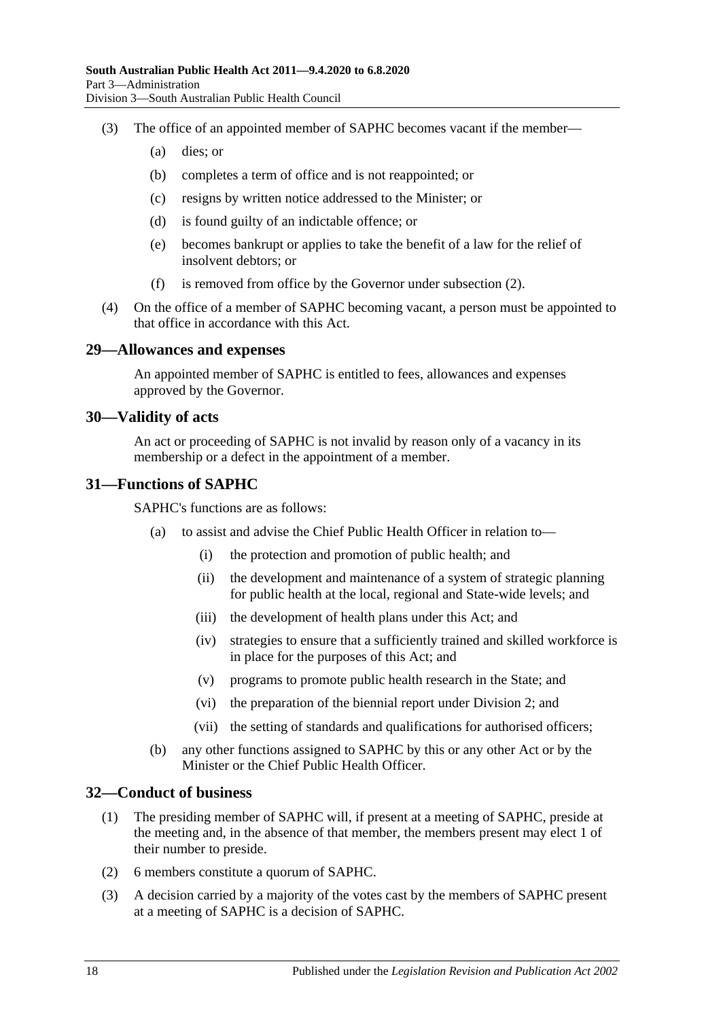- (3) The office of an appointed member of SAPHC becomes vacant if the member—
	- (a) dies; or
	- (b) completes a term of office and is not reappointed; or
	- (c) resigns by written notice addressed to the Minister; or
	- (d) is found guilty of an indictable offence; or
	- (e) becomes bankrupt or applies to take the benefit of a law for the relief of insolvent debtors; or
	- (f) is removed from office by the Governor under [subsection](#page-16-1) (2).
- (4) On the office of a member of SAPHC becoming vacant, a person must be appointed to that office in accordance with this Act.

#### <span id="page-17-0"></span>**29—Allowances and expenses**

An appointed member of SAPHC is entitled to fees, allowances and expenses approved by the Governor.

#### <span id="page-17-1"></span>**30—Validity of acts**

An act or proceeding of SAPHC is not invalid by reason only of a vacancy in its membership or a defect in the appointment of a member.

#### <span id="page-17-2"></span>**31—Functions of SAPHC**

SAPHC's functions are as follows:

- (a) to assist and advise the Chief Public Health Officer in relation to—
	- (i) the protection and promotion of public health; and
	- (ii) the development and maintenance of a system of strategic planning for public health at the local, regional and State-wide levels; and
	- (iii) the development of health plans under this Act; and
	- (iv) strategies to ensure that a sufficiently trained and skilled workforce is in place for the purposes of this Act; and
	- (v) programs to promote public health research in the State; and
	- (vi) the preparation of the biennial report under [Division](#page-13-0) 2; and
	- (vii) the setting of standards and qualifications for authorised officers;
- (b) any other functions assigned to SAPHC by this or any other Act or by the Minister or the Chief Public Health Officer.

#### <span id="page-17-3"></span>**32—Conduct of business**

- (1) The presiding member of SAPHC will, if present at a meeting of SAPHC, preside at the meeting and, in the absence of that member, the members present may elect 1 of their number to preside.
- (2) 6 members constitute a quorum of SAPHC.
- (3) A decision carried by a majority of the votes cast by the members of SAPHC present at a meeting of SAPHC is a decision of SAPHC.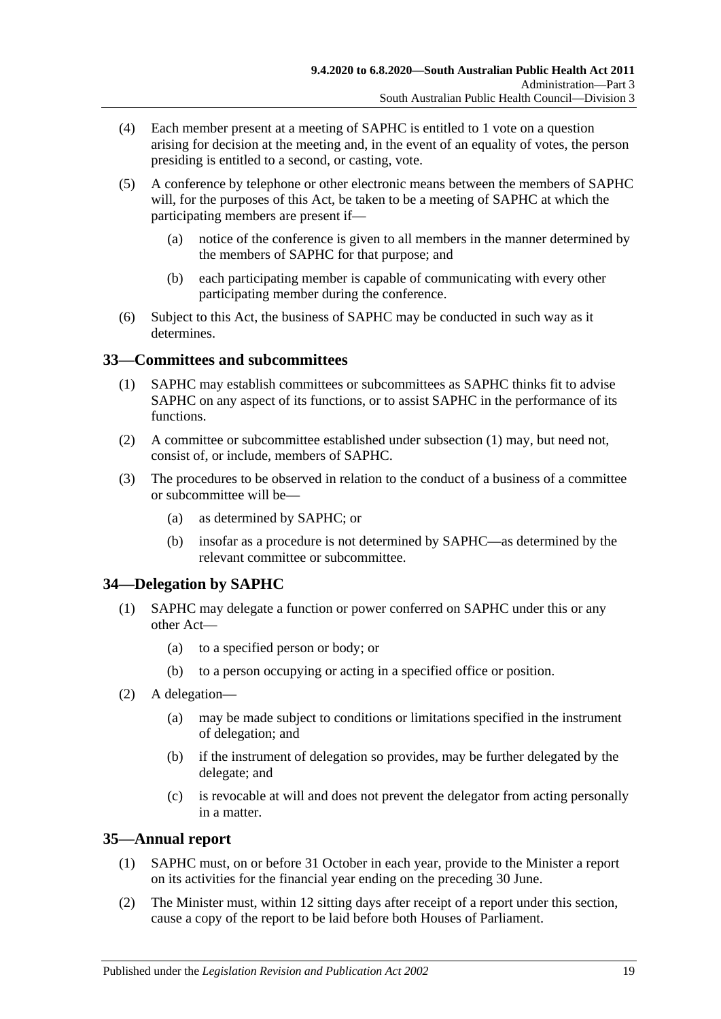- (4) Each member present at a meeting of SAPHC is entitled to 1 vote on a question arising for decision at the meeting and, in the event of an equality of votes, the person presiding is entitled to a second, or casting, vote.
- (5) A conference by telephone or other electronic means between the members of SAPHC will, for the purposes of this Act, be taken to be a meeting of SAPHC at which the participating members are present if—
	- (a) notice of the conference is given to all members in the manner determined by the members of SAPHC for that purpose; and
	- (b) each participating member is capable of communicating with every other participating member during the conference.
- (6) Subject to this Act, the business of SAPHC may be conducted in such way as it determines.

## <span id="page-18-3"></span><span id="page-18-0"></span>**33—Committees and subcommittees**

- (1) SAPHC may establish committees or subcommittees as SAPHC thinks fit to advise SAPHC on any aspect of its functions, or to assist SAPHC in the performance of its functions.
- (2) A committee or subcommittee established under [subsection](#page-18-3) (1) may, but need not, consist of, or include, members of SAPHC.
- (3) The procedures to be observed in relation to the conduct of a business of a committee or subcommittee will be—
	- (a) as determined by SAPHC; or
	- (b) insofar as a procedure is not determined by SAPHC—as determined by the relevant committee or subcommittee.

# <span id="page-18-1"></span>**34—Delegation by SAPHC**

- (1) SAPHC may delegate a function or power conferred on SAPHC under this or any other Act—
	- (a) to a specified person or body; or
	- (b) to a person occupying or acting in a specified office or position.
- (2) A delegation—
	- (a) may be made subject to conditions or limitations specified in the instrument of delegation; and
	- (b) if the instrument of delegation so provides, may be further delegated by the delegate; and
	- (c) is revocable at will and does not prevent the delegator from acting personally in a matter.

# <span id="page-18-2"></span>**35—Annual report**

- (1) SAPHC must, on or before 31 October in each year, provide to the Minister a report on its activities for the financial year ending on the preceding 30 June.
- (2) The Minister must, within 12 sitting days after receipt of a report under this section, cause a copy of the report to be laid before both Houses of Parliament.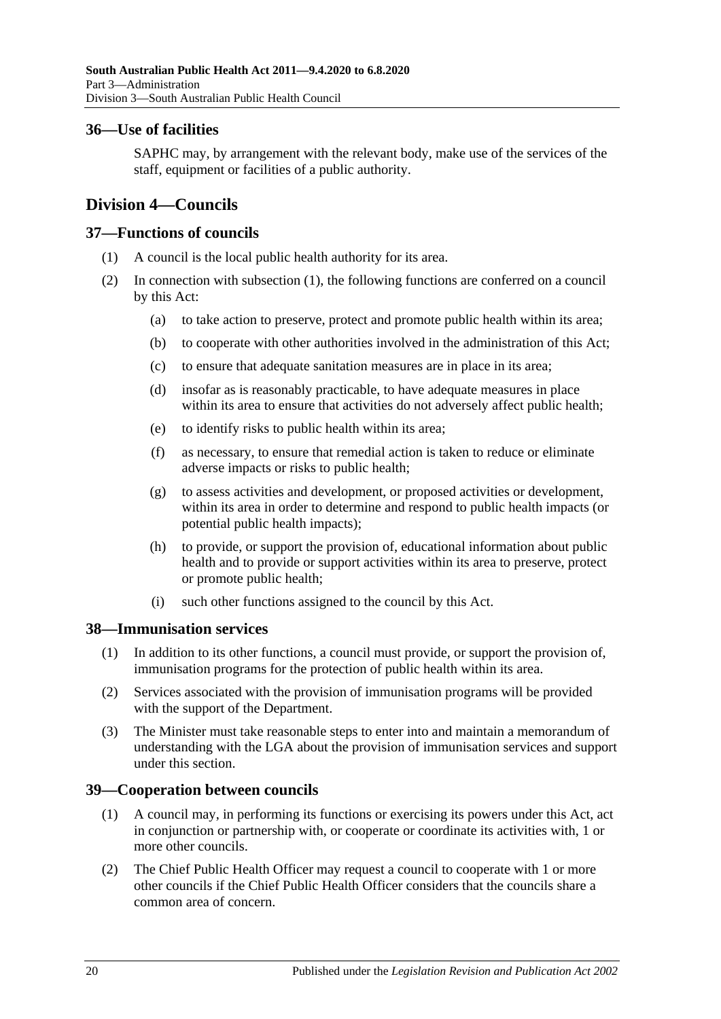## <span id="page-19-0"></span>**36—Use of facilities**

SAPHC may, by arrangement with the relevant body, make use of the services of the staff, equipment or facilities of a public authority.

# <span id="page-19-1"></span>**Division 4—Councils**

## <span id="page-19-5"></span><span id="page-19-2"></span>**37—Functions of councils**

- (1) A council is the local public health authority for its area.
- (2) In connection with [subsection](#page-19-5) (1), the following functions are conferred on a council by this Act:
	- (a) to take action to preserve, protect and promote public health within its area;
	- (b) to cooperate with other authorities involved in the administration of this Act;
	- (c) to ensure that adequate sanitation measures are in place in its area;
	- (d) insofar as is reasonably practicable, to have adequate measures in place within its area to ensure that activities do not adversely affect public health;
	- (e) to identify risks to public health within its area;
	- (f) as necessary, to ensure that remedial action is taken to reduce or eliminate adverse impacts or risks to public health;
	- (g) to assess activities and development, or proposed activities or development, within its area in order to determine and respond to public health impacts (or potential public health impacts);
	- (h) to provide, or support the provision of, educational information about public health and to provide or support activities within its area to preserve, protect or promote public health;
	- (i) such other functions assigned to the council by this Act.

## <span id="page-19-3"></span>**38—Immunisation services**

- (1) In addition to its other functions, a council must provide, or support the provision of, immunisation programs for the protection of public health within its area.
- (2) Services associated with the provision of immunisation programs will be provided with the support of the Department.
- (3) The Minister must take reasonable steps to enter into and maintain a memorandum of understanding with the LGA about the provision of immunisation services and support under this section.

# <span id="page-19-4"></span>**39—Cooperation between councils**

- (1) A council may, in performing its functions or exercising its powers under this Act, act in conjunction or partnership with, or cooperate or coordinate its activities with, 1 or more other councils.
- <span id="page-19-6"></span>(2) The Chief Public Health Officer may request a council to cooperate with 1 or more other councils if the Chief Public Health Officer considers that the councils share a common area of concern.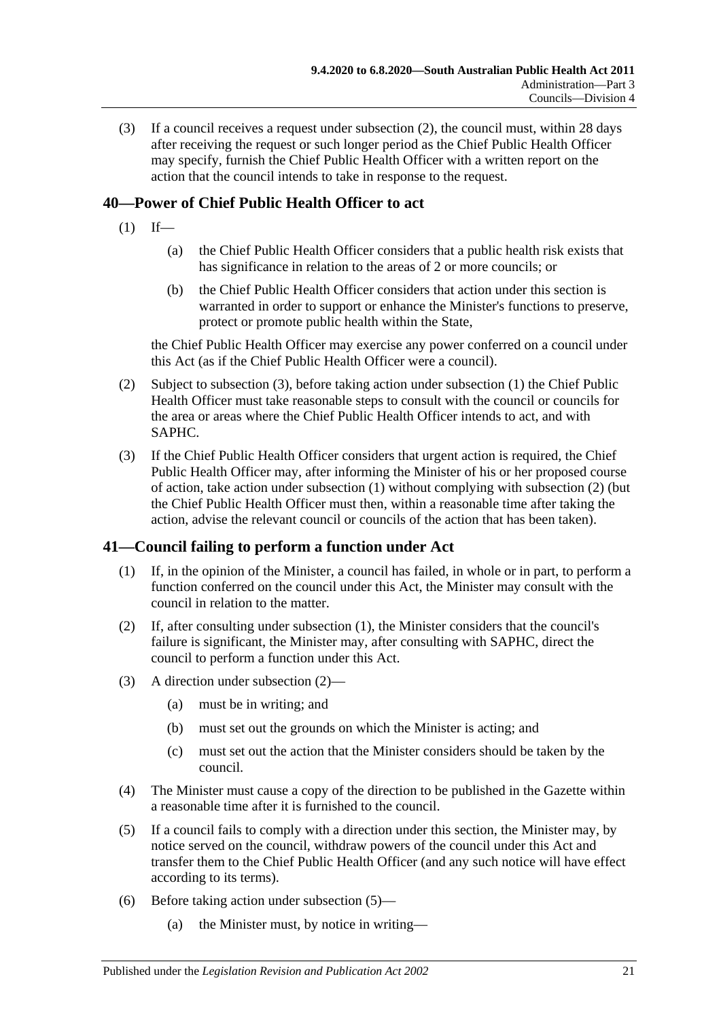(3) If a council receives a request under [subsection](#page-19-6) (2), the council must, within 28 days after receiving the request or such longer period as the Chief Public Health Officer may specify, furnish the Chief Public Health Officer with a written report on the action that the council intends to take in response to the request.

# <span id="page-20-3"></span><span id="page-20-0"></span>**40—Power of Chief Public Health Officer to act**

- $(1)$  If—
	- (a) the Chief Public Health Officer considers that a public health risk exists that has significance in relation to the areas of 2 or more councils; or
	- (b) the Chief Public Health Officer considers that action under this section is warranted in order to support or enhance the Minister's functions to preserve, protect or promote public health within the State,

the Chief Public Health Officer may exercise any power conferred on a council under this Act (as if the Chief Public Health Officer were a council).

- <span id="page-20-4"></span>(2) Subject to [subsection](#page-20-2) (3), before taking action under [subsection](#page-20-3) (1) the Chief Public Health Officer must take reasonable steps to consult with the council or councils for the area or areas where the Chief Public Health Officer intends to act, and with SAPHC.
- <span id="page-20-2"></span>(3) If the Chief Public Health Officer considers that urgent action is required, the Chief Public Health Officer may, after informing the Minister of his or her proposed course of action, take action under [subsection](#page-20-3) (1) without complying with [subsection](#page-20-4) (2) (but the Chief Public Health Officer must then, within a reasonable time after taking the action, advise the relevant council or councils of the action that has been taken).

# <span id="page-20-5"></span><span id="page-20-1"></span>**41—Council failing to perform a function under Act**

- (1) If, in the opinion of the Minister, a council has failed, in whole or in part, to perform a function conferred on the council under this Act, the Minister may consult with the council in relation to the matter.
- <span id="page-20-6"></span>(2) If, after consulting under [subsection](#page-20-5) (1), the Minister considers that the council's failure is significant, the Minister may, after consulting with SAPHC, direct the council to perform a function under this Act.
- (3) A direction under [subsection](#page-20-6) (2)—
	- (a) must be in writing; and
	- (b) must set out the grounds on which the Minister is acting; and
	- (c) must set out the action that the Minister considers should be taken by the council.
- (4) The Minister must cause a copy of the direction to be published in the Gazette within a reasonable time after it is furnished to the council.
- <span id="page-20-7"></span>(5) If a council fails to comply with a direction under this section, the Minister may, by notice served on the council, withdraw powers of the council under this Act and transfer them to the Chief Public Health Officer (and any such notice will have effect according to its terms).
- (6) Before taking action under [subsection](#page-20-7) (5)—
	- (a) the Minister must, by notice in writing—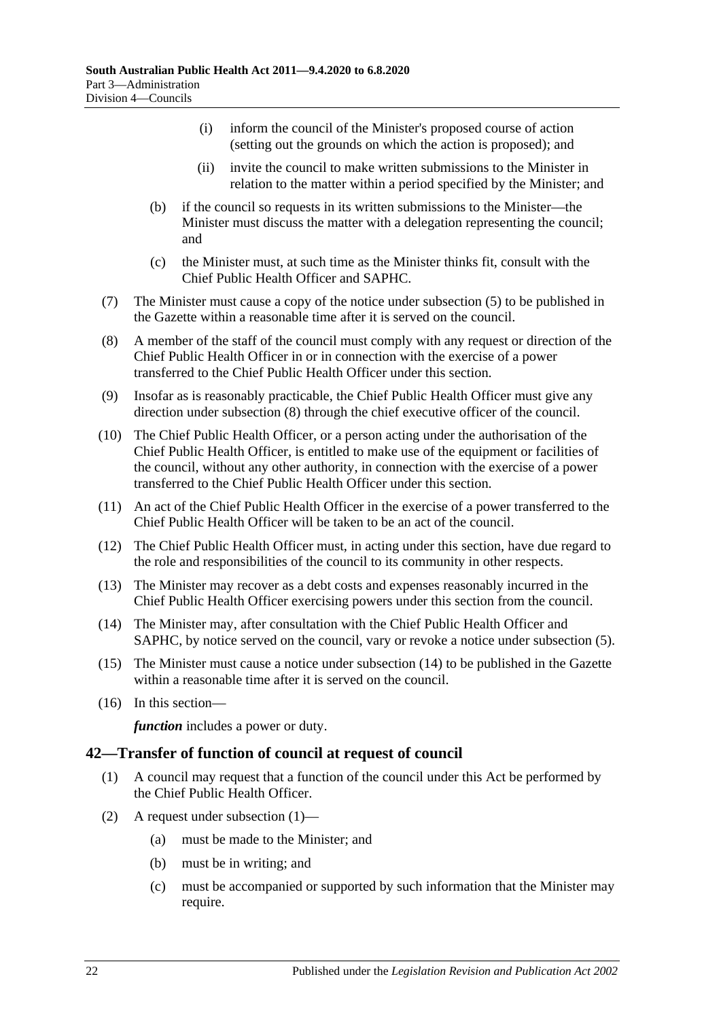- (i) inform the council of the Minister's proposed course of action (setting out the grounds on which the action is proposed); and
- (ii) invite the council to make written submissions to the Minister in relation to the matter within a period specified by the Minister; and
- (b) if the council so requests in its written submissions to the Minister—the Minister must discuss the matter with a delegation representing the council; and
- (c) the Minister must, at such time as the Minister thinks fit, consult with the Chief Public Health Officer and SAPHC.
- (7) The Minister must cause a copy of the notice under [subsection](#page-20-7) (5) to be published in the Gazette within a reasonable time after it is served on the council.
- <span id="page-21-1"></span>(8) A member of the staff of the council must comply with any request or direction of the Chief Public Health Officer in or in connection with the exercise of a power transferred to the Chief Public Health Officer under this section.
- (9) Insofar as is reasonably practicable, the Chief Public Health Officer must give any direction under [subsection](#page-21-1) (8) through the chief executive officer of the council.
- (10) The Chief Public Health Officer, or a person acting under the authorisation of the Chief Public Health Officer, is entitled to make use of the equipment or facilities of the council, without any other authority, in connection with the exercise of a power transferred to the Chief Public Health Officer under this section.
- (11) An act of the Chief Public Health Officer in the exercise of a power transferred to the Chief Public Health Officer will be taken to be an act of the council.
- (12) The Chief Public Health Officer must, in acting under this section, have due regard to the role and responsibilities of the council to its community in other respects.
- (13) The Minister may recover as a debt costs and expenses reasonably incurred in the Chief Public Health Officer exercising powers under this section from the council.
- <span id="page-21-2"></span>(14) The Minister may, after consultation with the Chief Public Health Officer and SAPHC, by notice served on the council, vary or revoke a notice under [subsection](#page-20-7) (5).
- (15) The Minister must cause a notice under [subsection](#page-21-2) (14) to be published in the Gazette within a reasonable time after it is served on the council.
- (16) In this section—

*function* includes a power or duty.

## <span id="page-21-3"></span><span id="page-21-0"></span>**42—Transfer of function of council at request of council**

- (1) A council may request that a function of the council under this Act be performed by the Chief Public Health Officer.
- (2) A request under [subsection](#page-21-3) (1)—
	- (a) must be made to the Minister; and
	- (b) must be in writing; and
	- (c) must be accompanied or supported by such information that the Minister may require.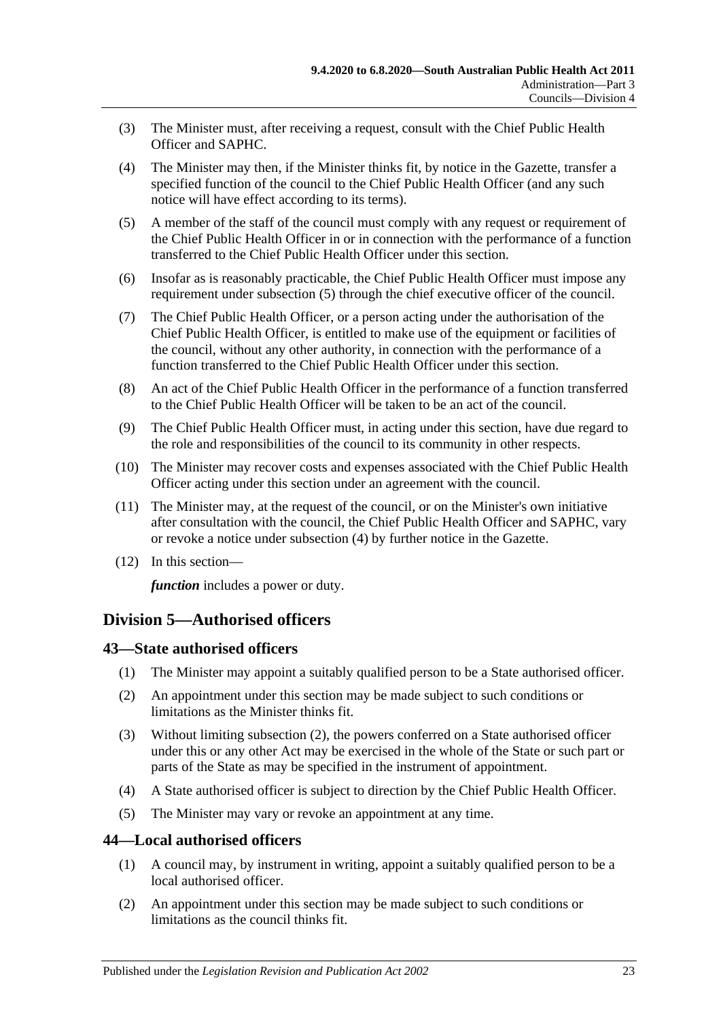- (3) The Minister must, after receiving a request, consult with the Chief Public Health Officer and SAPHC.
- <span id="page-22-4"></span>(4) The Minister may then, if the Minister thinks fit, by notice in the Gazette, transfer a specified function of the council to the Chief Public Health Officer (and any such notice will have effect according to its terms).
- <span id="page-22-3"></span>(5) A member of the staff of the council must comply with any request or requirement of the Chief Public Health Officer in or in connection with the performance of a function transferred to the Chief Public Health Officer under this section.
- (6) Insofar as is reasonably practicable, the Chief Public Health Officer must impose any requirement under [subsection](#page-22-3) (5) through the chief executive officer of the council.
- (7) The Chief Public Health Officer, or a person acting under the authorisation of the Chief Public Health Officer, is entitled to make use of the equipment or facilities of the council, without any other authority, in connection with the performance of a function transferred to the Chief Public Health Officer under this section.
- (8) An act of the Chief Public Health Officer in the performance of a function transferred to the Chief Public Health Officer will be taken to be an act of the council.
- (9) The Chief Public Health Officer must, in acting under this section, have due regard to the role and responsibilities of the council to its community in other respects.
- (10) The Minister may recover costs and expenses associated with the Chief Public Health Officer acting under this section under an agreement with the council.
- (11) The Minister may, at the request of the council, or on the Minister's own initiative after consultation with the council, the Chief Public Health Officer and SAPHC, vary or revoke a notice under [subsection](#page-22-4) (4) by further notice in the Gazette.
- (12) In this section—

*function* includes a power or duty.

# <span id="page-22-0"></span>**Division 5—Authorised officers**

## <span id="page-22-1"></span>**43—State authorised officers**

- (1) The Minister may appoint a suitably qualified person to be a State authorised officer.
- <span id="page-22-5"></span>(2) An appointment under this section may be made subject to such conditions or limitations as the Minister thinks fit.
- (3) Without limiting [subsection](#page-22-5) (2), the powers conferred on a State authorised officer under this or any other Act may be exercised in the whole of the State or such part or parts of the State as may be specified in the instrument of appointment.
- (4) A State authorised officer is subject to direction by the Chief Public Health Officer.
- (5) The Minister may vary or revoke an appointment at any time.

## <span id="page-22-2"></span>**44—Local authorised officers**

- (1) A council may, by instrument in writing, appoint a suitably qualified person to be a local authorised officer.
- <span id="page-22-6"></span>(2) An appointment under this section may be made subject to such conditions or limitations as the council thinks fit.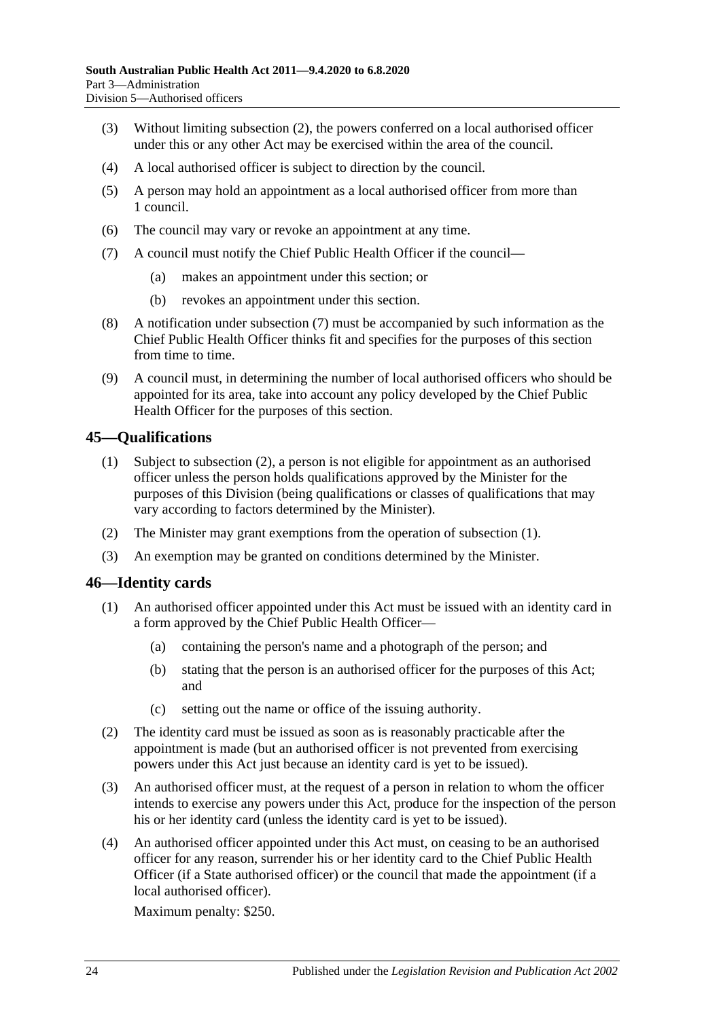- (3) Without limiting [subsection](#page-22-6) (2), the powers conferred on a local authorised officer under this or any other Act may be exercised within the area of the council.
- (4) A local authorised officer is subject to direction by the council.
- (5) A person may hold an appointment as a local authorised officer from more than 1 council.
- (6) The council may vary or revoke an appointment at any time.
- <span id="page-23-2"></span>(7) A council must notify the Chief Public Health Officer if the council—
	- (a) makes an appointment under this section; or
	- (b) revokes an appointment under this section.
- (8) A notification under [subsection](#page-23-2) (7) must be accompanied by such information as the Chief Public Health Officer thinks fit and specifies for the purposes of this section from time to time.
- (9) A council must, in determining the number of local authorised officers who should be appointed for its area, take into account any policy developed by the Chief Public Health Officer for the purposes of this section.

## <span id="page-23-4"></span><span id="page-23-0"></span>**45—Qualifications**

- (1) Subject to [subsection](#page-23-3) (2), a person is not eligible for appointment as an authorised officer unless the person holds qualifications approved by the Minister for the purposes of this Division (being qualifications or classes of qualifications that may vary according to factors determined by the Minister).
- <span id="page-23-3"></span>(2) The Minister may grant exemptions from the operation of [subsection](#page-23-4) (1).
- (3) An exemption may be granted on conditions determined by the Minister.

## <span id="page-23-1"></span>**46—Identity cards**

- (1) An authorised officer appointed under this Act must be issued with an identity card in a form approved by the Chief Public Health Officer—
	- (a) containing the person's name and a photograph of the person; and
	- (b) stating that the person is an authorised officer for the purposes of this Act; and
	- (c) setting out the name or office of the issuing authority.
- (2) The identity card must be issued as soon as is reasonably practicable after the appointment is made (but an authorised officer is not prevented from exercising powers under this Act just because an identity card is yet to be issued).
- (3) An authorised officer must, at the request of a person in relation to whom the officer intends to exercise any powers under this Act, produce for the inspection of the person his or her identity card (unless the identity card is yet to be issued).
- (4) An authorised officer appointed under this Act must, on ceasing to be an authorised officer for any reason, surrender his or her identity card to the Chief Public Health Officer (if a State authorised officer) or the council that made the appointment (if a local authorised officer).

Maximum penalty: \$250.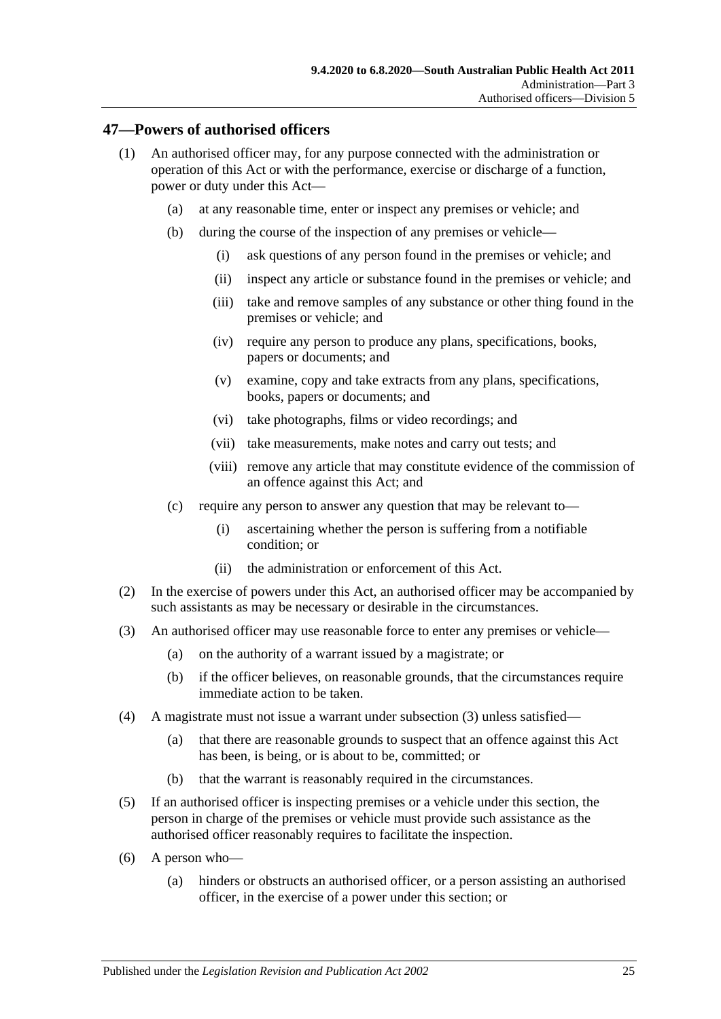#### <span id="page-24-0"></span>**47—Powers of authorised officers**

- (1) An authorised officer may, for any purpose connected with the administration or operation of this Act or with the performance, exercise or discharge of a function, power or duty under this Act—
	- (a) at any reasonable time, enter or inspect any premises or vehicle; and
	- (b) during the course of the inspection of any premises or vehicle—
		- (i) ask questions of any person found in the premises or vehicle; and
		- (ii) inspect any article or substance found in the premises or vehicle; and
		- (iii) take and remove samples of any substance or other thing found in the premises or vehicle; and
		- (iv) require any person to produce any plans, specifications, books, papers or documents; and
		- (v) examine, copy and take extracts from any plans, specifications, books, papers or documents; and
		- (vi) take photographs, films or video recordings; and
		- (vii) take measurements, make notes and carry out tests; and
		- (viii) remove any article that may constitute evidence of the commission of an offence against this Act; and
	- (c) require any person to answer any question that may be relevant to—
		- (i) ascertaining whether the person is suffering from a notifiable condition; or
		- (ii) the administration or enforcement of this Act.
- (2) In the exercise of powers under this Act, an authorised officer may be accompanied by such assistants as may be necessary or desirable in the circumstances.
- <span id="page-24-1"></span>(3) An authorised officer may use reasonable force to enter any premises or vehicle—
	- (a) on the authority of a warrant issued by a magistrate; or
	- (b) if the officer believes, on reasonable grounds, that the circumstances require immediate action to be taken.
- (4) A magistrate must not issue a warrant under [subsection](#page-24-1) (3) unless satisfied—
	- (a) that there are reasonable grounds to suspect that an offence against this Act has been, is being, or is about to be, committed; or
	- (b) that the warrant is reasonably required in the circumstances.
- (5) If an authorised officer is inspecting premises or a vehicle under this section, the person in charge of the premises or vehicle must provide such assistance as the authorised officer reasonably requires to facilitate the inspection.
- (6) A person who—
	- (a) hinders or obstructs an authorised officer, or a person assisting an authorised officer, in the exercise of a power under this section; or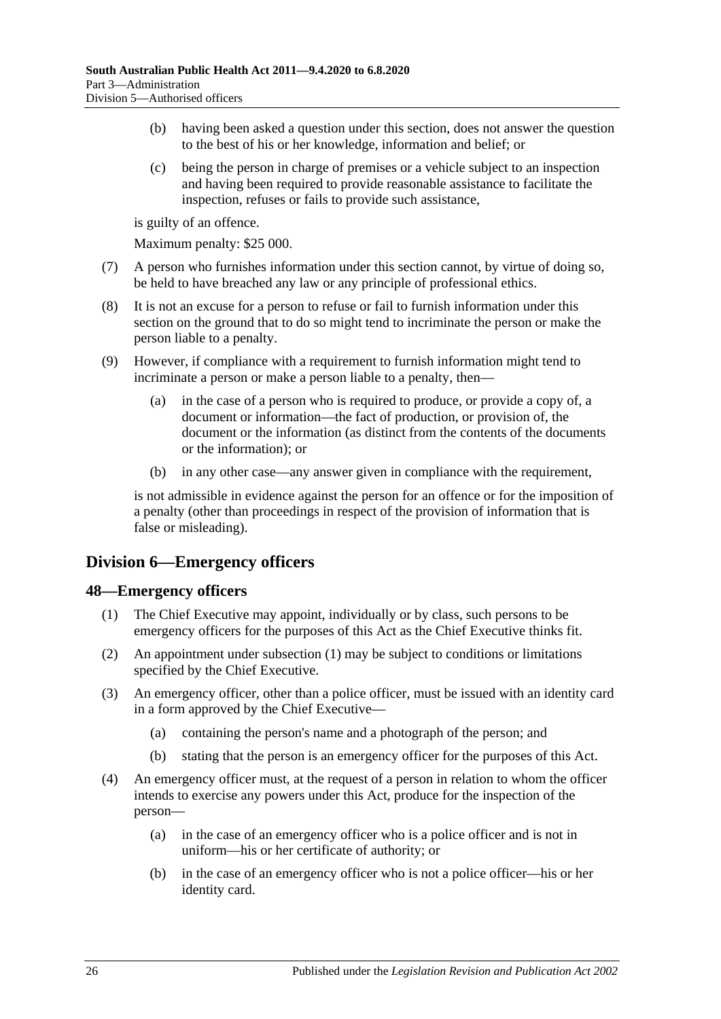- (b) having been asked a question under this section, does not answer the question to the best of his or her knowledge, information and belief; or
- (c) being the person in charge of premises or a vehicle subject to an inspection and having been required to provide reasonable assistance to facilitate the inspection, refuses or fails to provide such assistance,

is guilty of an offence.

Maximum penalty: \$25 000.

- (7) A person who furnishes information under this section cannot, by virtue of doing so, be held to have breached any law or any principle of professional ethics.
- (8) It is not an excuse for a person to refuse or fail to furnish information under this section on the ground that to do so might tend to incriminate the person or make the person liable to a penalty.
- (9) However, if compliance with a requirement to furnish information might tend to incriminate a person or make a person liable to a penalty, then—
	- (a) in the case of a person who is required to produce, or provide a copy of, a document or information—the fact of production, or provision of, the document or the information (as distinct from the contents of the documents or the information); or
	- (b) in any other case—any answer given in compliance with the requirement,

is not admissible in evidence against the person for an offence or for the imposition of a penalty (other than proceedings in respect of the provision of information that is false or misleading).

# <span id="page-25-0"></span>**Division 6—Emergency officers**

## <span id="page-25-2"></span><span id="page-25-1"></span>**48—Emergency officers**

- (1) The Chief Executive may appoint, individually or by class, such persons to be emergency officers for the purposes of this Act as the Chief Executive thinks fit.
- (2) An appointment under [subsection](#page-25-2) (1) may be subject to conditions or limitations specified by the Chief Executive.
- (3) An emergency officer, other than a police officer, must be issued with an identity card in a form approved by the Chief Executive—
	- (a) containing the person's name and a photograph of the person; and
	- (b) stating that the person is an emergency officer for the purposes of this Act.
- (4) An emergency officer must, at the request of a person in relation to whom the officer intends to exercise any powers under this Act, produce for the inspection of the person—
	- (a) in the case of an emergency officer who is a police officer and is not in uniform—his or her certificate of authority; or
	- (b) in the case of an emergency officer who is not a police officer—his or her identity card.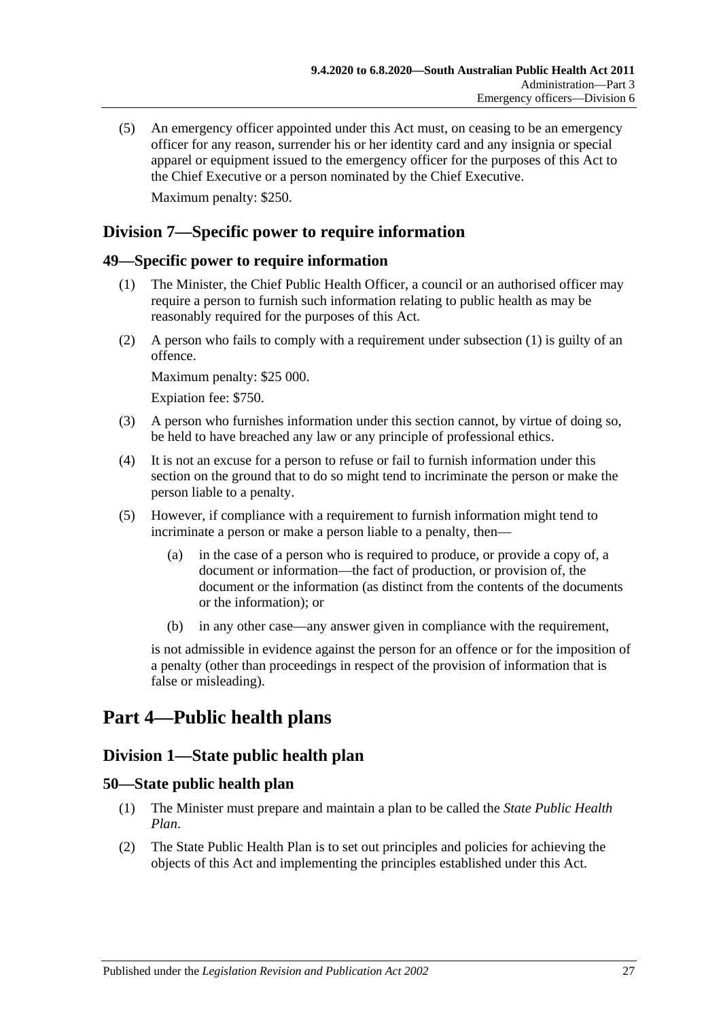(5) An emergency officer appointed under this Act must, on ceasing to be an emergency officer for any reason, surrender his or her identity card and any insignia or special apparel or equipment issued to the emergency officer for the purposes of this Act to the Chief Executive or a person nominated by the Chief Executive. Maximum penalty: \$250.

# <span id="page-26-0"></span>**Division 7—Specific power to require information**

#### <span id="page-26-5"></span><span id="page-26-1"></span>**49—Specific power to require information**

- (1) The Minister, the Chief Public Health Officer, a council or an authorised officer may require a person to furnish such information relating to public health as may be reasonably required for the purposes of this Act.
- (2) A person who fails to comply with a requirement under [subsection](#page-26-5) (1) is guilty of an offence.

Maximum penalty: \$25 000.

Expiation fee: \$750.

- (3) A person who furnishes information under this section cannot, by virtue of doing so, be held to have breached any law or any principle of professional ethics.
- (4) It is not an excuse for a person to refuse or fail to furnish information under this section on the ground that to do so might tend to incriminate the person or make the person liable to a penalty.
- (5) However, if compliance with a requirement to furnish information might tend to incriminate a person or make a person liable to a penalty, then—
	- (a) in the case of a person who is required to produce, or provide a copy of, a document or information—the fact of production, or provision of, the document or the information (as distinct from the contents of the documents or the information); or
	- (b) in any other case—any answer given in compliance with the requirement,

is not admissible in evidence against the person for an offence or for the imposition of a penalty (other than proceedings in respect of the provision of information that is false or misleading).

# <span id="page-26-3"></span><span id="page-26-2"></span>**Part 4—Public health plans**

# **Division 1—State public health plan**

#### <span id="page-26-4"></span>**50—State public health plan**

- (1) The Minister must prepare and maintain a plan to be called the *State Public Health Plan*.
- <span id="page-26-6"></span>(2) The State Public Health Plan is to set out principles and policies for achieving the objects of this Act and implementing the principles established under this Act.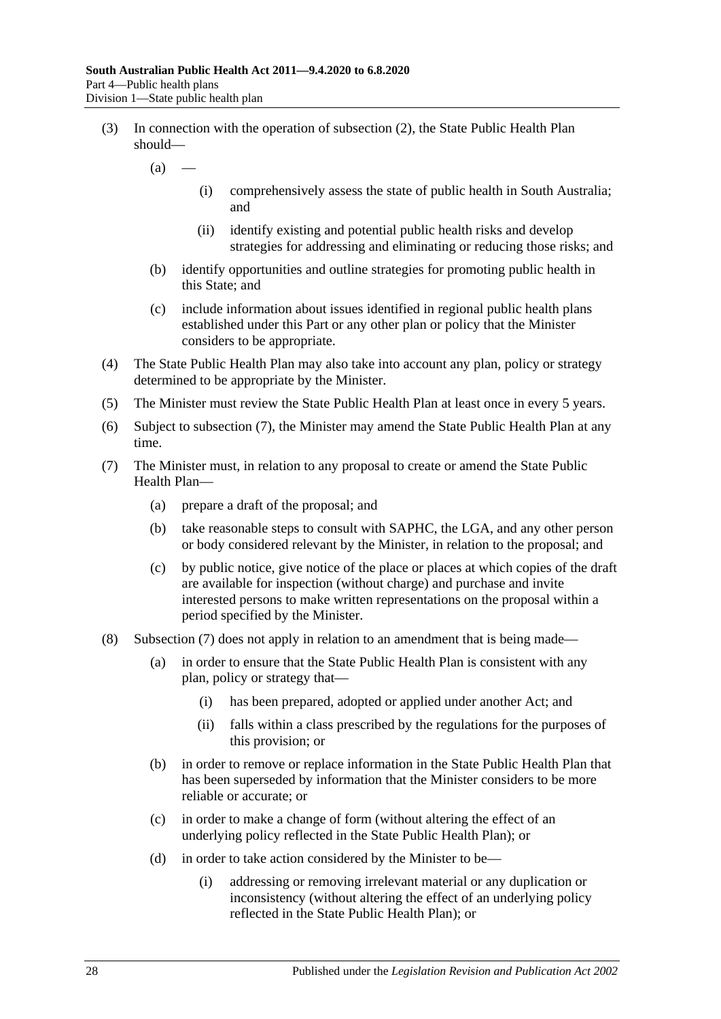- (3) In connection with the operation of [subsection](#page-26-6) (2), the State Public Health Plan should—
	- $(a)$ 
		- (i) comprehensively assess the state of public health in South Australia; and
		- (ii) identify existing and potential public health risks and develop strategies for addressing and eliminating or reducing those risks; and
	- (b) identify opportunities and outline strategies for promoting public health in this State; and
	- (c) include information about issues identified in regional public health plans established under this Part or any other plan or policy that the Minister considers to be appropriate.
- (4) The State Public Health Plan may also take into account any plan, policy or strategy determined to be appropriate by the Minister.
- (5) The Minister must review the State Public Health Plan at least once in every 5 years.
- (6) Subject to [subsection](#page-27-0) (7), the Minister may amend the State Public Health Plan at any time.
- <span id="page-27-0"></span>(7) The Minister must, in relation to any proposal to create or amend the State Public Health Plan—
	- (a) prepare a draft of the proposal; and
	- (b) take reasonable steps to consult with SAPHC, the LGA, and any other person or body considered relevant by the Minister, in relation to the proposal; and
	- (c) by public notice, give notice of the place or places at which copies of the draft are available for inspection (without charge) and purchase and invite interested persons to make written representations on the proposal within a period specified by the Minister.
- (8) [Subsection](#page-27-0) (7) does not apply in relation to an amendment that is being made—
	- (a) in order to ensure that the State Public Health Plan is consistent with any plan, policy or strategy that—
		- (i) has been prepared, adopted or applied under another Act; and
		- (ii) falls within a class prescribed by the regulations for the purposes of this provision; or
	- (b) in order to remove or replace information in the State Public Health Plan that has been superseded by information that the Minister considers to be more reliable or accurate; or
	- (c) in order to make a change of form (without altering the effect of an underlying policy reflected in the State Public Health Plan); or
	- (d) in order to take action considered by the Minister to be—
		- (i) addressing or removing irrelevant material or any duplication or inconsistency (without altering the effect of an underlying policy reflected in the State Public Health Plan); or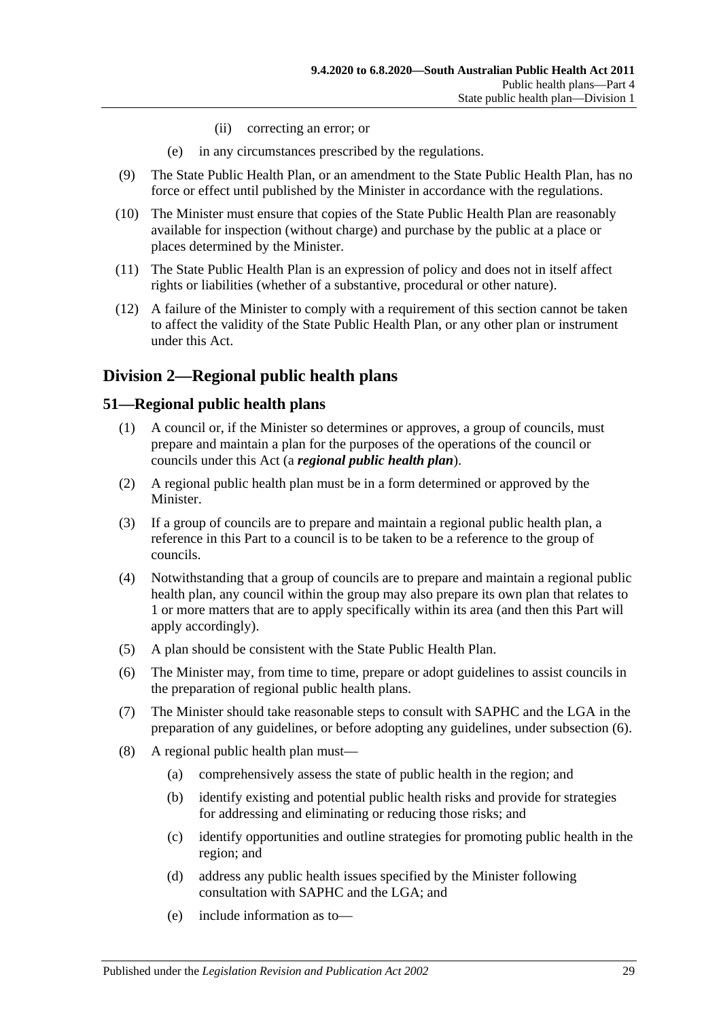- (ii) correcting an error; or
- (e) in any circumstances prescribed by the regulations.
- (9) The State Public Health Plan, or an amendment to the State Public Health Plan, has no force or effect until published by the Minister in accordance with the regulations.
- (10) The Minister must ensure that copies of the State Public Health Plan are reasonably available for inspection (without charge) and purchase by the public at a place or places determined by the Minister.
- (11) The State Public Health Plan is an expression of policy and does not in itself affect rights or liabilities (whether of a substantive, procedural or other nature).
- (12) A failure of the Minister to comply with a requirement of this section cannot be taken to affect the validity of the State Public Health Plan, or any other plan or instrument under this Act.

# <span id="page-28-0"></span>**Division 2—Regional public health plans**

## <span id="page-28-1"></span>**51—Regional public health plans**

- (1) A council or, if the Minister so determines or approves, a group of councils, must prepare and maintain a plan for the purposes of the operations of the council or councils under this Act (a *regional public health plan*).
- (2) A regional public health plan must be in a form determined or approved by the Minister.
- (3) If a group of councils are to prepare and maintain a regional public health plan, a reference in this Part to a council is to be taken to be a reference to the group of councils.
- (4) Notwithstanding that a group of councils are to prepare and maintain a regional public health plan, any council within the group may also prepare its own plan that relates to 1 or more matters that are to apply specifically within its area (and then this Part will apply accordingly).
- (5) A plan should be consistent with the State Public Health Plan.
- <span id="page-28-2"></span>(6) The Minister may, from time to time, prepare or adopt guidelines to assist councils in the preparation of regional public health plans.
- (7) The Minister should take reasonable steps to consult with SAPHC and the LGA in the preparation of any guidelines, or before adopting any guidelines, under [subsection](#page-28-2) (6).
- (8) A regional public health plan must—
	- (a) comprehensively assess the state of public health in the region; and
	- (b) identify existing and potential public health risks and provide for strategies for addressing and eliminating or reducing those risks; and
	- (c) identify opportunities and outline strategies for promoting public health in the region; and
	- (d) address any public health issues specified by the Minister following consultation with SAPHC and the LGA; and
	- (e) include information as to—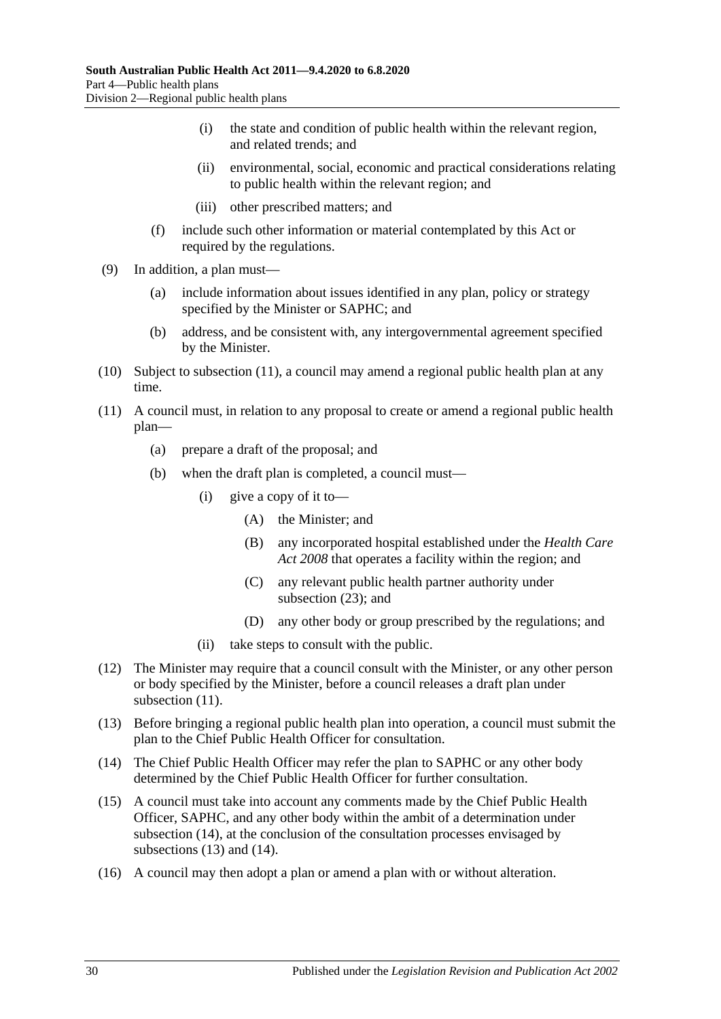- (i) the state and condition of public health within the relevant region, and related trends; and
- (ii) environmental, social, economic and practical considerations relating to public health within the relevant region; and
- (iii) other prescribed matters; and
- (f) include such other information or material contemplated by this Act or required by the regulations.
- (9) In addition, a plan must—
	- (a) include information about issues identified in any plan, policy or strategy specified by the Minister or SAPHC; and
	- (b) address, and be consistent with, any intergovernmental agreement specified by the Minister.
- (10) Subject to [subsection](#page-29-0) (11), a council may amend a regional public health plan at any time.
- <span id="page-29-0"></span>(11) A council must, in relation to any proposal to create or amend a regional public health plan—
	- (a) prepare a draft of the proposal; and
	- (b) when the draft plan is completed, a council must—
		- (i) give a copy of it to—
			- (A) the Minister; and
			- (B) any incorporated hospital established under the *[Health Care](http://www.legislation.sa.gov.au/index.aspx?action=legref&type=act&legtitle=Health%20Care%20Act%202008)  Act [2008](http://www.legislation.sa.gov.au/index.aspx?action=legref&type=act&legtitle=Health%20Care%20Act%202008)* that operates a facility within the region; and
			- (C) any relevant public health partner authority under [subsection](#page-30-1) (23); and
			- (D) any other body or group prescribed by the regulations; and
		- (ii) take steps to consult with the public.
- (12) The Minister may require that a council consult with the Minister, or any other person or body specified by the Minister, before a council releases a draft plan under [subsection](#page-29-0)  $(11)$ .
- <span id="page-29-2"></span>(13) Before bringing a regional public health plan into operation, a council must submit the plan to the Chief Public Health Officer for consultation.
- <span id="page-29-1"></span>(14) The Chief Public Health Officer may refer the plan to SAPHC or any other body determined by the Chief Public Health Officer for further consultation.
- (15) A council must take into account any comments made by the Chief Public Health Officer, SAPHC, and any other body within the ambit of a determination under [subsection](#page-29-1) (14), at the conclusion of the consultation processes envisaged by [subsections](#page-29-2) (13) and [\(14\).](#page-29-1)
- (16) A council may then adopt a plan or amend a plan with or without alteration.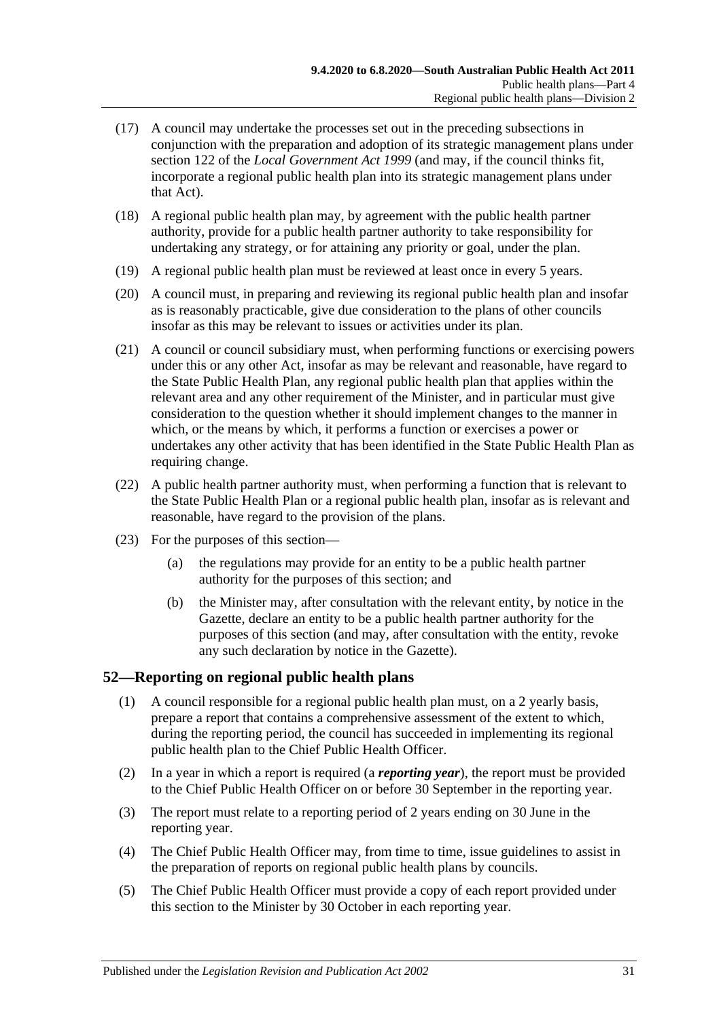- (17) A council may undertake the processes set out in the preceding subsections in conjunction with the preparation and adoption of its strategic management plans under section 122 of the *[Local Government Act](http://www.legislation.sa.gov.au/index.aspx?action=legref&type=act&legtitle=Local%20Government%20Act%201999) 1999* (and may, if the council thinks fit, incorporate a regional public health plan into its strategic management plans under that Act).
- (18) A regional public health plan may, by agreement with the public health partner authority, provide for a public health partner authority to take responsibility for undertaking any strategy, or for attaining any priority or goal, under the plan.
- (19) A regional public health plan must be reviewed at least once in every 5 years.
- (20) A council must, in preparing and reviewing its regional public health plan and insofar as is reasonably practicable, give due consideration to the plans of other councils insofar as this may be relevant to issues or activities under its plan.
- (21) A council or council subsidiary must, when performing functions or exercising powers under this or any other Act, insofar as may be relevant and reasonable, have regard to the State Public Health Plan, any regional public health plan that applies within the relevant area and any other requirement of the Minister, and in particular must give consideration to the question whether it should implement changes to the manner in which, or the means by which, it performs a function or exercises a power or undertakes any other activity that has been identified in the State Public Health Plan as requiring change.
- (22) A public health partner authority must, when performing a function that is relevant to the State Public Health Plan or a regional public health plan, insofar as is relevant and reasonable, have regard to the provision of the plans.
- <span id="page-30-1"></span>(23) For the purposes of this section—
	- (a) the regulations may provide for an entity to be a public health partner authority for the purposes of this section; and
	- (b) the Minister may, after consultation with the relevant entity, by notice in the Gazette, declare an entity to be a public health partner authority for the purposes of this section (and may, after consultation with the entity, revoke any such declaration by notice in the Gazette).

## <span id="page-30-0"></span>**52—Reporting on regional public health plans**

- (1) A council responsible for a regional public health plan must, on a 2 yearly basis, prepare a report that contains a comprehensive assessment of the extent to which, during the reporting period, the council has succeeded in implementing its regional public health plan to the Chief Public Health Officer.
- (2) In a year in which a report is required (a *reporting year*), the report must be provided to the Chief Public Health Officer on or before 30 September in the reporting year.
- (3) The report must relate to a reporting period of 2 years ending on 30 June in the reporting year.
- (4) The Chief Public Health Officer may, from time to time, issue guidelines to assist in the preparation of reports on regional public health plans by councils.
- (5) The Chief Public Health Officer must provide a copy of each report provided under this section to the Minister by 30 October in each reporting year.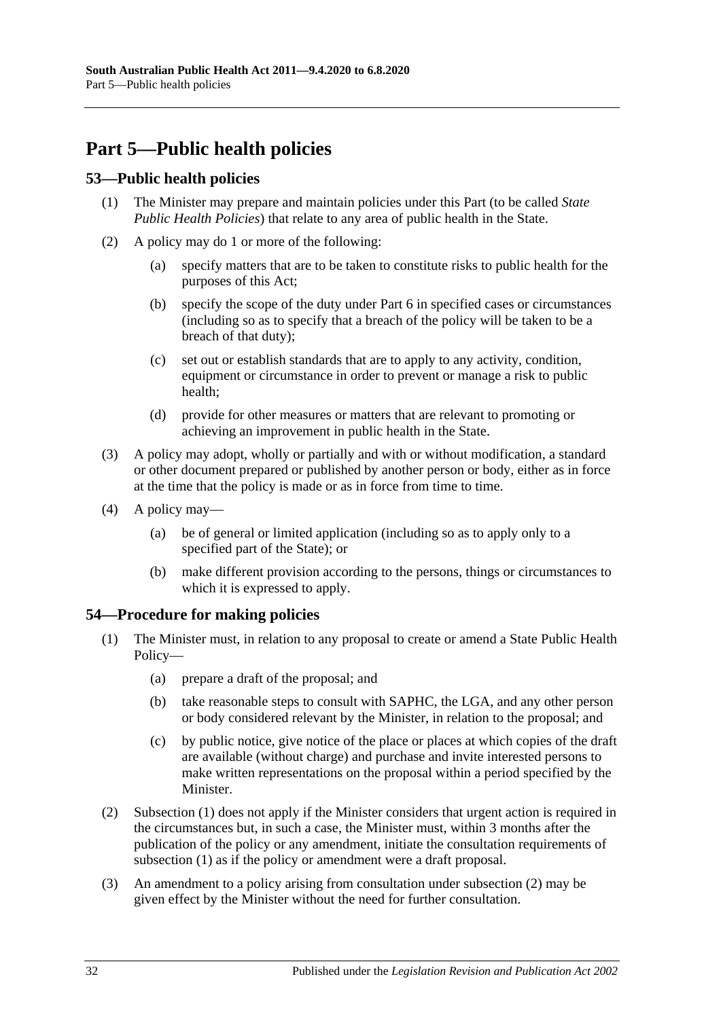# <span id="page-31-0"></span>**Part 5—Public health policies**

## <span id="page-31-1"></span>**53—Public health policies**

- (1) The Minister may prepare and maintain policies under this Part (to be called *State Public Health Policies*) that relate to any area of public health in the State.
- (2) A policy may do 1 or more of the following:
	- (a) specify matters that are to be taken to constitute risks to public health for the purposes of this Act;
	- (b) specify the scope of the duty under [Part](#page-32-1) 6 in specified cases or circumstances (including so as to specify that a breach of the policy will be taken to be a breach of that duty);
	- (c) set out or establish standards that are to apply to any activity, condition, equipment or circumstance in order to prevent or manage a risk to public health;
	- (d) provide for other measures or matters that are relevant to promoting or achieving an improvement in public health in the State.
- (3) A policy may adopt, wholly or partially and with or without modification, a standard or other document prepared or published by another person or body, either as in force at the time that the policy is made or as in force from time to time.
- (4) A policy may—
	- (a) be of general or limited application (including so as to apply only to a specified part of the State); or
	- (b) make different provision according to the persons, things or circumstances to which it is expressed to apply.

## <span id="page-31-3"></span><span id="page-31-2"></span>**54—Procedure for making policies**

- (1) The Minister must, in relation to any proposal to create or amend a State Public Health Policy—
	- (a) prepare a draft of the proposal; and
	- (b) take reasonable steps to consult with SAPHC, the LGA, and any other person or body considered relevant by the Minister, in relation to the proposal; and
	- (c) by public notice, give notice of the place or places at which copies of the draft are available (without charge) and purchase and invite interested persons to make written representations on the proposal within a period specified by the Minister.
- <span id="page-31-4"></span>(2) [Subsection](#page-31-3) (1) does not apply if the Minister considers that urgent action is required in the circumstances but, in such a case, the Minister must, within 3 months after the publication of the policy or any amendment, initiate the consultation requirements of [subsection](#page-31-3) (1) as if the policy or amendment were a draft proposal.
- (3) An amendment to a policy arising from consultation under [subsection](#page-31-4) (2) may be given effect by the Minister without the need for further consultation.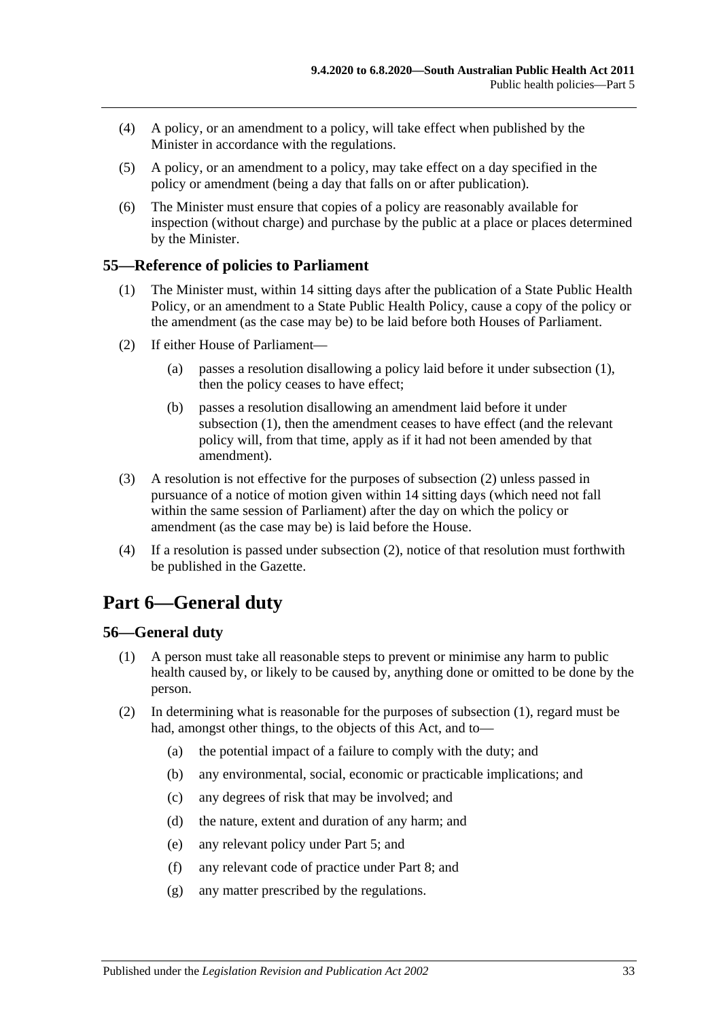- (4) A policy, or an amendment to a policy, will take effect when published by the Minister in accordance with the regulations.
- (5) A policy, or an amendment to a policy, may take effect on a day specified in the policy or amendment (being a day that falls on or after publication).
- (6) The Minister must ensure that copies of a policy are reasonably available for inspection (without charge) and purchase by the public at a place or places determined by the Minister.

## <span id="page-32-3"></span><span id="page-32-0"></span>**55—Reference of policies to Parliament**

- (1) The Minister must, within 14 sitting days after the publication of a State Public Health Policy, or an amendment to a State Public Health Policy, cause a copy of the policy or the amendment (as the case may be) to be laid before both Houses of Parliament.
- <span id="page-32-4"></span>(2) If either House of Parliament—
	- (a) passes a resolution disallowing a policy laid before it under [subsection](#page-32-3) (1), then the policy ceases to have effect;
	- (b) passes a resolution disallowing an amendment laid before it under [subsection](#page-32-3) (1), then the amendment ceases to have effect (and the relevant policy will, from that time, apply as if it had not been amended by that amendment).
- (3) A resolution is not effective for the purposes of [subsection](#page-32-4) (2) unless passed in pursuance of a notice of motion given within 14 sitting days (which need not fall within the same session of Parliament) after the day on which the policy or amendment (as the case may be) is laid before the House.
- (4) If a resolution is passed under [subsection](#page-32-4) (2), notice of that resolution must forthwith be published in the Gazette.

# <span id="page-32-1"></span>**Part 6—General duty**

## <span id="page-32-5"></span><span id="page-32-2"></span>**56—General duty**

- (1) A person must take all reasonable steps to prevent or minimise any harm to public health caused by, or likely to be caused by, anything done or omitted to be done by the person.
- (2) In determining what is reasonable for the purposes of [subsection](#page-32-5) (1), regard must be had, amongst other things, to the objects of this Act, and to—
	- (a) the potential impact of a failure to comply with the duty; and
	- (b) any environmental, social, economic or practicable implications; and
	- (c) any degrees of risk that may be involved; and
	- (d) the nature, extent and duration of any harm; and
	- (e) any relevant policy under [Part](#page-31-0) 5; and
	- (f) any relevant code of practice under [Part](#page-35-0) 8; and
	- (g) any matter prescribed by the regulations.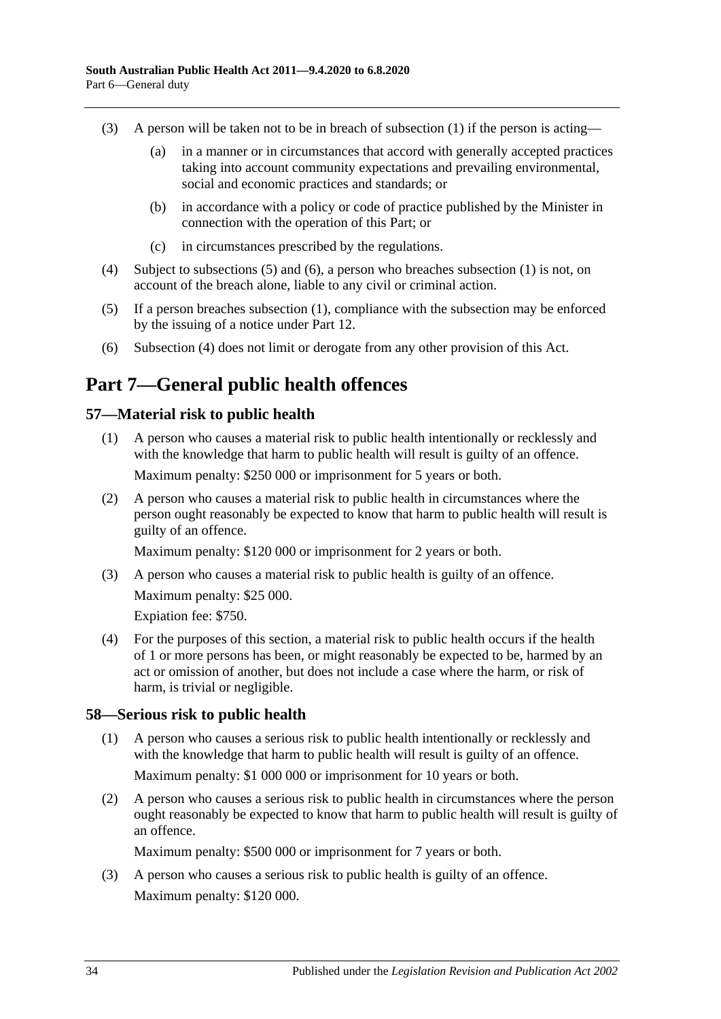- (3) A person will be taken not to be in breach of [subsection](#page-32-5) (1) if the person is acting—
	- (a) in a manner or in circumstances that accord with generally accepted practices taking into account community expectations and prevailing environmental, social and economic practices and standards; or
	- (b) in accordance with a policy or code of practice published by the Minister in connection with the operation of this Part; or
	- (c) in circumstances prescribed by the regulations.
- <span id="page-33-5"></span>(4) Subject to [subsections](#page-33-3) (5) and [\(6\),](#page-33-4) a person who breaches [subsection](#page-32-5) (1) is not, on account of the breach alone, liable to any civil or criminal action.
- <span id="page-33-3"></span>(5) If a person breaches [subsection](#page-32-5) (1), compliance with the subsection may be enforced by the issuing of a notice under [Part](#page-59-0) 12.
- <span id="page-33-4"></span>(6) [Subsection](#page-33-5) (4) does not limit or derogate from any other provision of this Act.

# <span id="page-33-0"></span>**Part 7—General public health offences**

## <span id="page-33-1"></span>**57—Material risk to public health**

- (1) A person who causes a material risk to public health intentionally or recklessly and with the knowledge that harm to public health will result is guilty of an offence. Maximum penalty: \$250 000 or imprisonment for 5 years or both.
- (2) A person who causes a material risk to public health in circumstances where the person ought reasonably be expected to know that harm to public health will result is guilty of an offence.

Maximum penalty: \$120 000 or imprisonment for 2 years or both.

(3) A person who causes a material risk to public health is guilty of an offence. Maximum penalty: \$25 000.

Expiation fee: \$750.

(4) For the purposes of this section, a material risk to public health occurs if the health of 1 or more persons has been, or might reasonably be expected to be, harmed by an act or omission of another, but does not include a case where the harm, or risk of harm, is trivial or negligible.

## <span id="page-33-2"></span>**58—Serious risk to public health**

- (1) A person who causes a serious risk to public health intentionally or recklessly and with the knowledge that harm to public health will result is guilty of an offence. Maximum penalty: \$1 000 000 or imprisonment for 10 years or both.
- (2) A person who causes a serious risk to public health in circumstances where the person ought reasonably be expected to know that harm to public health will result is guilty of an offence.

Maximum penalty: \$500 000 or imprisonment for 7 years or both.

(3) A person who causes a serious risk to public health is guilty of an offence. Maximum penalty: \$120 000.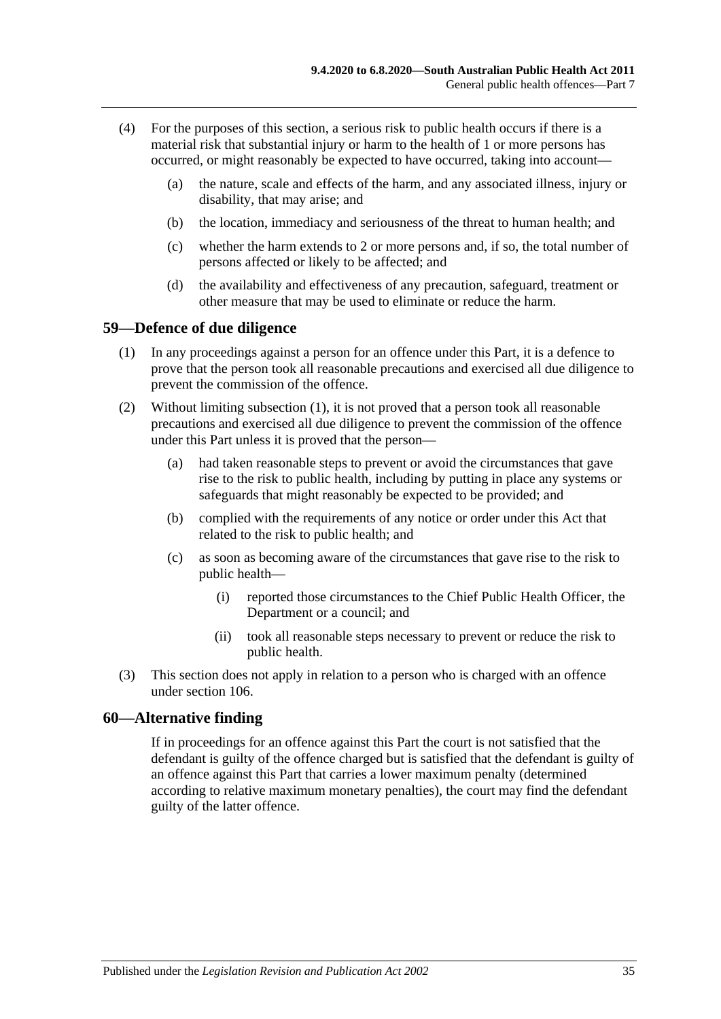- (4) For the purposes of this section, a serious risk to public health occurs if there is a material risk that substantial injury or harm to the health of 1 or more persons has occurred, or might reasonably be expected to have occurred, taking into account—
	- (a) the nature, scale and effects of the harm, and any associated illness, injury or disability, that may arise; and
	- (b) the location, immediacy and seriousness of the threat to human health; and
	- (c) whether the harm extends to 2 or more persons and, if so, the total number of persons affected or likely to be affected; and
	- (d) the availability and effectiveness of any precaution, safeguard, treatment or other measure that may be used to eliminate or reduce the harm.

#### <span id="page-34-2"></span><span id="page-34-0"></span>**59—Defence of due diligence**

- (1) In any proceedings against a person for an offence under this Part, it is a defence to prove that the person took all reasonable precautions and exercised all due diligence to prevent the commission of the offence.
- (2) Without limiting [subsection](#page-34-2) (1), it is not proved that a person took all reasonable precautions and exercised all due diligence to prevent the commission of the offence under this Part unless it is proved that the person—
	- (a) had taken reasonable steps to prevent or avoid the circumstances that gave rise to the risk to public health, including by putting in place any systems or safeguards that might reasonably be expected to be provided; and
	- (b) complied with the requirements of any notice or order under this Act that related to the risk to public health; and
	- (c) as soon as becoming aware of the circumstances that gave rise to the risk to public health—
		- (i) reported those circumstances to the Chief Public Health Officer, the Department or a council; and
		- (ii) took all reasonable steps necessary to prevent or reduce the risk to public health.
- (3) This section does not apply in relation to a person who is charged with an offence under [section](#page-74-2) 106.

#### <span id="page-34-1"></span>**60—Alternative finding**

If in proceedings for an offence against this Part the court is not satisfied that the defendant is guilty of the offence charged but is satisfied that the defendant is guilty of an offence against this Part that carries a lower maximum penalty (determined according to relative maximum monetary penalties), the court may find the defendant guilty of the latter offence.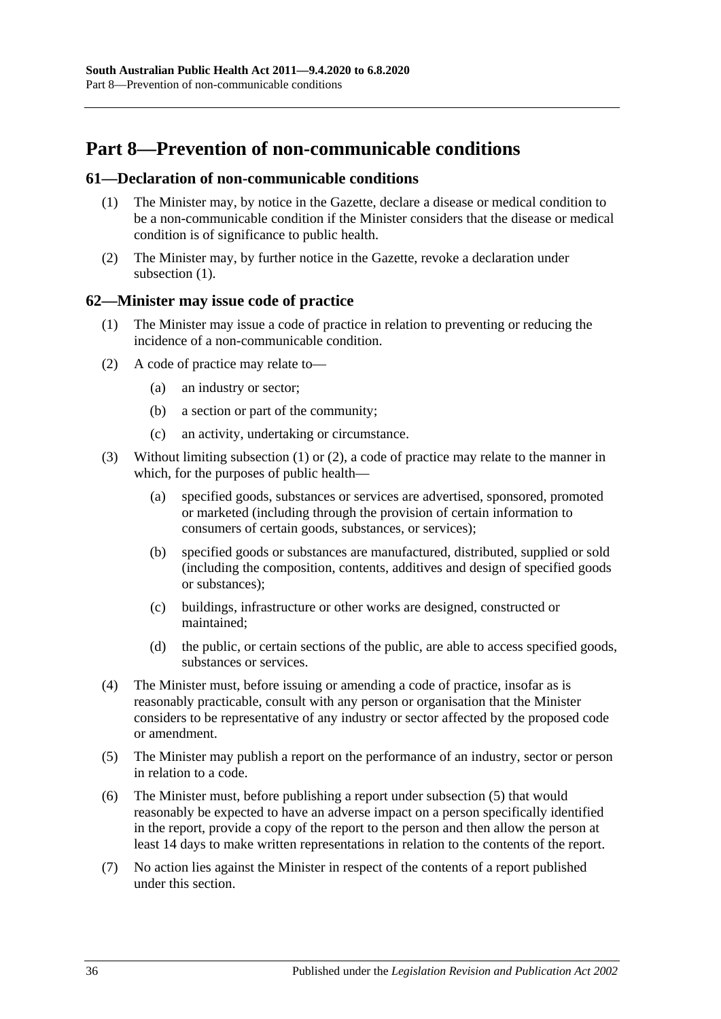# <span id="page-35-0"></span>**Part 8—Prevention of non-communicable conditions**

#### <span id="page-35-3"></span><span id="page-35-1"></span>**61—Declaration of non-communicable conditions**

- (1) The Minister may, by notice in the Gazette, declare a disease or medical condition to be a non-communicable condition if the Minister considers that the disease or medical condition is of significance to public health.
- (2) The Minister may, by further notice in the Gazette, revoke a declaration under [subsection](#page-35-3) (1).

#### <span id="page-35-4"></span><span id="page-35-2"></span>**62—Minister may issue code of practice**

- (1) The Minister may issue a code of practice in relation to preventing or reducing the incidence of a non-communicable condition.
- <span id="page-35-5"></span>(2) A code of practice may relate to—
	- (a) an industry or sector;
	- (b) a section or part of the community;
	- (c) an activity, undertaking or circumstance.
- (3) Without limiting [subsection](#page-35-4) (1) or [\(2\),](#page-35-5) a code of practice may relate to the manner in which, for the purposes of public health—
	- (a) specified goods, substances or services are advertised, sponsored, promoted or marketed (including through the provision of certain information to consumers of certain goods, substances, or services);
	- (b) specified goods or substances are manufactured, distributed, supplied or sold (including the composition, contents, additives and design of specified goods or substances);
	- (c) buildings, infrastructure or other works are designed, constructed or maintained;
	- (d) the public, or certain sections of the public, are able to access specified goods, substances or services.
- (4) The Minister must, before issuing or amending a code of practice, insofar as is reasonably practicable, consult with any person or organisation that the Minister considers to be representative of any industry or sector affected by the proposed code or amendment.
- <span id="page-35-6"></span>(5) The Minister may publish a report on the performance of an industry, sector or person in relation to a code.
- (6) The Minister must, before publishing a report under [subsection](#page-35-6) (5) that would reasonably be expected to have an adverse impact on a person specifically identified in the report, provide a copy of the report to the person and then allow the person at least 14 days to make written representations in relation to the contents of the report.
- (7) No action lies against the Minister in respect of the contents of a report published under this section.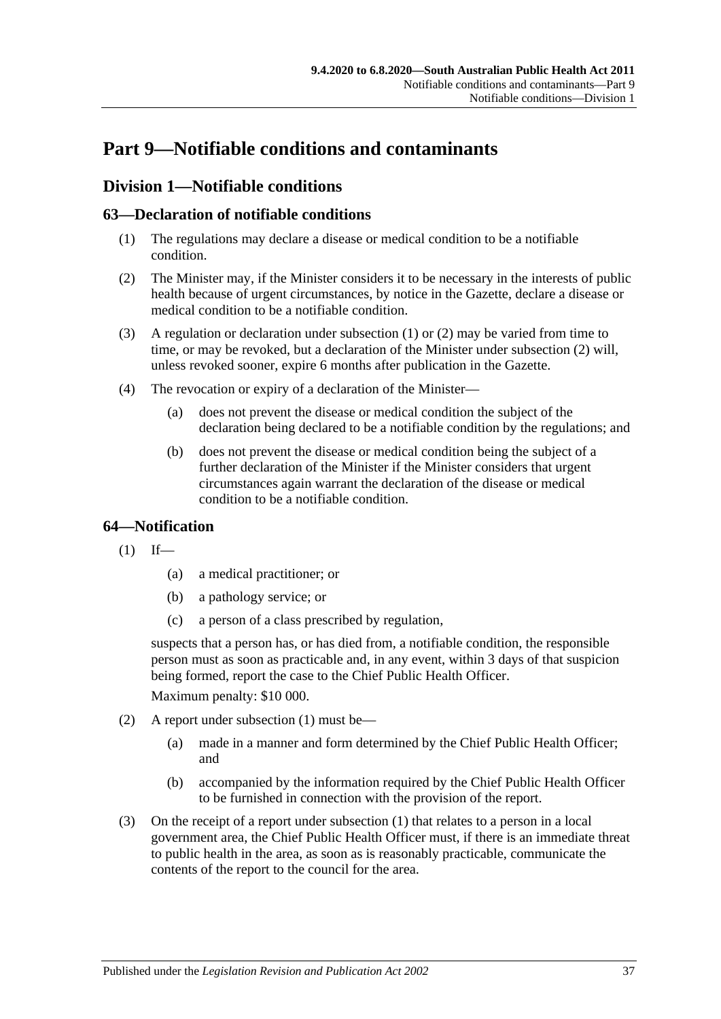# **Part 9—Notifiable conditions and contaminants**

## **Division 1—Notifiable conditions**

## <span id="page-36-0"></span>**63—Declaration of notifiable conditions**

- (1) The regulations may declare a disease or medical condition to be a notifiable condition.
- <span id="page-36-1"></span>(2) The Minister may, if the Minister considers it to be necessary in the interests of public health because of urgent circumstances, by notice in the Gazette, declare a disease or medical condition to be a notifiable condition.
- (3) A regulation or declaration under [subsection](#page-36-0) (1) or [\(2\)](#page-36-1) may be varied from time to time, or may be revoked, but a declaration of the Minister under [subsection](#page-36-1) (2) will, unless revoked sooner, expire 6 months after publication in the Gazette.
- (4) The revocation or expiry of a declaration of the Minister—
	- (a) does not prevent the disease or medical condition the subject of the declaration being declared to be a notifiable condition by the regulations; and
	- (b) does not prevent the disease or medical condition being the subject of a further declaration of the Minister if the Minister considers that urgent circumstances again warrant the declaration of the disease or medical condition to be a notifiable condition.

## <span id="page-36-2"></span>**64—Notification**

 $(1)$  If—

- (a) a medical practitioner; or
- (b) a pathology service; or
- (c) a person of a class prescribed by regulation,

suspects that a person has, or has died from, a notifiable condition, the responsible person must as soon as practicable and, in any event, within 3 days of that suspicion being formed, report the case to the Chief Public Health Officer.

Maximum penalty: \$10 000.

- (2) A report under [subsection](#page-36-2) (1) must be—
	- (a) made in a manner and form determined by the Chief Public Health Officer; and
	- (b) accompanied by the information required by the Chief Public Health Officer to be furnished in connection with the provision of the report.
- (3) On the receipt of a report under [subsection](#page-36-2) (1) that relates to a person in a local government area, the Chief Public Health Officer must, if there is an immediate threat to public health in the area, as soon as is reasonably practicable, communicate the contents of the report to the council for the area.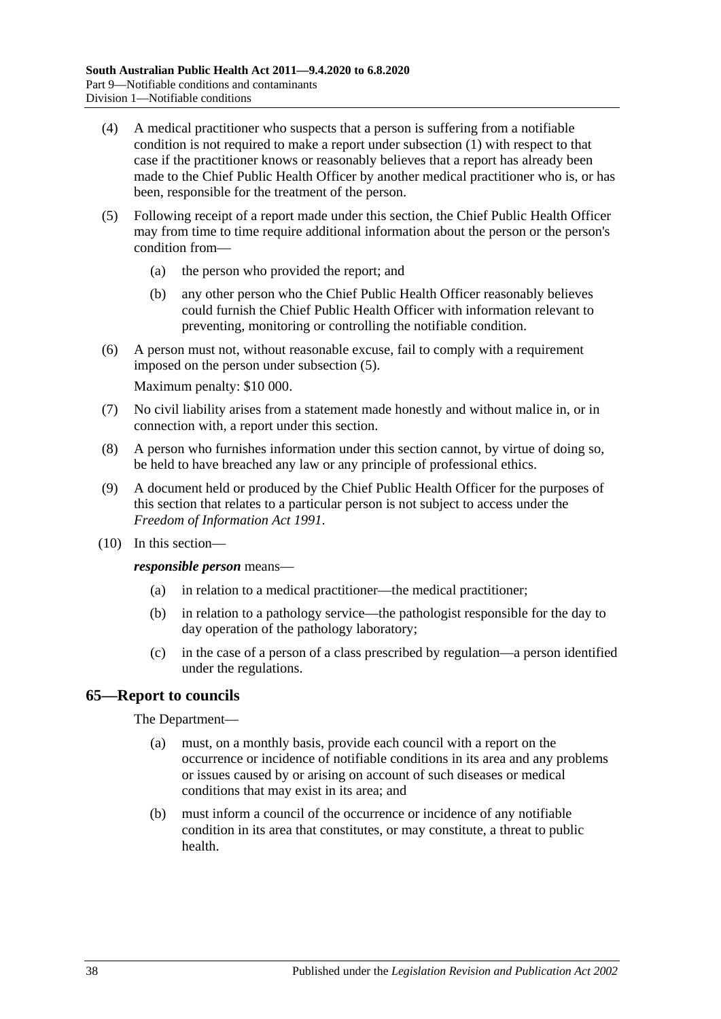- (4) A medical practitioner who suspects that a person is suffering from a notifiable condition is not required to make a report under [subsection](#page-36-2) (1) with respect to that case if the practitioner knows or reasonably believes that a report has already been made to the Chief Public Health Officer by another medical practitioner who is, or has been, responsible for the treatment of the person.
- <span id="page-37-0"></span>(5) Following receipt of a report made under this section, the Chief Public Health Officer may from time to time require additional information about the person or the person's condition from—
	- (a) the person who provided the report; and
	- (b) any other person who the Chief Public Health Officer reasonably believes could furnish the Chief Public Health Officer with information relevant to preventing, monitoring or controlling the notifiable condition.
- (6) A person must not, without reasonable excuse, fail to comply with a requirement imposed on the person under [subsection](#page-37-0) (5).

Maximum penalty: \$10 000.

- (7) No civil liability arises from a statement made honestly and without malice in, or in connection with, a report under this section.
- (8) A person who furnishes information under this section cannot, by virtue of doing so, be held to have breached any law or any principle of professional ethics.
- (9) A document held or produced by the Chief Public Health Officer for the purposes of this section that relates to a particular person is not subject to access under the *[Freedom of Information Act](http://www.legislation.sa.gov.au/index.aspx?action=legref&type=act&legtitle=Freedom%20of%20Information%20Act%201991) 1991*.
- (10) In this section—

*responsible person* means—

- (a) in relation to a medical practitioner—the medical practitioner;
- (b) in relation to a pathology service—the pathologist responsible for the day to day operation of the pathology laboratory;
- (c) in the case of a person of a class prescribed by regulation—a person identified under the regulations.

#### **65—Report to councils**

#### The Department—

- (a) must, on a monthly basis, provide each council with a report on the occurrence or incidence of notifiable conditions in its area and any problems or issues caused by or arising on account of such diseases or medical conditions that may exist in its area; and
- (b) must inform a council of the occurrence or incidence of any notifiable condition in its area that constitutes, or may constitute, a threat to public health.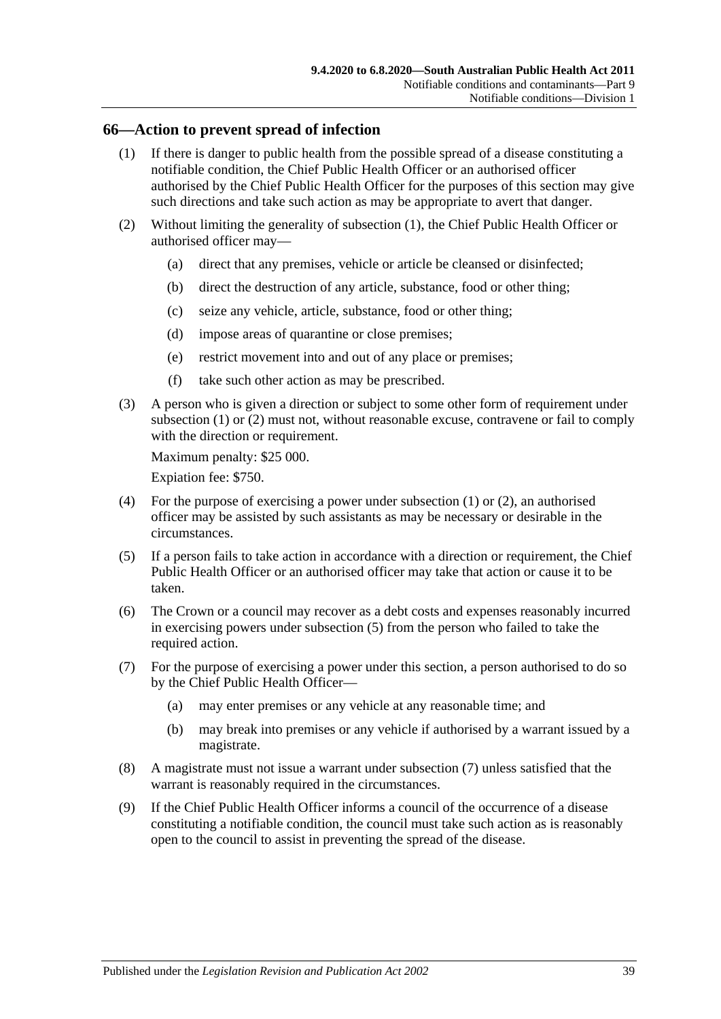#### <span id="page-38-0"></span>**66—Action to prevent spread of infection**

- (1) If there is danger to public health from the possible spread of a disease constituting a notifiable condition, the Chief Public Health Officer or an authorised officer authorised by the Chief Public Health Officer for the purposes of this section may give such directions and take such action as may be appropriate to avert that danger.
- <span id="page-38-1"></span>(2) Without limiting the generality of [subsection](#page-38-0) (1), the Chief Public Health Officer or authorised officer may—
	- (a) direct that any premises, vehicle or article be cleansed or disinfected;
	- (b) direct the destruction of any article, substance, food or other thing;
	- (c) seize any vehicle, article, substance, food or other thing;
	- (d) impose areas of quarantine or close premises;
	- (e) restrict movement into and out of any place or premises;
	- (f) take such other action as may be prescribed.
- (3) A person who is given a direction or subject to some other form of requirement under [subsection](#page-38-0) (1) or [\(2\)](#page-38-1) must not, without reasonable excuse, contravene or fail to comply with the direction or requirement.

Maximum penalty: \$25 000.

Expiation fee: \$750.

- (4) For the purpose of exercising a power under [subsection](#page-38-0) (1) or [\(2\),](#page-38-1) an authorised officer may be assisted by such assistants as may be necessary or desirable in the circumstances.
- <span id="page-38-2"></span>(5) If a person fails to take action in accordance with a direction or requirement, the Chief Public Health Officer or an authorised officer may take that action or cause it to be taken.
- (6) The Crown or a council may recover as a debt costs and expenses reasonably incurred in exercising powers under [subsection](#page-38-2) (5) from the person who failed to take the required action.
- <span id="page-38-3"></span>(7) For the purpose of exercising a power under this section, a person authorised to do so by the Chief Public Health Officer—
	- (a) may enter premises or any vehicle at any reasonable time; and
	- (b) may break into premises or any vehicle if authorised by a warrant issued by a magistrate.
- (8) A magistrate must not issue a warrant under [subsection](#page-38-3) (7) unless satisfied that the warrant is reasonably required in the circumstances.
- (9) If the Chief Public Health Officer informs a council of the occurrence of a disease constituting a notifiable condition, the council must take such action as is reasonably open to the council to assist in preventing the spread of the disease.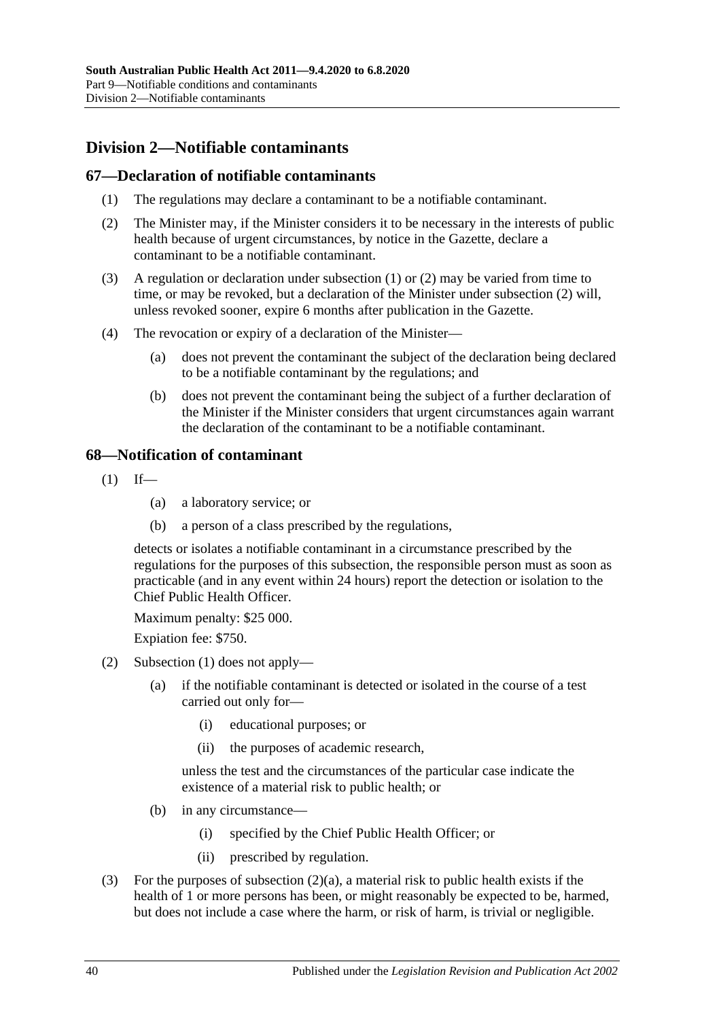# **Division 2—Notifiable contaminants**

#### <span id="page-39-0"></span>**67—Declaration of notifiable contaminants**

- (1) The regulations may declare a contaminant to be a notifiable contaminant.
- <span id="page-39-1"></span>(2) The Minister may, if the Minister considers it to be necessary in the interests of public health because of urgent circumstances, by notice in the Gazette, declare a contaminant to be a notifiable contaminant.
- (3) A regulation or declaration under [subsection](#page-39-0) (1) or [\(2\)](#page-39-1) may be varied from time to time, or may be revoked, but a declaration of the Minister under [subsection](#page-39-1) (2) will, unless revoked sooner, expire 6 months after publication in the Gazette.
- (4) The revocation or expiry of a declaration of the Minister—
	- (a) does not prevent the contaminant the subject of the declaration being declared to be a notifiable contaminant by the regulations; and
	- (b) does not prevent the contaminant being the subject of a further declaration of the Minister if the Minister considers that urgent circumstances again warrant the declaration of the contaminant to be a notifiable contaminant.

#### <span id="page-39-2"></span>**68—Notification of contaminant**

- $(1)$  If—
	- (a) a laboratory service; or
	- (b) a person of a class prescribed by the regulations,

detects or isolates a notifiable contaminant in a circumstance prescribed by the regulations for the purposes of this subsection, the responsible person must as soon as practicable (and in any event within 24 hours) report the detection or isolation to the Chief Public Health Officer.

Maximum penalty: \$25 000.

Expiation fee: \$750.

- <span id="page-39-3"></span>(2) [Subsection](#page-39-2) (1) does not apply—
	- (a) if the notifiable contaminant is detected or isolated in the course of a test carried out only for—
		- (i) educational purposes; or
		- (ii) the purposes of academic research,

unless the test and the circumstances of the particular case indicate the existence of a material risk to public health; or

- (b) in any circumstance—
	- (i) specified by the Chief Public Health Officer; or
	- (ii) prescribed by regulation.
- (3) For the purposes of [subsection](#page-39-3) (2)(a), a material risk to public health exists if the health of 1 or more persons has been, or might reasonably be expected to be, harmed, but does not include a case where the harm, or risk of harm, is trivial or negligible.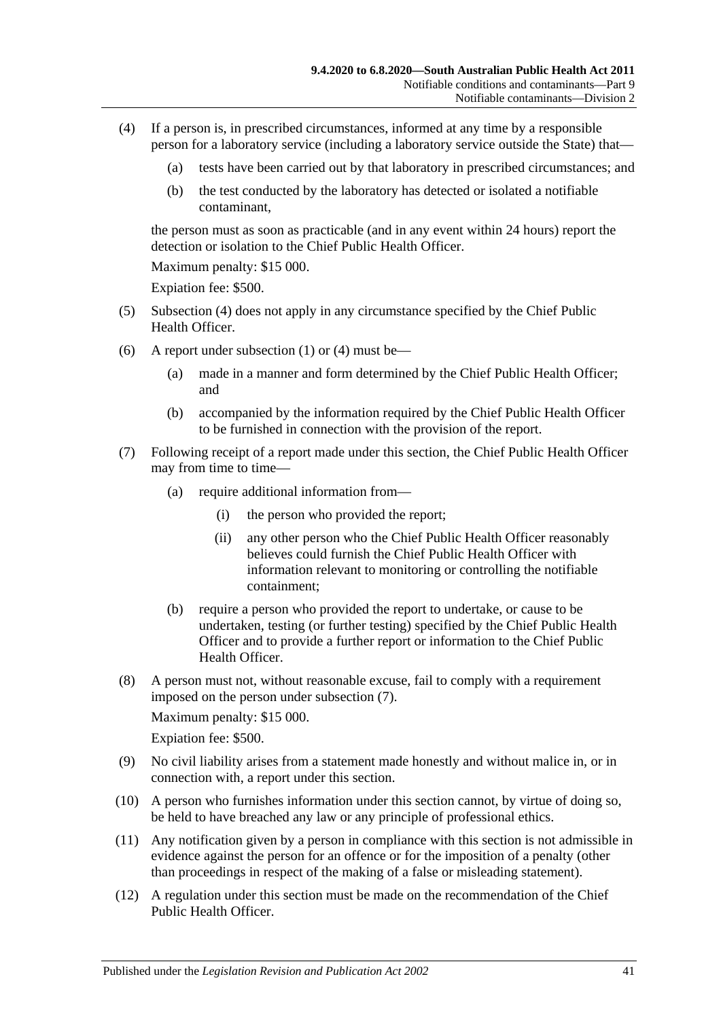- <span id="page-40-0"></span>(4) If a person is, in prescribed circumstances, informed at any time by a responsible person for a laboratory service (including a laboratory service outside the State) that—
	- (a) tests have been carried out by that laboratory in prescribed circumstances; and
	- (b) the test conducted by the laboratory has detected or isolated a notifiable contaminant,

the person must as soon as practicable (and in any event within 24 hours) report the detection or isolation to the Chief Public Health Officer

Maximum penalty: \$15 000.

Expiation fee: \$500.

- (5) [Subsection](#page-40-0) (4) does not apply in any circumstance specified by the Chief Public Health Officer.
- (6) A report under [subsection](#page-39-2) (1) or [\(4\)](#page-40-0) must be—
	- (a) made in a manner and form determined by the Chief Public Health Officer; and
	- (b) accompanied by the information required by the Chief Public Health Officer to be furnished in connection with the provision of the report.
- <span id="page-40-1"></span>(7) Following receipt of a report made under this section, the Chief Public Health Officer may from time to time—
	- (a) require additional information from—
		- (i) the person who provided the report;
		- (ii) any other person who the Chief Public Health Officer reasonably believes could furnish the Chief Public Health Officer with information relevant to monitoring or controlling the notifiable containment;
	- (b) require a person who provided the report to undertake, or cause to be undertaken, testing (or further testing) specified by the Chief Public Health Officer and to provide a further report or information to the Chief Public Health Officer.
- (8) A person must not, without reasonable excuse, fail to comply with a requirement imposed on the person under [subsection](#page-40-1) (7).

Maximum penalty: \$15 000.

Expiation fee: \$500.

- (9) No civil liability arises from a statement made honestly and without malice in, or in connection with, a report under this section.
- (10) A person who furnishes information under this section cannot, by virtue of doing so, be held to have breached any law or any principle of professional ethics.
- (11) Any notification given by a person in compliance with this section is not admissible in evidence against the person for an offence or for the imposition of a penalty (other than proceedings in respect of the making of a false or misleading statement).
- <span id="page-40-2"></span>(12) A regulation under this section must be made on the recommendation of the Chief Public Health Officer.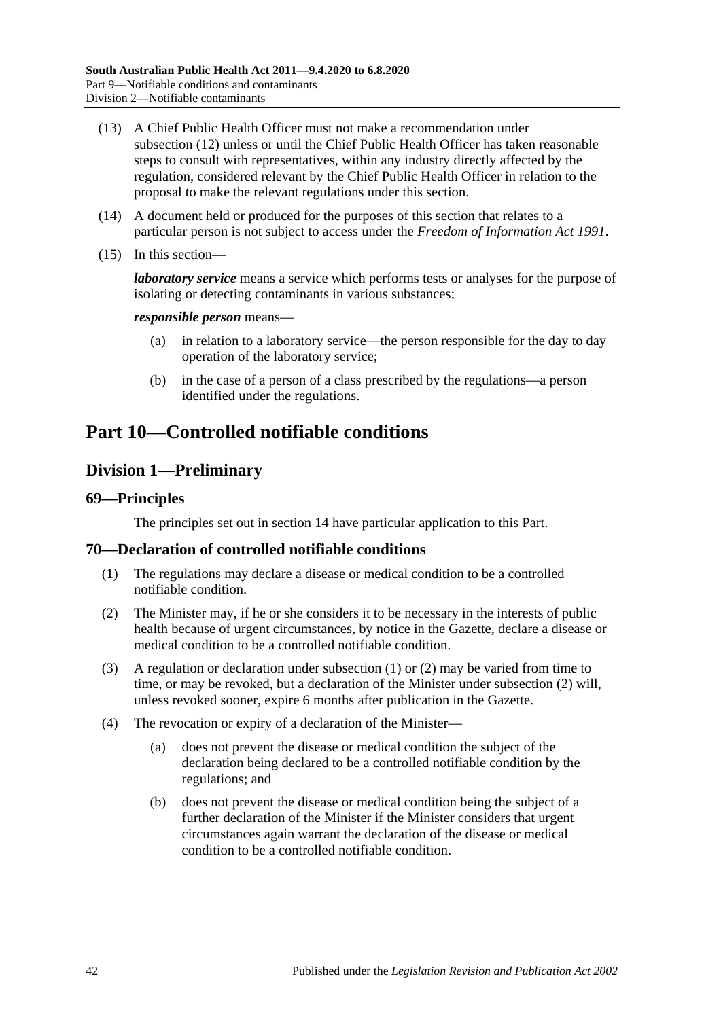- (13) A Chief Public Health Officer must not make a recommendation under [subsection](#page-40-2) (12) unless or until the Chief Public Health Officer has taken reasonable steps to consult with representatives, within any industry directly affected by the regulation, considered relevant by the Chief Public Health Officer in relation to the proposal to make the relevant regulations under this section.
- (14) A document held or produced for the purposes of this section that relates to a particular person is not subject to access under the *[Freedom of Information Act](http://www.legislation.sa.gov.au/index.aspx?action=legref&type=act&legtitle=Freedom%20of%20Information%20Act%201991) 1991*.
- (15) In this section—

*laboratory service* means a service which performs tests or analyses for the purpose of isolating or detecting contaminants in various substances;

#### *responsible person* means—

- (a) in relation to a laboratory service—the person responsible for the day to day operation of the laboratory service;
- (b) in the case of a person of a class prescribed by the regulations—a person identified under the regulations.

# <span id="page-41-2"></span>**Part 10—Controlled notifiable conditions**

## **Division 1—Preliminary**

#### **69—Principles**

The principles set out in [section](#page-9-0) 14 have particular application to this Part.

#### <span id="page-41-0"></span>**70—Declaration of controlled notifiable conditions**

- (1) The regulations may declare a disease or medical condition to be a controlled notifiable condition.
- <span id="page-41-1"></span>(2) The Minister may, if he or she considers it to be necessary in the interests of public health because of urgent circumstances, by notice in the Gazette, declare a disease or medical condition to be a controlled notifiable condition.
- (3) A regulation or declaration under [subsection](#page-41-0) (1) or [\(2\)](#page-41-1) may be varied from time to time, or may be revoked, but a declaration of the Minister under [subsection](#page-41-1) (2) will, unless revoked sooner, expire 6 months after publication in the Gazette.
- (4) The revocation or expiry of a declaration of the Minister—
	- (a) does not prevent the disease or medical condition the subject of the declaration being declared to be a controlled notifiable condition by the regulations; and
	- (b) does not prevent the disease or medical condition being the subject of a further declaration of the Minister if the Minister considers that urgent circumstances again warrant the declaration of the disease or medical condition to be a controlled notifiable condition.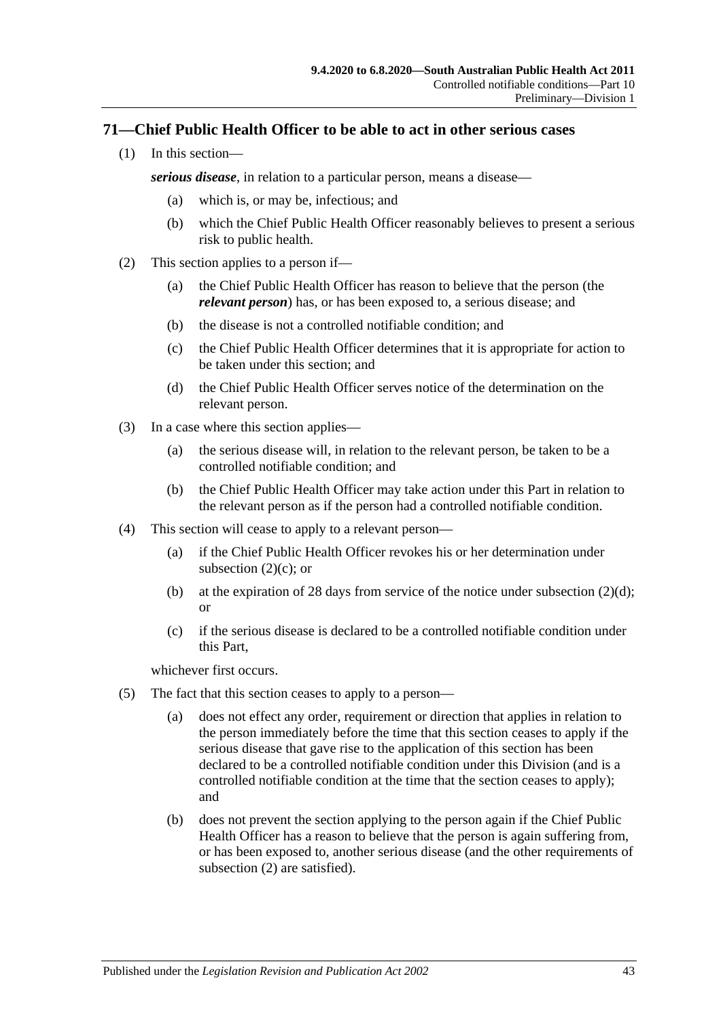## **71—Chief Public Health Officer to be able to act in other serious cases**

(1) In this section—

*serious disease*, in relation to a particular person, means a disease—

- (a) which is, or may be, infectious; and
- (b) which the Chief Public Health Officer reasonably believes to present a serious risk to public health.
- <span id="page-42-2"></span><span id="page-42-0"></span>(2) This section applies to a person if—
	- (a) the Chief Public Health Officer has reason to believe that the person (the *relevant person*) has, or has been exposed to, a serious disease; and
	- (b) the disease is not a controlled notifiable condition; and
	- (c) the Chief Public Health Officer determines that it is appropriate for action to be taken under this section; and
	- (d) the Chief Public Health Officer serves notice of the determination on the relevant person.
- <span id="page-42-1"></span>(3) In a case where this section applies—
	- (a) the serious disease will, in relation to the relevant person, be taken to be a controlled notifiable condition; and
	- (b) the Chief Public Health Officer may take action under this Part in relation to the relevant person as if the person had a controlled notifiable condition.
- (4) This section will cease to apply to a relevant person—
	- (a) if the Chief Public Health Officer revokes his or her determination under [subsection](#page-42-0)  $(2)(c)$ ; or
	- (b) at the expiration of 28 days from service of the notice under [subsection](#page-42-1)  $(2)(d)$ ; or
	- (c) if the serious disease is declared to be a controlled notifiable condition under this Part,

whichever first occurs.

- (5) The fact that this section ceases to apply to a person—
	- (a) does not effect any order, requirement or direction that applies in relation to the person immediately before the time that this section ceases to apply if the serious disease that gave rise to the application of this section has been declared to be a controlled notifiable condition under this Division (and is a controlled notifiable condition at the time that the section ceases to apply); and
	- (b) does not prevent the section applying to the person again if the Chief Public Health Officer has a reason to believe that the person is again suffering from, or has been exposed to, another serious disease (and the other requirements of [subsection](#page-42-2) (2) are satisfied).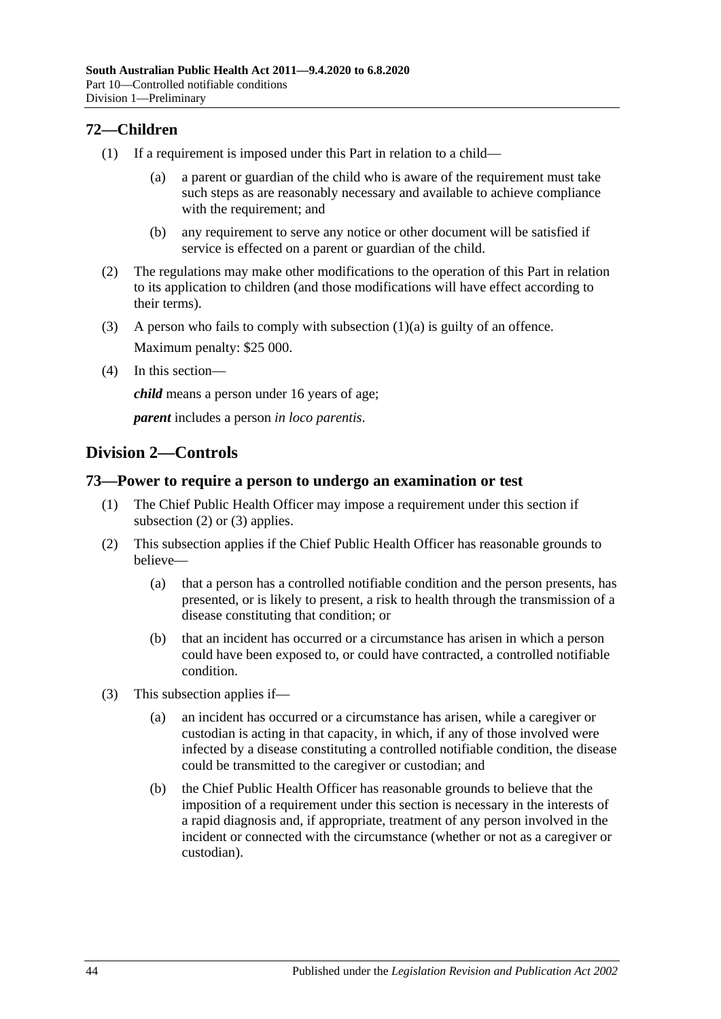## **72—Children**

- <span id="page-43-0"></span>(1) If a requirement is imposed under this Part in relation to a child—
	- (a) a parent or guardian of the child who is aware of the requirement must take such steps as are reasonably necessary and available to achieve compliance with the requirement; and
	- (b) any requirement to serve any notice or other document will be satisfied if service is effected on a parent or guardian of the child.
- (2) The regulations may make other modifications to the operation of this Part in relation to its application to children (and those modifications will have effect according to their terms).
- (3) A person who fails to comply with [subsection](#page-43-0)  $(1)(a)$  is guilty of an offence. Maximum penalty: \$25 000.
- (4) In this section—

*child* means a person under 16 years of age;

*parent* includes a person *in loco parentis*.

## **Division 2—Controls**

#### **73—Power to require a person to undergo an examination or test**

- (1) The Chief Public Health Officer may impose a requirement under this section if [subsection](#page-43-1) (2) or [\(3\)](#page-43-2) applies.
- <span id="page-43-1"></span>(2) This subsection applies if the Chief Public Health Officer has reasonable grounds to believe—
	- (a) that a person has a controlled notifiable condition and the person presents, has presented, or is likely to present, a risk to health through the transmission of a disease constituting that condition; or
	- (b) that an incident has occurred or a circumstance has arisen in which a person could have been exposed to, or could have contracted, a controlled notifiable condition.
- <span id="page-43-2"></span>(3) This subsection applies if—
	- (a) an incident has occurred or a circumstance has arisen, while a caregiver or custodian is acting in that capacity, in which, if any of those involved were infected by a disease constituting a controlled notifiable condition, the disease could be transmitted to the caregiver or custodian; and
	- (b) the Chief Public Health Officer has reasonable grounds to believe that the imposition of a requirement under this section is necessary in the interests of a rapid diagnosis and, if appropriate, treatment of any person involved in the incident or connected with the circumstance (whether or not as a caregiver or custodian).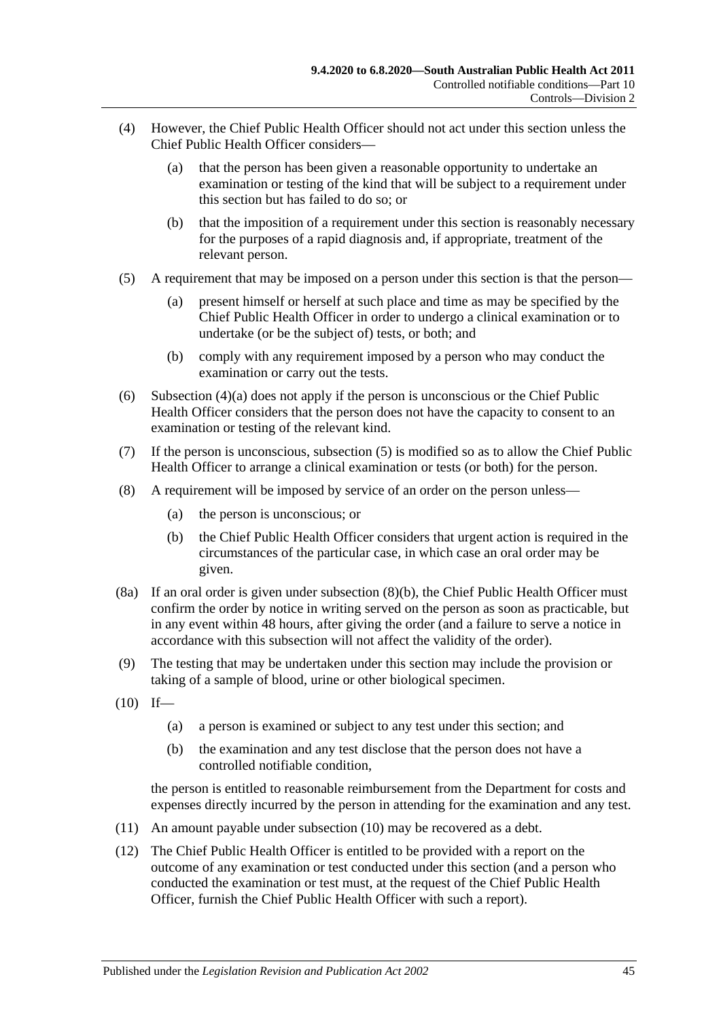- <span id="page-44-0"></span>(4) However, the Chief Public Health Officer should not act under this section unless the Chief Public Health Officer considers—
	- (a) that the person has been given a reasonable opportunity to undertake an examination or testing of the kind that will be subject to a requirement under this section but has failed to do so; or
	- (b) that the imposition of a requirement under this section is reasonably necessary for the purposes of a rapid diagnosis and, if appropriate, treatment of the relevant person.
- <span id="page-44-1"></span>(5) A requirement that may be imposed on a person under this section is that the person—
	- (a) present himself or herself at such place and time as may be specified by the Chief Public Health Officer in order to undergo a clinical examination or to undertake (or be the subject of) tests, or both; and
	- (b) comply with any requirement imposed by a person who may conduct the examination or carry out the tests.
- (6) [Subsection](#page-44-0) (4)(a) does not apply if the person is unconscious or the Chief Public Health Officer considers that the person does not have the capacity to consent to an examination or testing of the relevant kind.
- (7) If the person is unconscious, [subsection](#page-44-1) (5) is modified so as to allow the Chief Public Health Officer to arrange a clinical examination or tests (or both) for the person.
- <span id="page-44-2"></span>(8) A requirement will be imposed by service of an order on the person unless—
	- (a) the person is unconscious; or
	- (b) the Chief Public Health Officer considers that urgent action is required in the circumstances of the particular case, in which case an oral order may be given.
- (8a) If an oral order is given under [subsection](#page-44-2) (8)(b), the Chief Public Health Officer must confirm the order by notice in writing served on the person as soon as practicable, but in any event within 48 hours, after giving the order (and a failure to serve a notice in accordance with this subsection will not affect the validity of the order).
- (9) The testing that may be undertaken under this section may include the provision or taking of a sample of blood, urine or other biological specimen.
- <span id="page-44-3"></span> $(10)$  If—
	- (a) a person is examined or subject to any test under this section; and
	- (b) the examination and any test disclose that the person does not have a controlled notifiable condition,

the person is entitled to reasonable reimbursement from the Department for costs and expenses directly incurred by the person in attending for the examination and any test.

- (11) An amount payable under [subsection](#page-44-3) (10) may be recovered as a debt.
- (12) The Chief Public Health Officer is entitled to be provided with a report on the outcome of any examination or test conducted under this section (and a person who conducted the examination or test must, at the request of the Chief Public Health Officer, furnish the Chief Public Health Officer with such a report).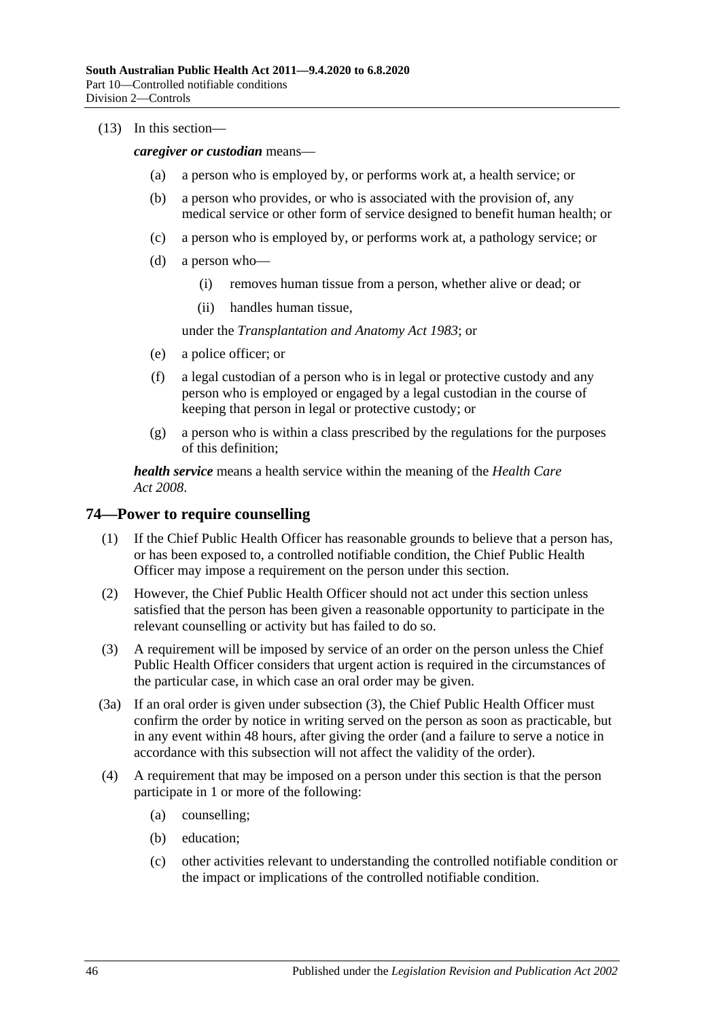#### (13) In this section—

*caregiver or custodian* means—

- (a) a person who is employed by, or performs work at, a health service; or
- (b) a person who provides, or who is associated with the provision of, any medical service or other form of service designed to benefit human health; or
- (c) a person who is employed by, or performs work at, a pathology service; or
- (d) a person who—
	- (i) removes human tissue from a person, whether alive or dead; or
	- (ii) handles human tissue,

under the *[Transplantation and Anatomy Act](http://www.legislation.sa.gov.au/index.aspx?action=legref&type=act&legtitle=Transplantation%20and%20Anatomy%20Act%201983) 1983*; or

- (e) a police officer; or
- (f) a legal custodian of a person who is in legal or protective custody and any person who is employed or engaged by a legal custodian in the course of keeping that person in legal or protective custody; or
- (g) a person who is within a class prescribed by the regulations for the purposes of this definition;

*health service* means a health service within the meaning of the *[Health Care](http://www.legislation.sa.gov.au/index.aspx?action=legref&type=act&legtitle=Health%20Care%20Act%202008)  Act [2008](http://www.legislation.sa.gov.au/index.aspx?action=legref&type=act&legtitle=Health%20Care%20Act%202008)*.

#### **74—Power to require counselling**

- (1) If the Chief Public Health Officer has reasonable grounds to believe that a person has, or has been exposed to, a controlled notifiable condition, the Chief Public Health Officer may impose a requirement on the person under this section.
- (2) However, the Chief Public Health Officer should not act under this section unless satisfied that the person has been given a reasonable opportunity to participate in the relevant counselling or activity but has failed to do so.
- <span id="page-45-0"></span>(3) A requirement will be imposed by service of an order on the person unless the Chief Public Health Officer considers that urgent action is required in the circumstances of the particular case, in which case an oral order may be given.
- (3a) If an oral order is given under [subsection](#page-45-0) (3), the Chief Public Health Officer must confirm the order by notice in writing served on the person as soon as practicable, but in any event within 48 hours, after giving the order (and a failure to serve a notice in accordance with this subsection will not affect the validity of the order).
- <span id="page-45-1"></span>(4) A requirement that may be imposed on a person under this section is that the person participate in 1 or more of the following:
	- (a) counselling;
	- (b) education;
	- (c) other activities relevant to understanding the controlled notifiable condition or the impact or implications of the controlled notifiable condition.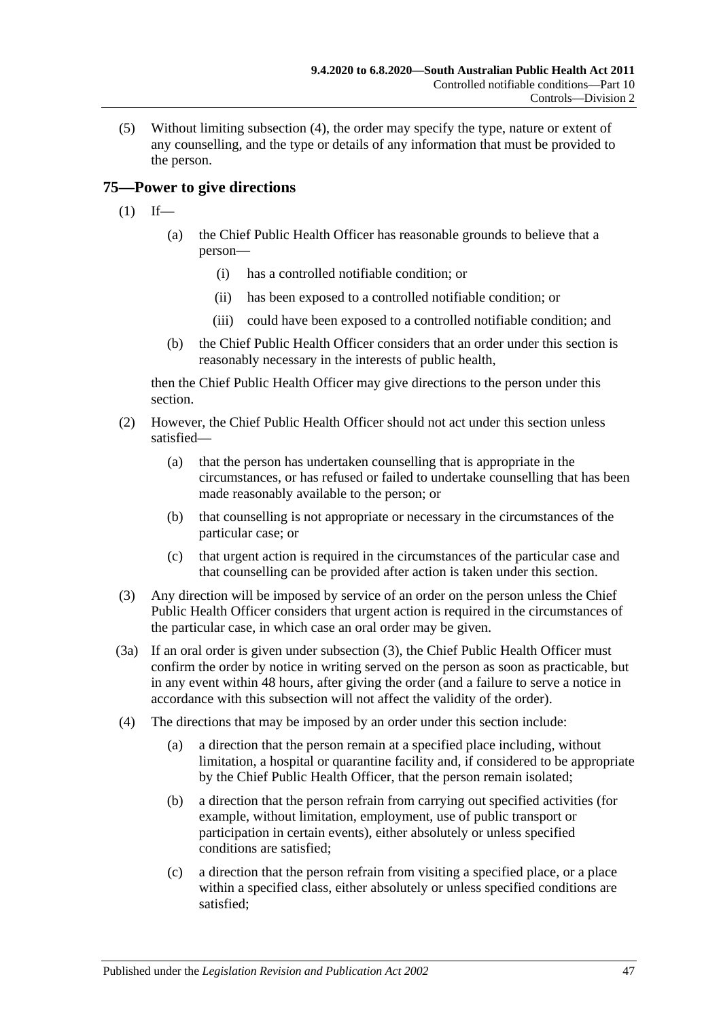(5) Without limiting [subsection](#page-45-1) (4), the order may specify the type, nature or extent of any counselling, and the type or details of any information that must be provided to the person.

## <span id="page-46-1"></span>**75—Power to give directions**

- $(1)$  If—
	- (a) the Chief Public Health Officer has reasonable grounds to believe that a person—
		- (i) has a controlled notifiable condition; or
		- (ii) has been exposed to a controlled notifiable condition; or
		- (iii) could have been exposed to a controlled notifiable condition; and
	- (b) the Chief Public Health Officer considers that an order under this section is reasonably necessary in the interests of public health,

then the Chief Public Health Officer may give directions to the person under this section.

- (2) However, the Chief Public Health Officer should not act under this section unless satisfied—
	- (a) that the person has undertaken counselling that is appropriate in the circumstances, or has refused or failed to undertake counselling that has been made reasonably available to the person; or
	- (b) that counselling is not appropriate or necessary in the circumstances of the particular case; or
	- (c) that urgent action is required in the circumstances of the particular case and that counselling can be provided after action is taken under this section.
- <span id="page-46-0"></span>(3) Any direction will be imposed by service of an order on the person unless the Chief Public Health Officer considers that urgent action is required in the circumstances of the particular case, in which case an oral order may be given.
- (3a) If an oral order is given under [subsection](#page-46-0) (3), the Chief Public Health Officer must confirm the order by notice in writing served on the person as soon as practicable, but in any event within 48 hours, after giving the order (and a failure to serve a notice in accordance with this subsection will not affect the validity of the order).
- (4) The directions that may be imposed by an order under this section include:
	- (a) a direction that the person remain at a specified place including, without limitation, a hospital or quarantine facility and, if considered to be appropriate by the Chief Public Health Officer, that the person remain isolated;
	- (b) a direction that the person refrain from carrying out specified activities (for example, without limitation, employment, use of public transport or participation in certain events), either absolutely or unless specified conditions are satisfied;
	- (c) a direction that the person refrain from visiting a specified place, or a place within a specified class, either absolutely or unless specified conditions are satisfied;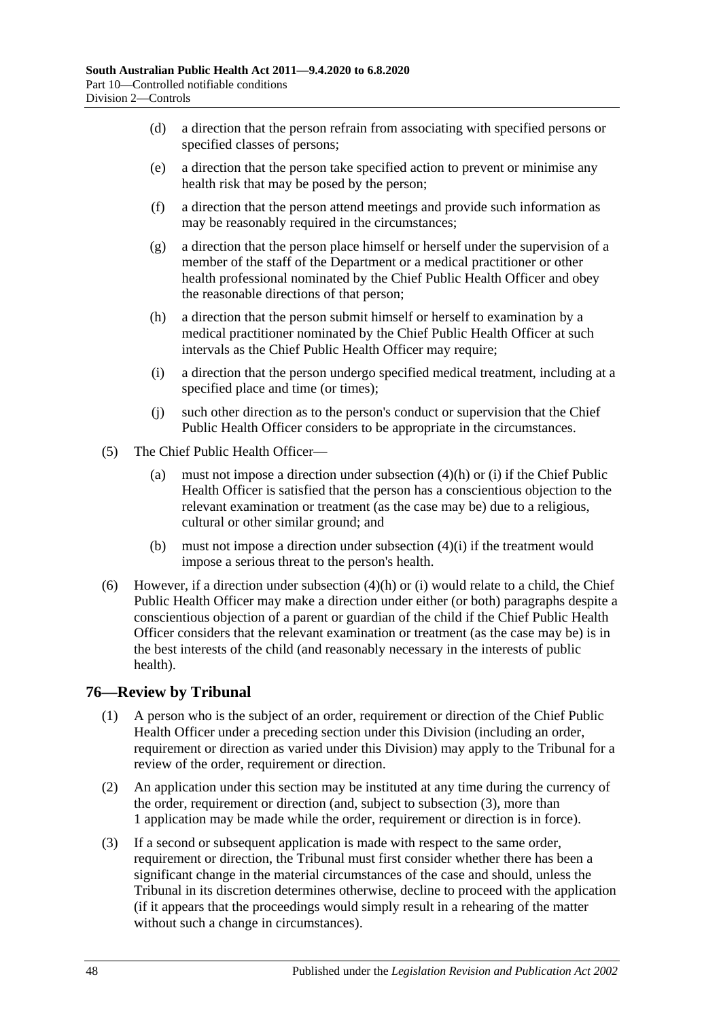- (d) a direction that the person refrain from associating with specified persons or specified classes of persons;
- (e) a direction that the person take specified action to prevent or minimise any health risk that may be posed by the person;
- (f) a direction that the person attend meetings and provide such information as may be reasonably required in the circumstances;
- (g) a direction that the person place himself or herself under the supervision of a member of the staff of the Department or a medical practitioner or other health professional nominated by the Chief Public Health Officer and obey the reasonable directions of that person;
- <span id="page-47-0"></span>(h) a direction that the person submit himself or herself to examination by a medical practitioner nominated by the Chief Public Health Officer at such intervals as the Chief Public Health Officer may require;
- <span id="page-47-1"></span>(i) a direction that the person undergo specified medical treatment, including at a specified place and time (or times);
- (j) such other direction as to the person's conduct or supervision that the Chief Public Health Officer considers to be appropriate in the circumstances.
- (5) The Chief Public Health Officer
	- (a) must not impose a direction under [subsection](#page-47-0)  $(4)(h)$  or [\(i\)](#page-47-1) if the Chief Public Health Officer is satisfied that the person has a conscientious objection to the relevant examination or treatment (as the case may be) due to a religious, cultural or other similar ground; and
	- (b) must not impose a direction under [subsection](#page-47-1)  $(4)(i)$  if the treatment would impose a serious threat to the person's health.
- (6) However, if a direction under [subsection](#page-47-0) (4)(h) or [\(i\)](#page-47-1) would relate to a child, the Chief Public Health Officer may make a direction under either (or both) paragraphs despite a conscientious objection of a parent or guardian of the child if the Chief Public Health Officer considers that the relevant examination or treatment (as the case may be) is in the best interests of the child (and reasonably necessary in the interests of public health).

## **76—Review by Tribunal**

- (1) A person who is the subject of an order, requirement or direction of the Chief Public Health Officer under a preceding section under this Division (including an order, requirement or direction as varied under this Division) may apply to the Tribunal for a review of the order, requirement or direction.
- (2) An application under this section may be instituted at any time during the currency of the order, requirement or direction (and, subject to [subsection](#page-47-2) (3), more than 1 application may be made while the order, requirement or direction is in force).
- <span id="page-47-2"></span>(3) If a second or subsequent application is made with respect to the same order, requirement or direction, the Tribunal must first consider whether there has been a significant change in the material circumstances of the case and should, unless the Tribunal in its discretion determines otherwise, decline to proceed with the application (if it appears that the proceedings would simply result in a rehearing of the matter without such a change in circumstances).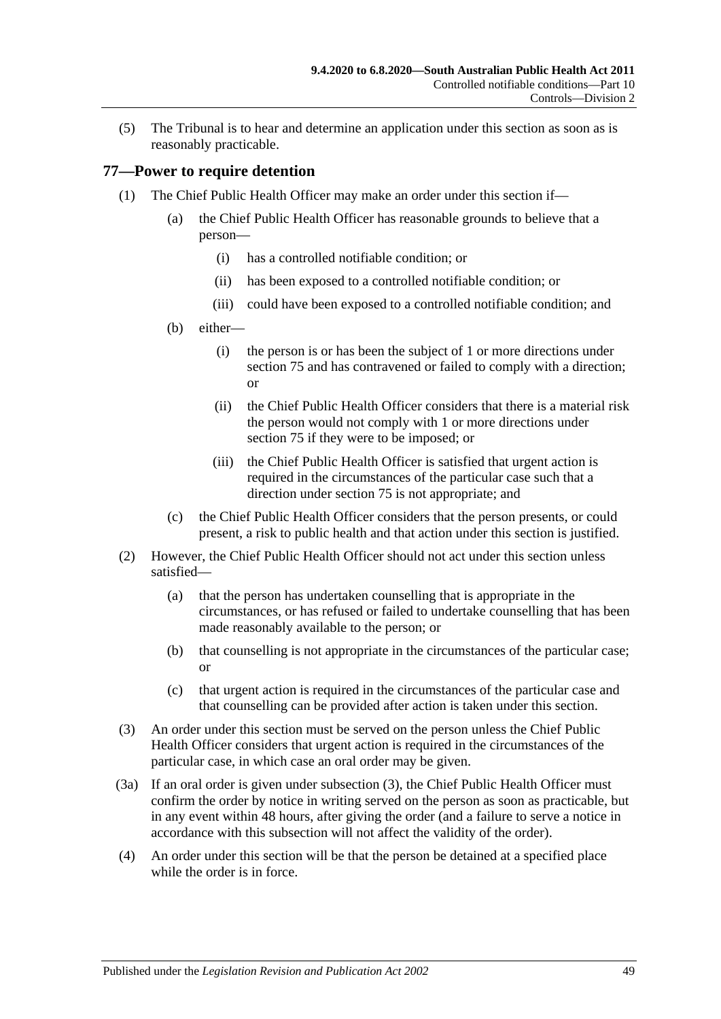(5) The Tribunal is to hear and determine an application under this section as soon as is reasonably practicable.

#### <span id="page-48-4"></span>**77—Power to require detention**

- <span id="page-48-3"></span><span id="page-48-2"></span><span id="page-48-1"></span>(1) The Chief Public Health Officer may make an order under this section if—
	- (a) the Chief Public Health Officer has reasonable grounds to believe that a person—
		- (i) has a controlled notifiable condition; or
		- (ii) has been exposed to a controlled notifiable condition; or
		- (iii) could have been exposed to a controlled notifiable condition; and
	- (b) either—
		- (i) the person is or has been the subject of 1 or more directions under [section](#page-46-1) 75 and has contravened or failed to comply with a direction; or
		- (ii) the Chief Public Health Officer considers that there is a material risk the person would not comply with 1 or more directions under [section](#page-46-1) 75 if they were to be imposed; or
		- (iii) the Chief Public Health Officer is satisfied that urgent action is required in the circumstances of the particular case such that a direction under [section](#page-46-1) 75 is not appropriate; and
	- (c) the Chief Public Health Officer considers that the person presents, or could present, a risk to public health and that action under this section is justified.
- (2) However, the Chief Public Health Officer should not act under this section unless satisfied—
	- (a) that the person has undertaken counselling that is appropriate in the circumstances, or has refused or failed to undertake counselling that has been made reasonably available to the person; or
	- (b) that counselling is not appropriate in the circumstances of the particular case; or
	- (c) that urgent action is required in the circumstances of the particular case and that counselling can be provided after action is taken under this section.
- <span id="page-48-0"></span>(3) An order under this section must be served on the person unless the Chief Public Health Officer considers that urgent action is required in the circumstances of the particular case, in which case an oral order may be given.
- (3a) If an oral order is given under [subsection](#page-48-0) (3), the Chief Public Health Officer must confirm the order by notice in writing served on the person as soon as practicable, but in any event within 48 hours, after giving the order (and a failure to serve a notice in accordance with this subsection will not affect the validity of the order).
- (4) An order under this section will be that the person be detained at a specified place while the order is in force.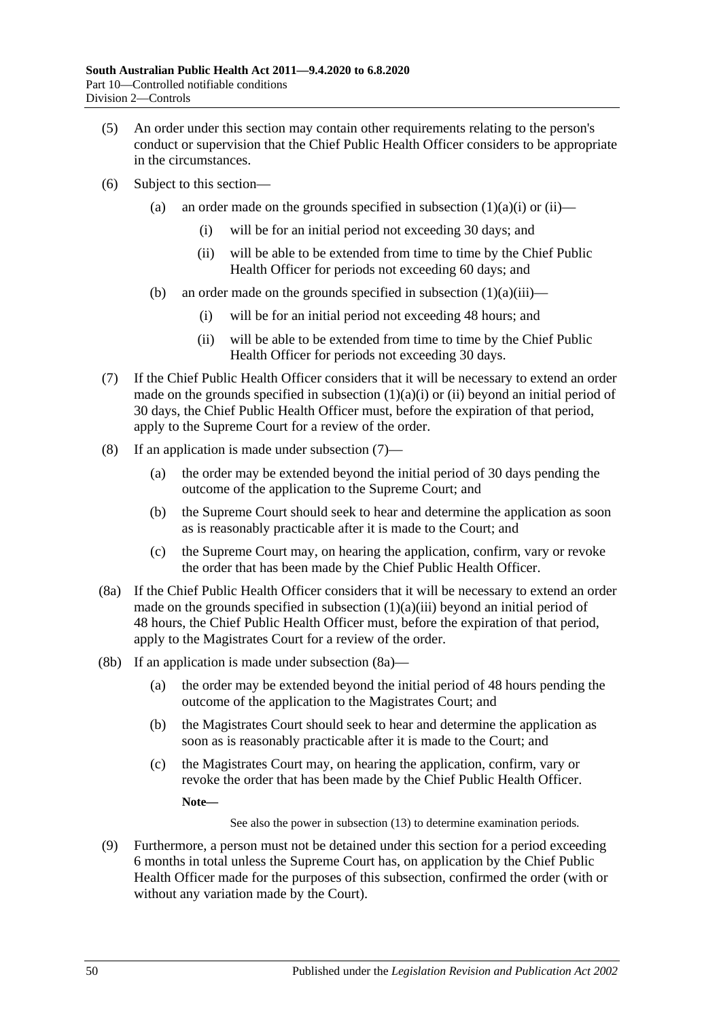- (5) An order under this section may contain other requirements relating to the person's conduct or supervision that the Chief Public Health Officer considers to be appropriate in the circumstances.
- (6) Subject to this section
	- (a) an order made on the grounds specified in [subsection](#page-48-1)  $(1)(a)(i)$  or  $(ii)$ 
		- (i) will be for an initial period not exceeding 30 days; and
		- (ii) will be able to be extended from time to time by the Chief Public Health Officer for periods not exceeding 60 days; and
	- (b) an order made on the grounds specified in [subsection](#page-48-3)  $(1)(a)(iii)$ 
		- (i) will be for an initial period not exceeding 48 hours; and
		- (ii) will be able to be extended from time to time by the Chief Public Health Officer for periods not exceeding 30 days.
- <span id="page-49-0"></span>(7) If the Chief Public Health Officer considers that it will be necessary to extend an order made on the grounds specified in [subsection](#page-48-1)  $(1)(a)(i)$  or  $(ii)$  beyond an initial period of 30 days, the Chief Public Health Officer must, before the expiration of that period, apply to the Supreme Court for a review of the order.
- <span id="page-49-2"></span>(8) If an application is made under [subsection](#page-49-0) (7)—
	- (a) the order may be extended beyond the initial period of 30 days pending the outcome of the application to the Supreme Court; and
	- (b) the Supreme Court should seek to hear and determine the application as soon as is reasonably practicable after it is made to the Court; and
	- (c) the Supreme Court may, on hearing the application, confirm, vary or revoke the order that has been made by the Chief Public Health Officer.
- <span id="page-49-1"></span>(8a) If the Chief Public Health Officer considers that it will be necessary to extend an order made on the grounds specified in [subsection](#page-48-3)  $(1)(a)(iii)$  beyond an initial period of 48 hours, the Chief Public Health Officer must, before the expiration of that period, apply to the Magistrates Court for a review of the order.
- (8b) If an application is made under [subsection](#page-49-1) (8a)—
	- (a) the order may be extended beyond the initial period of 48 hours pending the outcome of the application to the Magistrates Court; and
	- (b) the Magistrates Court should seek to hear and determine the application as soon as is reasonably practicable after it is made to the Court; and
	- (c) the Magistrates Court may, on hearing the application, confirm, vary or revoke the order that has been made by the Chief Public Health Officer.

**Note—**

See also the power in [subsection](#page-50-0) (13) to determine examination periods.

<span id="page-49-3"></span>(9) Furthermore, a person must not be detained under this section for a period exceeding 6 months in total unless the Supreme Court has, on application by the Chief Public Health Officer made for the purposes of this subsection, confirmed the order (with or without any variation made by the Court).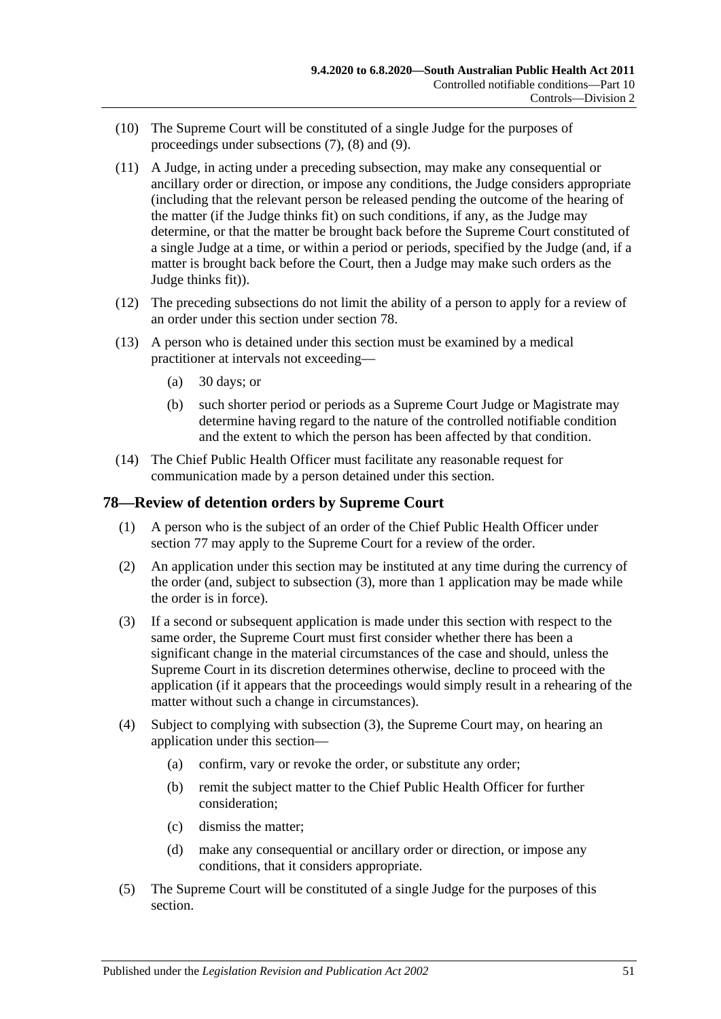- (10) The Supreme Court will be constituted of a single Judge for the purposes of proceedings under [subsections](#page-49-0) (7), [\(8\)](#page-49-2) and [\(9\).](#page-49-3)
- (11) A Judge, in acting under a preceding subsection, may make any consequential or ancillary order or direction, or impose any conditions, the Judge considers appropriate (including that the relevant person be released pending the outcome of the hearing of the matter (if the Judge thinks fit) on such conditions, if any, as the Judge may determine, or that the matter be brought back before the Supreme Court constituted of a single Judge at a time, or within a period or periods, specified by the Judge (and, if a matter is brought back before the Court, then a Judge may make such orders as the Judge thinks fit)).
- (12) The preceding subsections do not limit the ability of a person to apply for a review of an order under this section under [section](#page-50-1) 78.
- <span id="page-50-0"></span>(13) A person who is detained under this section must be examined by a medical practitioner at intervals not exceeding—
	- (a)  $30$  days; or
	- (b) such shorter period or periods as a Supreme Court Judge or Magistrate may determine having regard to the nature of the controlled notifiable condition and the extent to which the person has been affected by that condition.
- (14) The Chief Public Health Officer must facilitate any reasonable request for communication made by a person detained under this section.

#### <span id="page-50-1"></span>**78—Review of detention orders by Supreme Court**

- (1) A person who is the subject of an order of the Chief Public Health Officer under [section](#page-48-4) 77 may apply to the Supreme Court for a review of the order.
- (2) An application under this section may be instituted at any time during the currency of the order (and, subject to [subsection](#page-50-2) (3), more than 1 application may be made while the order is in force).
- <span id="page-50-2"></span>(3) If a second or subsequent application is made under this section with respect to the same order, the Supreme Court must first consider whether there has been a significant change in the material circumstances of the case and should, unless the Supreme Court in its discretion determines otherwise, decline to proceed with the application (if it appears that the proceedings would simply result in a rehearing of the matter without such a change in circumstances).
- (4) Subject to complying with [subsection](#page-50-2) (3), the Supreme Court may, on hearing an application under this section—
	- (a) confirm, vary or revoke the order, or substitute any order;
	- (b) remit the subject matter to the Chief Public Health Officer for further consideration;
	- (c) dismiss the matter;
	- (d) make any consequential or ancillary order or direction, or impose any conditions, that it considers appropriate.
- (5) The Supreme Court will be constituted of a single Judge for the purposes of this section.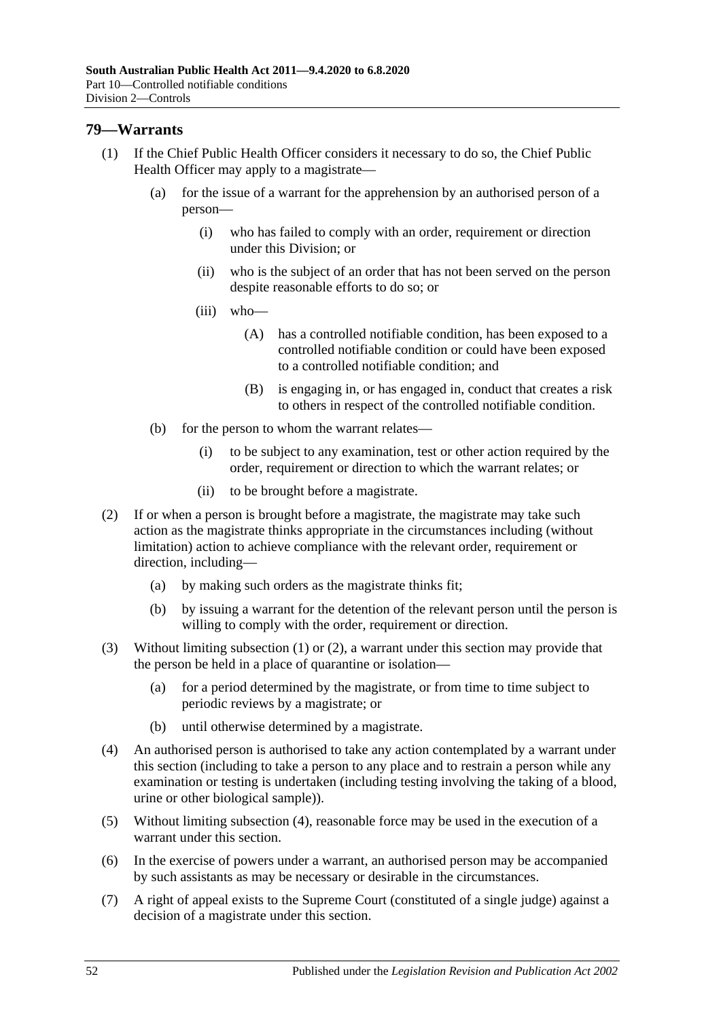#### <span id="page-51-0"></span>**79—Warrants**

- (1) If the Chief Public Health Officer considers it necessary to do so, the Chief Public Health Officer may apply to a magistrate—
	- (a) for the issue of a warrant for the apprehension by an authorised person of a person—
		- (i) who has failed to comply with an order, requirement or direction under this Division; or
		- (ii) who is the subject of an order that has not been served on the person despite reasonable efforts to do so; or
		- (iii) who—
			- (A) has a controlled notifiable condition, has been exposed to a controlled notifiable condition or could have been exposed to a controlled notifiable condition; and
			- (B) is engaging in, or has engaged in, conduct that creates a risk to others in respect of the controlled notifiable condition.
	- (b) for the person to whom the warrant relates—
		- (i) to be subject to any examination, test or other action required by the order, requirement or direction to which the warrant relates; or
		- (ii) to be brought before a magistrate.
- <span id="page-51-1"></span>(2) If or when a person is brought before a magistrate, the magistrate may take such action as the magistrate thinks appropriate in the circumstances including (without limitation) action to achieve compliance with the relevant order, requirement or direction, including—
	- (a) by making such orders as the magistrate thinks fit;
	- (b) by issuing a warrant for the detention of the relevant person until the person is willing to comply with the order, requirement or direction.
- (3) Without limiting [subsection](#page-51-0) (1) or [\(2\),](#page-51-1) a warrant under this section may provide that the person be held in a place of quarantine or isolation—
	- (a) for a period determined by the magistrate, or from time to time subject to periodic reviews by a magistrate; or
	- (b) until otherwise determined by a magistrate.
- <span id="page-51-2"></span>(4) An authorised person is authorised to take any action contemplated by a warrant under this section (including to take a person to any place and to restrain a person while any examination or testing is undertaken (including testing involving the taking of a blood, urine or other biological sample)).
- (5) Without limiting [subsection](#page-51-2) (4), reasonable force may be used in the execution of a warrant under this section.
- (6) In the exercise of powers under a warrant, an authorised person may be accompanied by such assistants as may be necessary or desirable in the circumstances.
- (7) A right of appeal exists to the Supreme Court (constituted of a single judge) against a decision of a magistrate under this section.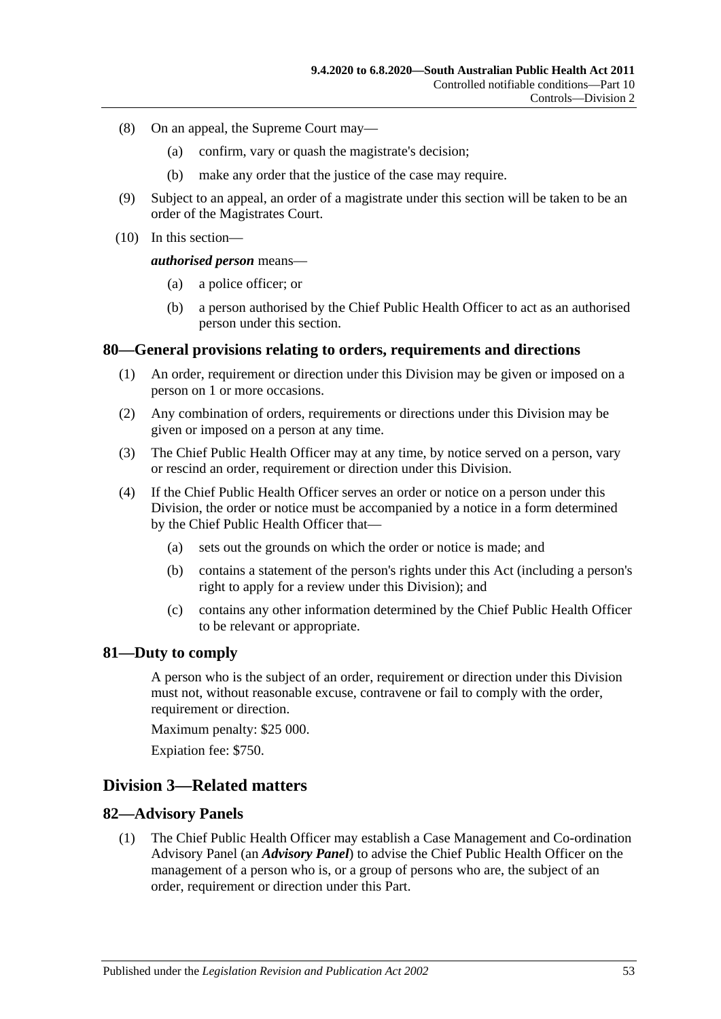- (8) On an appeal, the Supreme Court may—
	- (a) confirm, vary or quash the magistrate's decision;
	- (b) make any order that the justice of the case may require.
- (9) Subject to an appeal, an order of a magistrate under this section will be taken to be an order of the Magistrates Court.
- (10) In this section—

#### *authorised person* means—

- (a) a police officer; or
- (b) a person authorised by the Chief Public Health Officer to act as an authorised person under this section.

#### **80—General provisions relating to orders, requirements and directions**

- (1) An order, requirement or direction under this Division may be given or imposed on a person on 1 or more occasions.
- (2) Any combination of orders, requirements or directions under this Division may be given or imposed on a person at any time.
- (3) The Chief Public Health Officer may at any time, by notice served on a person, vary or rescind an order, requirement or direction under this Division.
- (4) If the Chief Public Health Officer serves an order or notice on a person under this Division, the order or notice must be accompanied by a notice in a form determined by the Chief Public Health Officer that—
	- (a) sets out the grounds on which the order or notice is made; and
	- (b) contains a statement of the person's rights under this Act (including a person's right to apply for a review under this Division); and
	- (c) contains any other information determined by the Chief Public Health Officer to be relevant or appropriate.

#### **81—Duty to comply**

A person who is the subject of an order, requirement or direction under this Division must not, without reasonable excuse, contravene or fail to comply with the order, requirement or direction.

Maximum penalty: \$25 000.

Expiation fee: \$750.

#### **Division 3—Related matters**

#### **82—Advisory Panels**

(1) The Chief Public Health Officer may establish a Case Management and Co-ordination Advisory Panel (an *Advisory Panel*) to advise the Chief Public Health Officer on the management of a person who is, or a group of persons who are, the subject of an order, requirement or direction under this Part.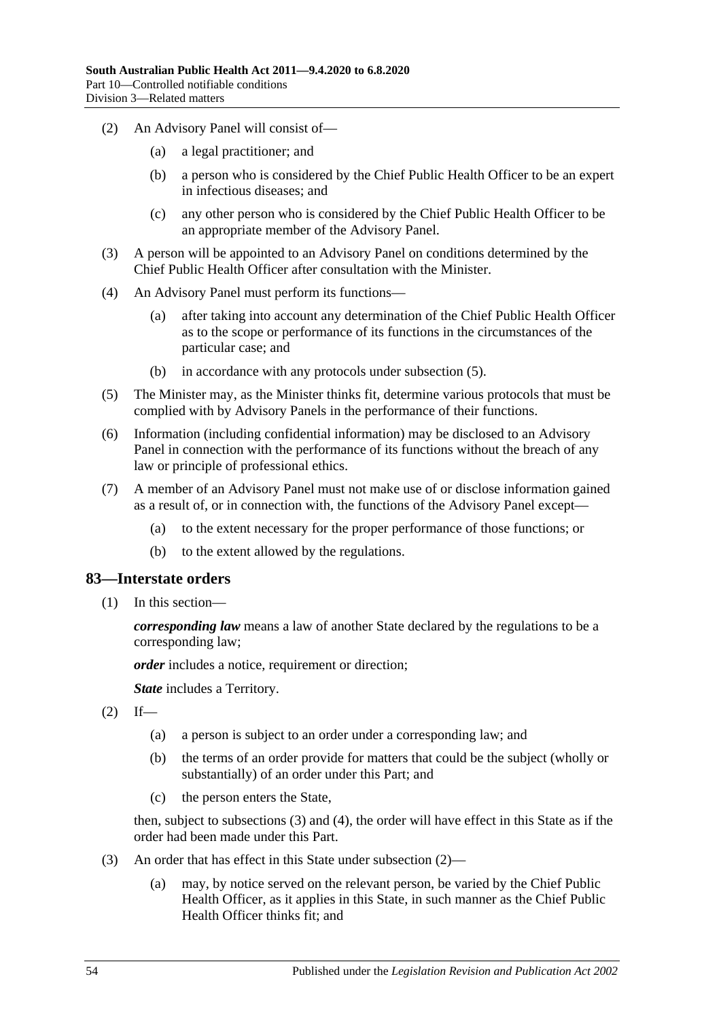- (2) An Advisory Panel will consist of—
	- (a) a legal practitioner; and
	- (b) a person who is considered by the Chief Public Health Officer to be an expert in infectious diseases; and
	- (c) any other person who is considered by the Chief Public Health Officer to be an appropriate member of the Advisory Panel.
- (3) A person will be appointed to an Advisory Panel on conditions determined by the Chief Public Health Officer after consultation with the Minister.
- (4) An Advisory Panel must perform its functions—
	- (a) after taking into account any determination of the Chief Public Health Officer as to the scope or performance of its functions in the circumstances of the particular case; and
	- (b) in accordance with any protocols under [subsection](#page-53-0) (5).
- <span id="page-53-0"></span>(5) The Minister may, as the Minister thinks fit, determine various protocols that must be complied with by Advisory Panels in the performance of their functions.
- (6) Information (including confidential information) may be disclosed to an Advisory Panel in connection with the performance of its functions without the breach of any law or principle of professional ethics.
- (7) A member of an Advisory Panel must not make use of or disclose information gained as a result of, or in connection with, the functions of the Advisory Panel except—
	- (a) to the extent necessary for the proper performance of those functions; or
	- (b) to the extent allowed by the regulations.

#### **83—Interstate orders**

(1) In this section—

*corresponding law* means a law of another State declared by the regulations to be a corresponding law;

*order* includes a notice, requirement or direction;

*State* includes a Territory.

- <span id="page-53-2"></span> $(2)$  If—
	- (a) a person is subject to an order under a corresponding law; and
	- (b) the terms of an order provide for matters that could be the subject (wholly or substantially) of an order under this Part; and
	- (c) the person enters the State,

then, subject to [subsections](#page-53-1) (3) and [\(4\),](#page-54-0) the order will have effect in this State as if the order had been made under this Part.

- <span id="page-53-1"></span>(3) An order that has effect in this State under [subsection](#page-53-2) (2)—
	- (a) may, by notice served on the relevant person, be varied by the Chief Public Health Officer, as it applies in this State, in such manner as the Chief Public Health Officer thinks fit; and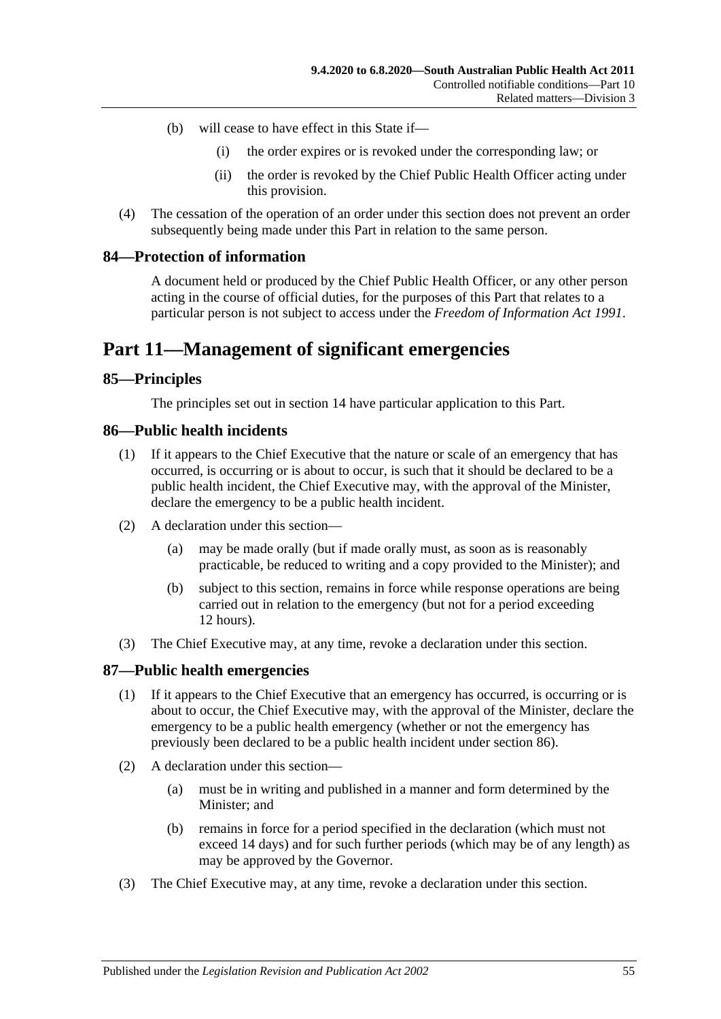- (b) will cease to have effect in this State if—
	- (i) the order expires or is revoked under the corresponding law; or
	- (ii) the order is revoked by the Chief Public Health Officer acting under this provision.
- <span id="page-54-0"></span>(4) The cessation of the operation of an order under this section does not prevent an order subsequently being made under this Part in relation to the same person.

#### **84—Protection of information**

A document held or produced by the Chief Public Health Officer, or any other person acting in the course of official duties, for the purposes of this Part that relates to a particular person is not subject to access under the *[Freedom of Information Act](http://www.legislation.sa.gov.au/index.aspx?action=legref&type=act&legtitle=Freedom%20of%20Information%20Act%201991) 1991*.

# **Part 11—Management of significant emergencies**

#### **85—Principles**

The principles set out in [section](#page-9-0) 14 have particular application to this Part.

#### <span id="page-54-1"></span>**86—Public health incidents**

- (1) If it appears to the Chief Executive that the nature or scale of an emergency that has occurred, is occurring or is about to occur, is such that it should be declared to be a public health incident, the Chief Executive may, with the approval of the Minister, declare the emergency to be a public health incident.
- (2) A declaration under this section—
	- (a) may be made orally (but if made orally must, as soon as is reasonably practicable, be reduced to writing and a copy provided to the Minister); and
	- (b) subject to this section, remains in force while response operations are being carried out in relation to the emergency (but not for a period exceeding 12 hours).
- (3) The Chief Executive may, at any time, revoke a declaration under this section.

#### **87—Public health emergencies**

- (1) If it appears to the Chief Executive that an emergency has occurred, is occurring or is about to occur, the Chief Executive may, with the approval of the Minister, declare the emergency to be a public health emergency (whether or not the emergency has previously been declared to be a public health incident under [section](#page-54-1) 86).
- (2) A declaration under this section—
	- (a) must be in writing and published in a manner and form determined by the Minister; and
	- (b) remains in force for a period specified in the declaration (which must not exceed 14 days) and for such further periods (which may be of any length) as may be approved by the Governor.
- (3) The Chief Executive may, at any time, revoke a declaration under this section.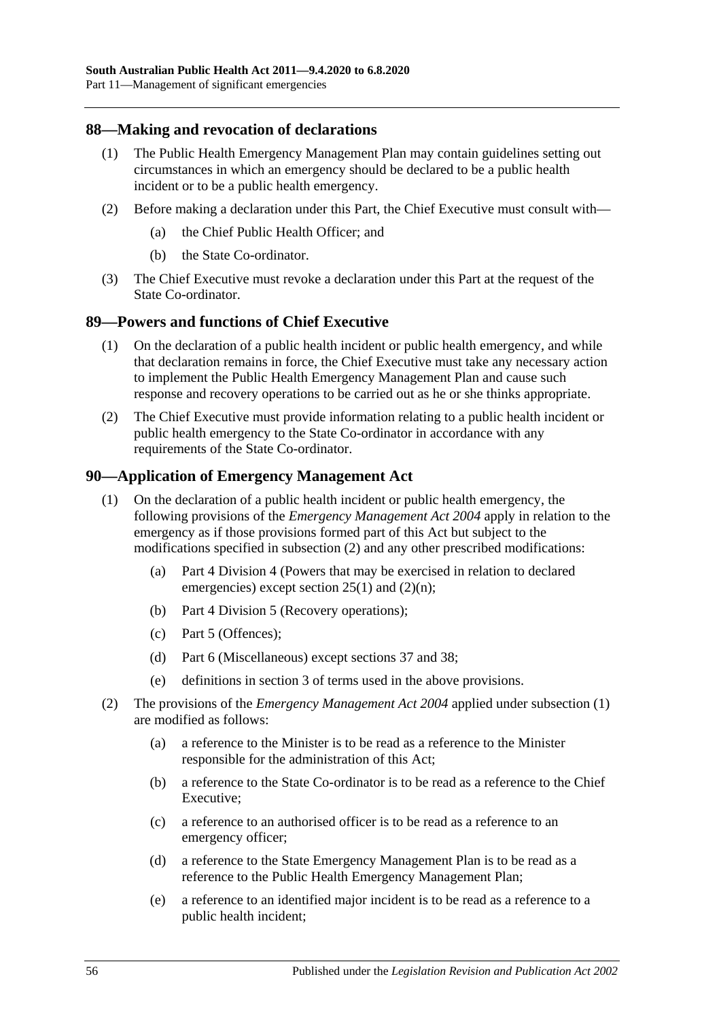#### **88—Making and revocation of declarations**

- (1) The Public Health Emergency Management Plan may contain guidelines setting out circumstances in which an emergency should be declared to be a public health incident or to be a public health emergency.
- (2) Before making a declaration under this Part, the Chief Executive must consult with—
	- (a) the Chief Public Health Officer; and
	- (b) the State Co-ordinator.
- (3) The Chief Executive must revoke a declaration under this Part at the request of the State Co-ordinator.

#### <span id="page-55-2"></span>**89—Powers and functions of Chief Executive**

- (1) On the declaration of a public health incident or public health emergency, and while that declaration remains in force, the Chief Executive must take any necessary action to implement the Public Health Emergency Management Plan and cause such response and recovery operations to be carried out as he or she thinks appropriate.
- (2) The Chief Executive must provide information relating to a public health incident or public health emergency to the State Co-ordinator in accordance with any requirements of the State Co-ordinator.

#### <span id="page-55-1"></span>**90—Application of Emergency Management Act**

- (1) On the declaration of a public health incident or public health emergency, the following provisions of the *[Emergency Management Act](http://www.legislation.sa.gov.au/index.aspx?action=legref&type=act&legtitle=Emergency%20Management%20Act%202004) 2004* apply in relation to the emergency as if those provisions formed part of this Act but subject to the modifications specified in [subsection](#page-55-0) (2) and any other prescribed modifications:
	- (a) Part 4 Division 4 (Powers that may be exercised in relation to declared emergencies) except section  $25(1)$  and  $(2)(n)$ ;
	- (b) Part 4 Division 5 (Recovery operations);
	- (c) Part 5 (Offences);
	- (d) Part 6 (Miscellaneous) except sections 37 and 38;
	- (e) definitions in section 3 of terms used in the above provisions.
- <span id="page-55-0"></span>(2) The provisions of the *[Emergency Management Act](http://www.legislation.sa.gov.au/index.aspx?action=legref&type=act&legtitle=Emergency%20Management%20Act%202004) 2004* applied under [subsection](#page-55-1) (1) are modified as follows:
	- (a) a reference to the Minister is to be read as a reference to the Minister responsible for the administration of this Act;
	- (b) a reference to the State Co-ordinator is to be read as a reference to the Chief Executive;
	- (c) a reference to an authorised officer is to be read as a reference to an emergency officer;
	- (d) a reference to the State Emergency Management Plan is to be read as a reference to the Public Health Emergency Management Plan;
	- (e) a reference to an identified major incident is to be read as a reference to a public health incident;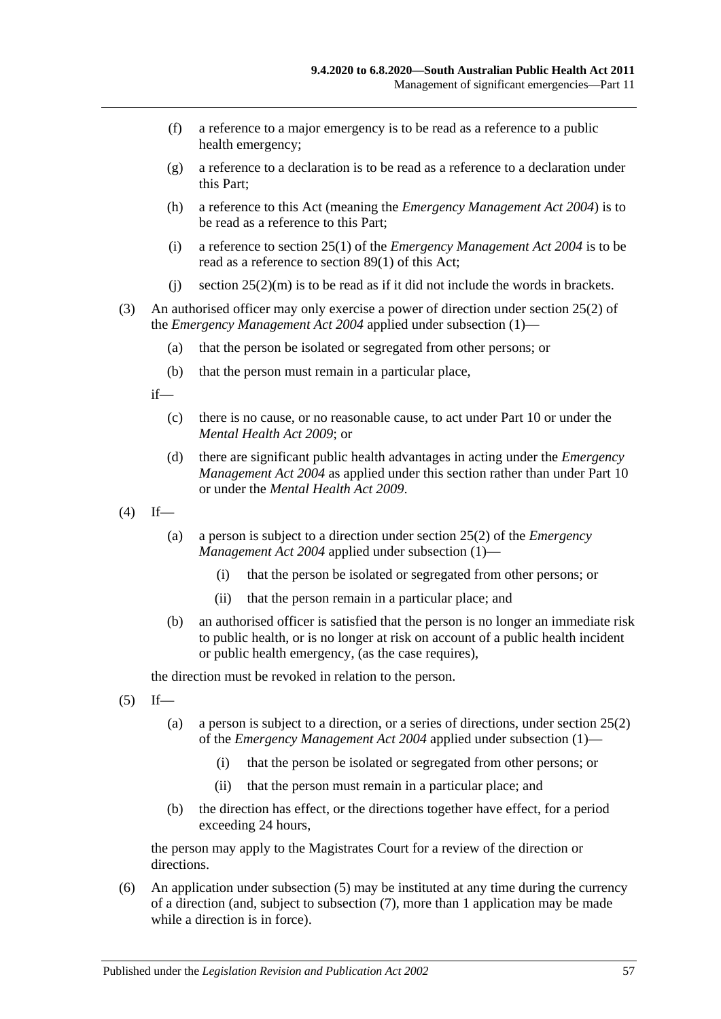- (f) a reference to a major emergency is to be read as a reference to a public health emergency;
- (g) a reference to a declaration is to be read as a reference to a declaration under this Part;
- (h) a reference to this Act (meaning the *[Emergency Management Act](http://www.legislation.sa.gov.au/index.aspx?action=legref&type=act&legtitle=Emergency%20Management%20Act%202004) 2004*) is to be read as a reference to this Part;
- (i) a reference to section 25(1) of the *[Emergency Management Act](http://www.legislation.sa.gov.au/index.aspx?action=legref&type=act&legtitle=Emergency%20Management%20Act%202004) 2004* is to be read as a reference to [section](#page-55-2) 89(1) of this Act;
- (i) section  $25(2)(m)$  is to be read as if it did not include the words in brackets.
- (3) An authorised officer may only exercise a power of direction under section 25(2) of the *[Emergency Management Act](http://www.legislation.sa.gov.au/index.aspx?action=legref&type=act&legtitle=Emergency%20Management%20Act%202004) 2004* applied under [subsection](#page-55-1) (1)—
	- (a) that the person be isolated or segregated from other persons; or
	- (b) that the person must remain in a particular place,

if—

- (c) there is no cause, or no reasonable cause, to act under [Part](#page-41-2) 10 or under the *[Mental Health Act](http://www.legislation.sa.gov.au/index.aspx?action=legref&type=act&legtitle=Mental%20Health%20Act%202009) 2009*; or
- (d) there are significant public health advantages in acting under the *[Emergency](http://www.legislation.sa.gov.au/index.aspx?action=legref&type=act&legtitle=Emergency%20Management%20Act%202004)  [Management Act](http://www.legislation.sa.gov.au/index.aspx?action=legref&type=act&legtitle=Emergency%20Management%20Act%202004) 2004* as applied under this section rather than under [Part](#page-41-2) 10 or under the *[Mental Health Act](http://www.legislation.sa.gov.au/index.aspx?action=legref&type=act&legtitle=Mental%20Health%20Act%202009) 2009*.
- $(4)$  If—
	- (a) a person is subject to a direction under section 25(2) of the *[Emergency](http://www.legislation.sa.gov.au/index.aspx?action=legref&type=act&legtitle=Emergency%20Management%20Act%202004)  [Management Act](http://www.legislation.sa.gov.au/index.aspx?action=legref&type=act&legtitle=Emergency%20Management%20Act%202004) 2004* applied under [subsection](#page-55-1) (1)—
		- (i) that the person be isolated or segregated from other persons; or
		- (ii) that the person remain in a particular place; and
	- (b) an authorised officer is satisfied that the person is no longer an immediate risk to public health, or is no longer at risk on account of a public health incident or public health emergency, (as the case requires),

the direction must be revoked in relation to the person.

- <span id="page-56-0"></span> $(5)$  If—
	- (a) a person is subject to a direction, or a series of directions, under section 25(2) of the *[Emergency Management Act](http://www.legislation.sa.gov.au/index.aspx?action=legref&type=act&legtitle=Emergency%20Management%20Act%202004) 2004* applied under [subsection](#page-55-1) (1)—
		- (i) that the person be isolated or segregated from other persons; or
		- (ii) that the person must remain in a particular place; and
	- (b) the direction has effect, or the directions together have effect, for a period exceeding 24 hours,

the person may apply to the Magistrates Court for a review of the direction or directions.

(6) An application under [subsection](#page-56-0) (5) may be instituted at any time during the currency of a direction (and, subject to [subsection](#page-57-0) (7), more than 1 application may be made while a direction is in force).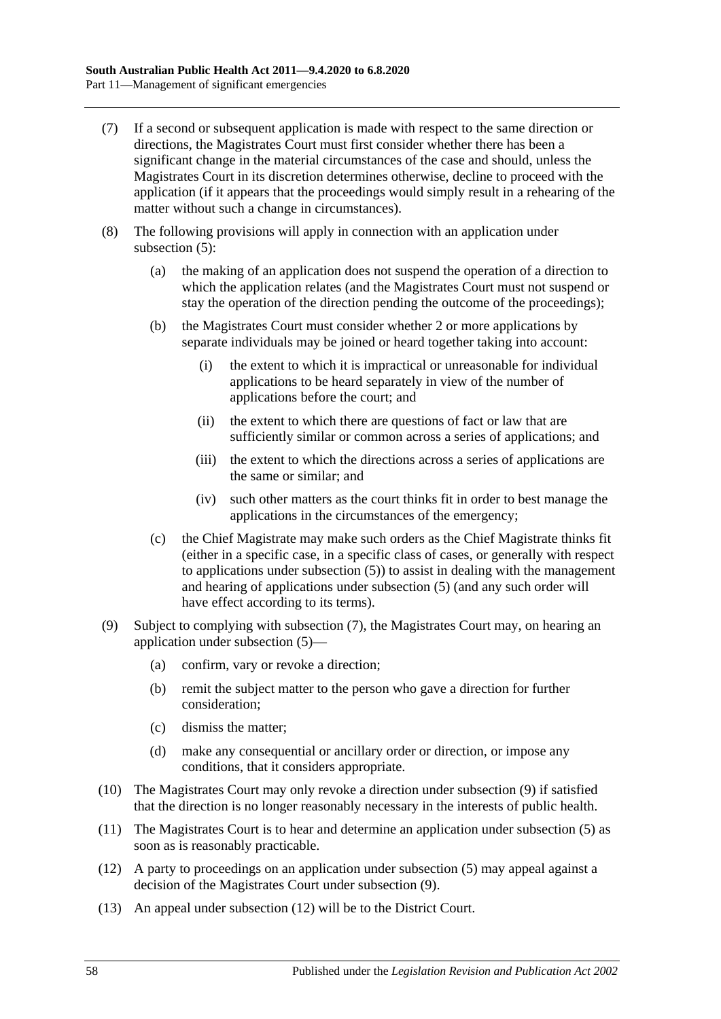- <span id="page-57-0"></span>(7) If a second or subsequent application is made with respect to the same direction or directions, the Magistrates Court must first consider whether there has been a significant change in the material circumstances of the case and should, unless the Magistrates Court in its discretion determines otherwise, decline to proceed with the application (if it appears that the proceedings would simply result in a rehearing of the matter without such a change in circumstances).
- (8) The following provisions will apply in connection with an application under [subsection](#page-56-0) (5):
	- (a) the making of an application does not suspend the operation of a direction to which the application relates (and the Magistrates Court must not suspend or stay the operation of the direction pending the outcome of the proceedings);
	- (b) the Magistrates Court must consider whether 2 or more applications by separate individuals may be joined or heard together taking into account:
		- (i) the extent to which it is impractical or unreasonable for individual applications to be heard separately in view of the number of applications before the court; and
		- (ii) the extent to which there are questions of fact or law that are sufficiently similar or common across a series of applications; and
		- (iii) the extent to which the directions across a series of applications are the same or similar; and
		- (iv) such other matters as the court thinks fit in order to best manage the applications in the circumstances of the emergency;
	- (c) the Chief Magistrate may make such orders as the Chief Magistrate thinks fit (either in a specific case, in a specific class of cases, or generally with respect to applications under [subsection](#page-56-0) (5)) to assist in dealing with the management and hearing of applications under [subsection](#page-56-0) (5) (and any such order will have effect according to its terms).
- <span id="page-57-1"></span>(9) Subject to complying with [subsection](#page-57-0) (7), the Magistrates Court may, on hearing an application under [subsection](#page-56-0) (5)—
	- (a) confirm, vary or revoke a direction;
	- (b) remit the subject matter to the person who gave a direction for further consideration;
	- (c) dismiss the matter;
	- (d) make any consequential or ancillary order or direction, or impose any conditions, that it considers appropriate.
- (10) The Magistrates Court may only revoke a direction under [subsection](#page-57-1) (9) if satisfied that the direction is no longer reasonably necessary in the interests of public health.
- (11) The Magistrates Court is to hear and determine an application under [subsection](#page-56-0) (5) as soon as is reasonably practicable.
- <span id="page-57-2"></span>(12) A party to proceedings on an application under [subsection](#page-56-0) (5) may appeal against a decision of the Magistrates Court under [subsection](#page-57-1) (9).
- (13) An appeal under [subsection](#page-57-2) (12) will be to the District Court.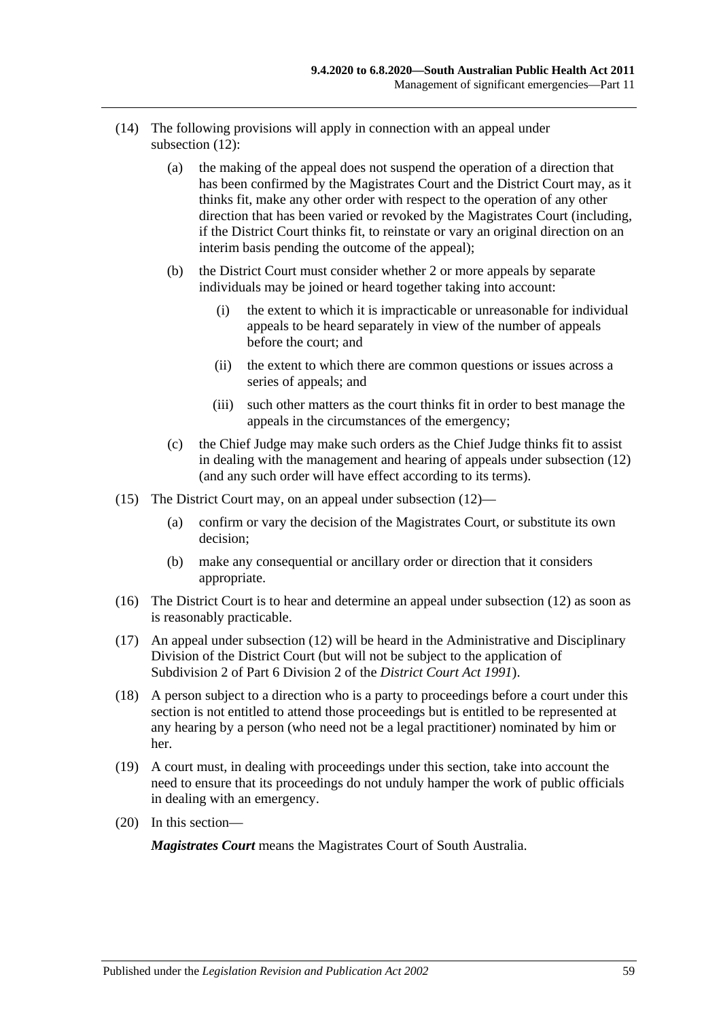- (14) The following provisions will apply in connection with an appeal under [subsection](#page-57-2) (12):
	- (a) the making of the appeal does not suspend the operation of a direction that has been confirmed by the Magistrates Court and the District Court may, as it thinks fit, make any other order with respect to the operation of any other direction that has been varied or revoked by the Magistrates Court (including, if the District Court thinks fit, to reinstate or vary an original direction on an interim basis pending the outcome of the appeal);
	- (b) the District Court must consider whether 2 or more appeals by separate individuals may be joined or heard together taking into account:
		- (i) the extent to which it is impracticable or unreasonable for individual appeals to be heard separately in view of the number of appeals before the court; and
		- (ii) the extent to which there are common questions or issues across a series of appeals; and
		- (iii) such other matters as the court thinks fit in order to best manage the appeals in the circumstances of the emergency;
	- (c) the Chief Judge may make such orders as the Chief Judge thinks fit to assist in dealing with the management and hearing of appeals under [subsection](#page-57-2) (12) (and any such order will have effect according to its terms).
- (15) The District Court may, on an appeal under [subsection](#page-57-2) (12)—
	- (a) confirm or vary the decision of the Magistrates Court, or substitute its own decision;
	- (b) make any consequential or ancillary order or direction that it considers appropriate.
- (16) The District Court is to hear and determine an appeal under [subsection](#page-57-2) (12) as soon as is reasonably practicable.
- (17) An appeal under [subsection](#page-57-2) (12) will be heard in the Administrative and Disciplinary Division of the District Court (but will not be subject to the application of Subdivision 2 of Part 6 Division 2 of the *[District Court Act](http://www.legislation.sa.gov.au/index.aspx?action=legref&type=act&legtitle=District%20Court%20Act%201991) 1991*).
- (18) A person subject to a direction who is a party to proceedings before a court under this section is not entitled to attend those proceedings but is entitled to be represented at any hearing by a person (who need not be a legal practitioner) nominated by him or her.
- (19) A court must, in dealing with proceedings under this section, take into account the need to ensure that its proceedings do not unduly hamper the work of public officials in dealing with an emergency.
- (20) In this section—

*Magistrates Court* means the Magistrates Court of South Australia.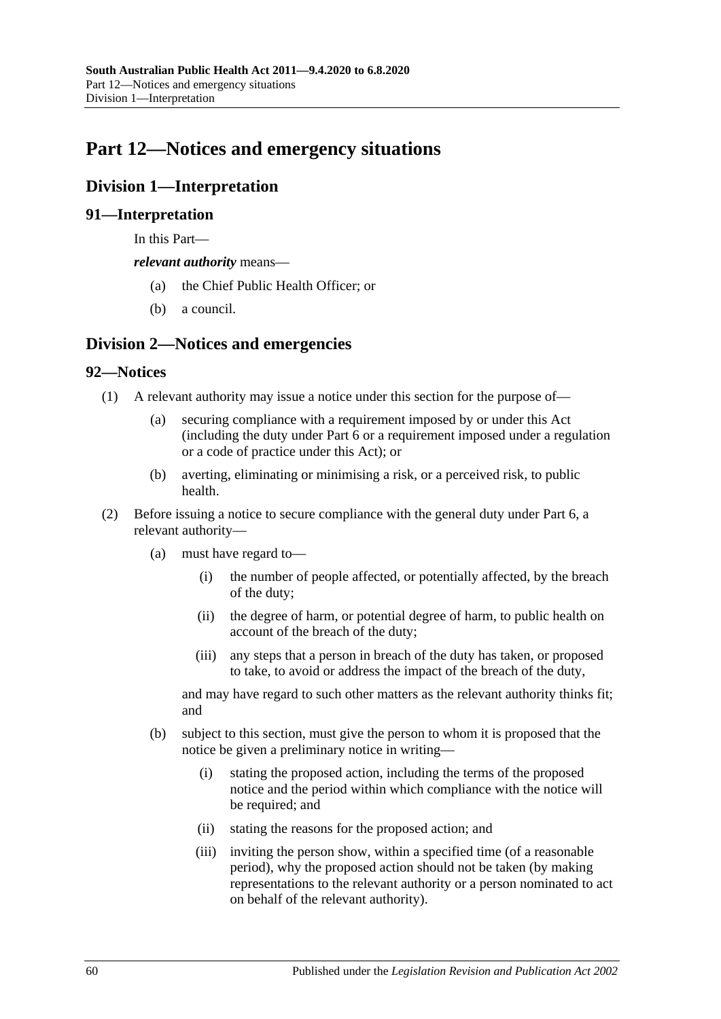# **Part 12—Notices and emergency situations**

## **Division 1—Interpretation**

#### **91—Interpretation**

In this Part—

*relevant authority* means—

- (a) the Chief Public Health Officer; or
- (b) a council.

## **Division 2—Notices and emergencies**

#### **92—Notices**

- (1) A relevant authority may issue a notice under this section for the purpose of—
	- (a) securing compliance with a requirement imposed by or under this Act (including the duty under [Part](#page-32-0) 6 or a requirement imposed under a regulation or a code of practice under this Act); or
	- (b) averting, eliminating or minimising a risk, or a perceived risk, to public health.
- (2) Before issuing a notice to secure compliance with the general duty under [Part](#page-32-0) 6, a relevant authority—
	- (a) must have regard to—
		- (i) the number of people affected, or potentially affected, by the breach of the duty;
		- (ii) the degree of harm, or potential degree of harm, to public health on account of the breach of the duty;
		- (iii) any steps that a person in breach of the duty has taken, or proposed to take, to avoid or address the impact of the breach of the duty,

and may have regard to such other matters as the relevant authority thinks fit; and

- <span id="page-59-0"></span>(b) subject to this section, must give the person to whom it is proposed that the notice be given a preliminary notice in writing—
	- (i) stating the proposed action, including the terms of the proposed notice and the period within which compliance with the notice will be required; and
	- (ii) stating the reasons for the proposed action; and
	- (iii) inviting the person show, within a specified time (of a reasonable period), why the proposed action should not be taken (by making representations to the relevant authority or a person nominated to act on behalf of the relevant authority).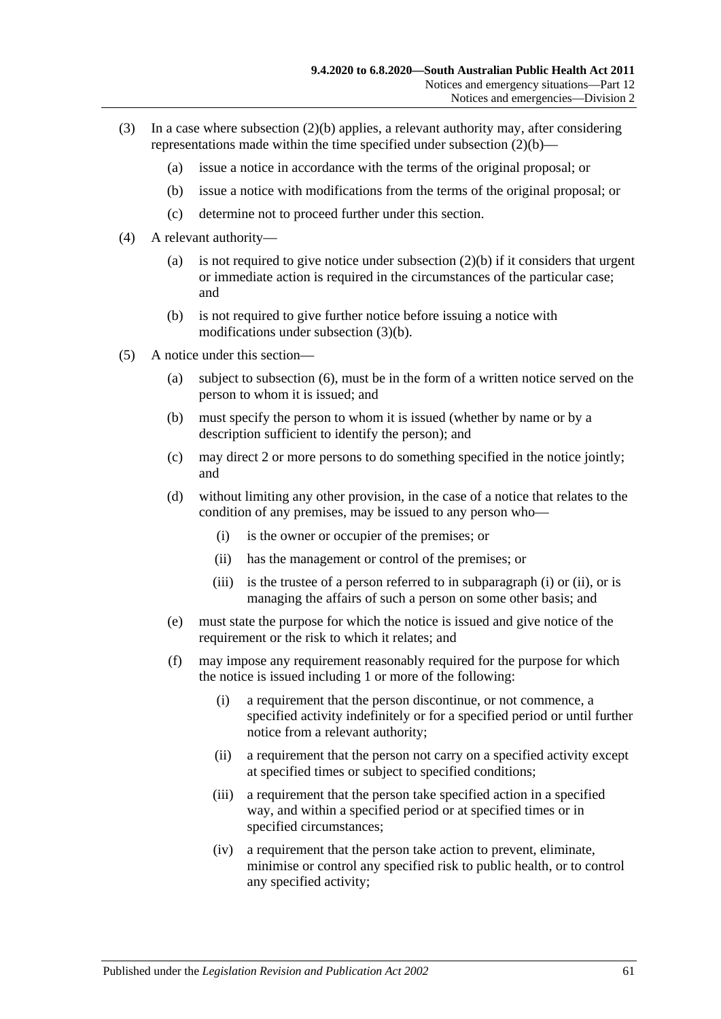- <span id="page-60-0"></span>(3) In a case where [subsection](#page-59-0) (2)(b) applies, a relevant authority may, after considering representations made within the time specified under [subsection](#page-59-0) (2)(b)—
	- (a) issue a notice in accordance with the terms of the original proposal; or
	- (b) issue a notice with modifications from the terms of the original proposal; or
	- (c) determine not to proceed further under this section.
- (4) A relevant authority
	- (a) is not required to give notice under [subsection](#page-59-0)  $(2)(b)$  if it considers that urgent or immediate action is required in the circumstances of the particular case; and
	- (b) is not required to give further notice before issuing a notice with modifications under [subsection](#page-60-0) (3)(b).
- <span id="page-60-3"></span><span id="page-60-2"></span><span id="page-60-1"></span>(5) A notice under this section—
	- (a) subject to [subsection](#page-61-0) (6), must be in the form of a written notice served on the person to whom it is issued; and
	- (b) must specify the person to whom it is issued (whether by name or by a description sufficient to identify the person); and
	- (c) may direct 2 or more persons to do something specified in the notice jointly; and
	- (d) without limiting any other provision, in the case of a notice that relates to the condition of any premises, may be issued to any person who—
		- (i) is the owner or occupier of the premises; or
		- (ii) has the management or control of the premises; or
		- (iii) is the trustee of a person referred to in [subparagraph](#page-60-1) (i) or [\(ii\),](#page-60-2) or is managing the affairs of such a person on some other basis; and
	- (e) must state the purpose for which the notice is issued and give notice of the requirement or the risk to which it relates; and
	- (f) may impose any requirement reasonably required for the purpose for which the notice is issued including 1 or more of the following:
		- (i) a requirement that the person discontinue, or not commence, a specified activity indefinitely or for a specified period or until further notice from a relevant authority;
		- (ii) a requirement that the person not carry on a specified activity except at specified times or subject to specified conditions;
		- (iii) a requirement that the person take specified action in a specified way, and within a specified period or at specified times or in specified circumstances;
		- (iv) a requirement that the person take action to prevent, eliminate, minimise or control any specified risk to public health, or to control any specified activity;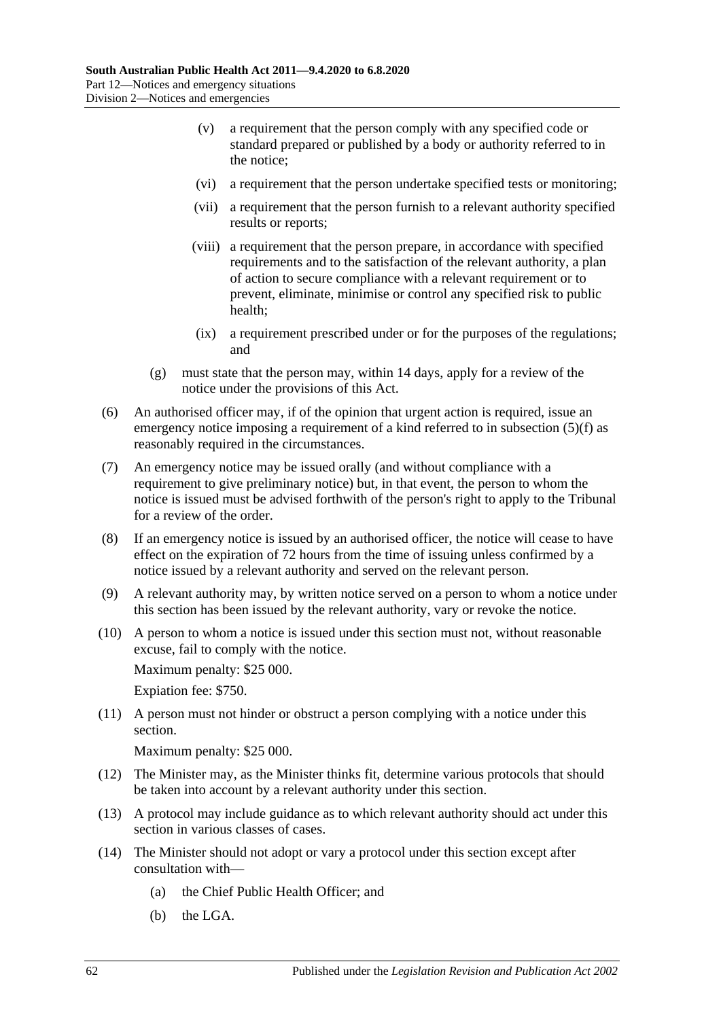- (v) a requirement that the person comply with any specified code or standard prepared or published by a body or authority referred to in the notice;
- (vi) a requirement that the person undertake specified tests or monitoring;
- (vii) a requirement that the person furnish to a relevant authority specified results or reports;
- (viii) a requirement that the person prepare, in accordance with specified requirements and to the satisfaction of the relevant authority, a plan of action to secure compliance with a relevant requirement or to prevent, eliminate, minimise or control any specified risk to public health;
- (ix) a requirement prescribed under or for the purposes of the regulations; and
- (g) must state that the person may, within 14 days, apply for a review of the notice under the provisions of this Act.
- <span id="page-61-0"></span>(6) An authorised officer may, if of the opinion that urgent action is required, issue an emergency notice imposing a requirement of a kind referred to in [subsection](#page-60-3) (5)(f) as reasonably required in the circumstances.
- (7) An emergency notice may be issued orally (and without compliance with a requirement to give preliminary notice) but, in that event, the person to whom the notice is issued must be advised forthwith of the person's right to apply to the Tribunal for a review of the order.
- (8) If an emergency notice is issued by an authorised officer, the notice will cease to have effect on the expiration of 72 hours from the time of issuing unless confirmed by a notice issued by a relevant authority and served on the relevant person.
- (9) A relevant authority may, by written notice served on a person to whom a notice under this section has been issued by the relevant authority, vary or revoke the notice.
- (10) A person to whom a notice is issued under this section must not, without reasonable excuse, fail to comply with the notice.

Maximum penalty: \$25 000.

Expiation fee: \$750.

(11) A person must not hinder or obstruct a person complying with a notice under this section.

Maximum penalty: \$25 000.

- (12) The Minister may, as the Minister thinks fit, determine various protocols that should be taken into account by a relevant authority under this section.
- (13) A protocol may include guidance as to which relevant authority should act under this section in various classes of cases.
- (14) The Minister should not adopt or vary a protocol under this section except after consultation with—
	- (a) the Chief Public Health Officer; and
	- (b) the LGA.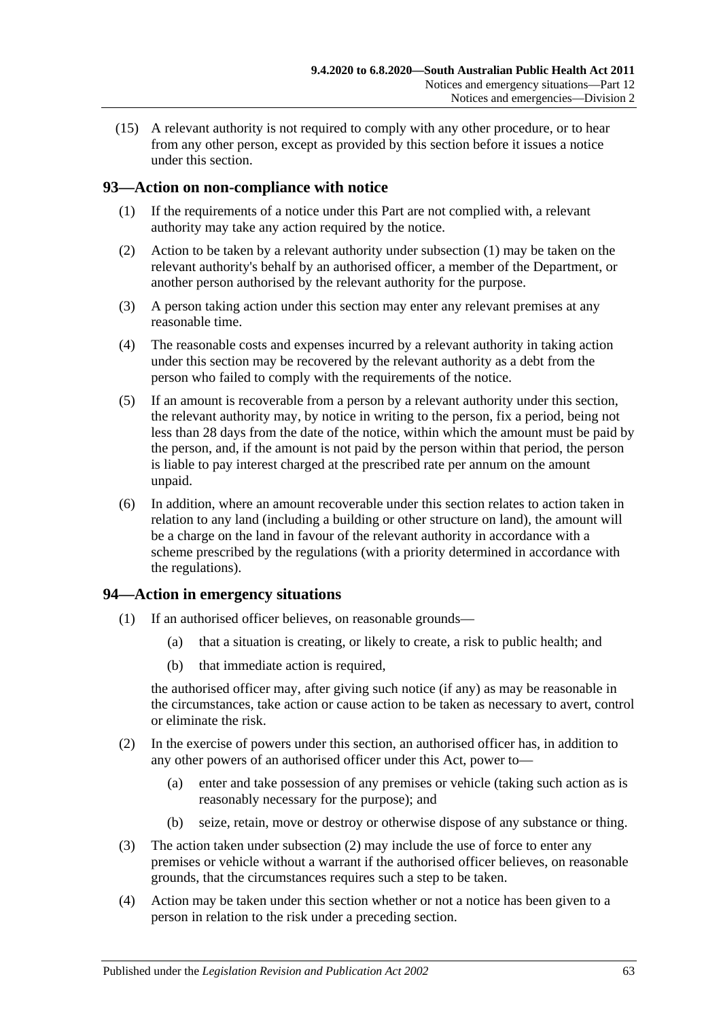(15) A relevant authority is not required to comply with any other procedure, or to hear from any other person, except as provided by this section before it issues a notice under this section.

## <span id="page-62-0"></span>**93—Action on non-compliance with notice**

- (1) If the requirements of a notice under this Part are not complied with, a relevant authority may take any action required by the notice.
- (2) Action to be taken by a relevant authority under [subsection](#page-62-0) (1) may be taken on the relevant authority's behalf by an authorised officer, a member of the Department, or another person authorised by the relevant authority for the purpose.
- (3) A person taking action under this section may enter any relevant premises at any reasonable time.
- (4) The reasonable costs and expenses incurred by a relevant authority in taking action under this section may be recovered by the relevant authority as a debt from the person who failed to comply with the requirements of the notice.
- (5) If an amount is recoverable from a person by a relevant authority under this section, the relevant authority may, by notice in writing to the person, fix a period, being not less than 28 days from the date of the notice, within which the amount must be paid by the person, and, if the amount is not paid by the person within that period, the person is liable to pay interest charged at the prescribed rate per annum on the amount unpaid.
- (6) In addition, where an amount recoverable under this section relates to action taken in relation to any land (including a building or other structure on land), the amount will be a charge on the land in favour of the relevant authority in accordance with a scheme prescribed by the regulations (with a priority determined in accordance with the regulations).

#### **94—Action in emergency situations**

- (1) If an authorised officer believes, on reasonable grounds—
	- (a) that a situation is creating, or likely to create, a risk to public health; and
	- (b) that immediate action is required,

the authorised officer may, after giving such notice (if any) as may be reasonable in the circumstances, take action or cause action to be taken as necessary to avert, control or eliminate the risk.

- <span id="page-62-1"></span>(2) In the exercise of powers under this section, an authorised officer has, in addition to any other powers of an authorised officer under this Act, power to—
	- (a) enter and take possession of any premises or vehicle (taking such action as is reasonably necessary for the purpose); and
	- (b) seize, retain, move or destroy or otherwise dispose of any substance or thing.
- (3) The action taken under [subsection](#page-62-1) (2) may include the use of force to enter any premises or vehicle without a warrant if the authorised officer believes, on reasonable grounds, that the circumstances requires such a step to be taken.
- (4) Action may be taken under this section whether or not a notice has been given to a person in relation to the risk under a preceding section.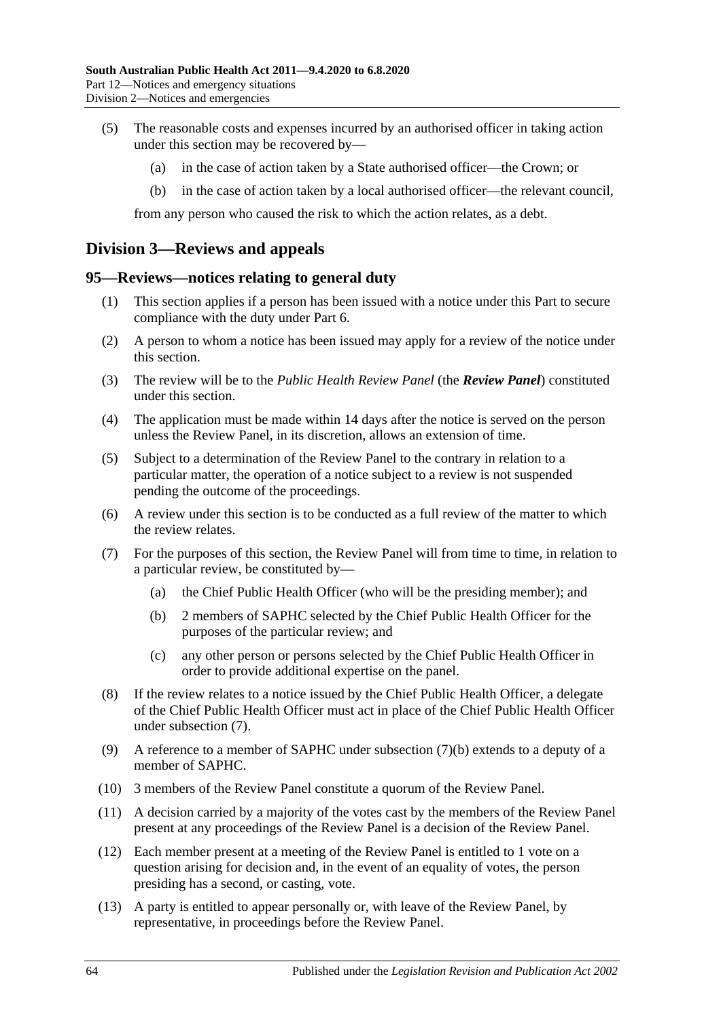- (5) The reasonable costs and expenses incurred by an authorised officer in taking action under this section may be recovered by—
	- (a) in the case of action taken by a State authorised officer—the Crown; or
	- (b) in the case of action taken by a local authorised officer—the relevant council,

from any person who caused the risk to which the action relates, as a debt.

## **Division 3—Reviews and appeals**

#### <span id="page-63-2"></span>**95—Reviews—notices relating to general duty**

- (1) This section applies if a person has been issued with a notice under this Part to secure compliance with the duty under [Part](#page-32-0) 6.
- (2) A person to whom a notice has been issued may apply for a review of the notice under this section.
- (3) The review will be to the *Public Health Review Panel* (the *Review Panel*) constituted under this section.
- (4) The application must be made within 14 days after the notice is served on the person unless the Review Panel, in its discretion, allows an extension of time.
- (5) Subject to a determination of the Review Panel to the contrary in relation to a particular matter, the operation of a notice subject to a review is not suspended pending the outcome of the proceedings.
- (6) A review under this section is to be conducted as a full review of the matter to which the review relates.
- <span id="page-63-1"></span><span id="page-63-0"></span>(7) For the purposes of this section, the Review Panel will from time to time, in relation to a particular review, be constituted by—
	- (a) the Chief Public Health Officer (who will be the presiding member); and
	- (b) 2 members of SAPHC selected by the Chief Public Health Officer for the purposes of the particular review; and
	- (c) any other person or persons selected by the Chief Public Health Officer in order to provide additional expertise on the panel.
- (8) If the review relates to a notice issued by the Chief Public Health Officer, a delegate of the Chief Public Health Officer must act in place of the Chief Public Health Officer under [subsection](#page-63-0) (7).
- (9) A reference to a member of SAPHC under [subsection](#page-63-1) (7)(b) extends to a deputy of a member of SAPHC.
- (10) 3 members of the Review Panel constitute a quorum of the Review Panel.
- (11) A decision carried by a majority of the votes cast by the members of the Review Panel present at any proceedings of the Review Panel is a decision of the Review Panel.
- (12) Each member present at a meeting of the Review Panel is entitled to 1 vote on a question arising for decision and, in the event of an equality of votes, the person presiding has a second, or casting, vote.
- (13) A party is entitled to appear personally or, with leave of the Review Panel, by representative, in proceedings before the Review Panel.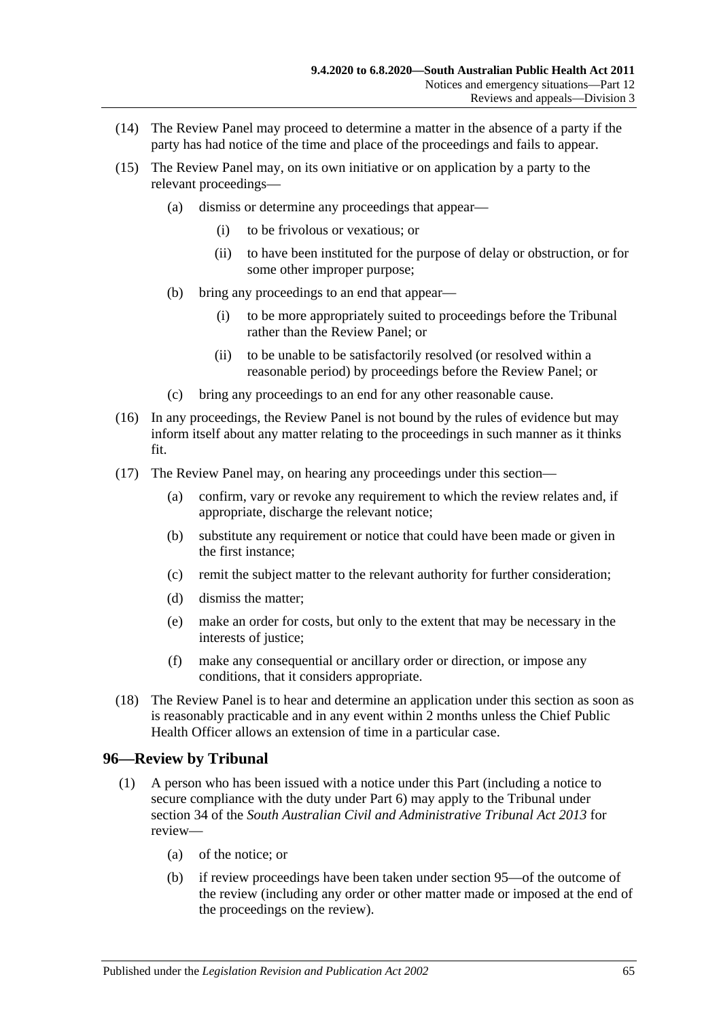- (14) The Review Panel may proceed to determine a matter in the absence of a party if the party has had notice of the time and place of the proceedings and fails to appear.
- (15) The Review Panel may, on its own initiative or on application by a party to the relevant proceedings—
	- (a) dismiss or determine any proceedings that appear—
		- (i) to be frivolous or vexatious; or
		- (ii) to have been instituted for the purpose of delay or obstruction, or for some other improper purpose;
	- (b) bring any proceedings to an end that appear—
		- (i) to be more appropriately suited to proceedings before the Tribunal rather than the Review Panel; or
		- (ii) to be unable to be satisfactorily resolved (or resolved within a reasonable period) by proceedings before the Review Panel; or
	- (c) bring any proceedings to an end for any other reasonable cause.
- (16) In any proceedings, the Review Panel is not bound by the rules of evidence but may inform itself about any matter relating to the proceedings in such manner as it thinks fit.
- (17) The Review Panel may, on hearing any proceedings under this section—
	- (a) confirm, vary or revoke any requirement to which the review relates and, if appropriate, discharge the relevant notice;
	- (b) substitute any requirement or notice that could have been made or given in the first instance;
	- (c) remit the subject matter to the relevant authority for further consideration;
	- (d) dismiss the matter;
	- (e) make an order for costs, but only to the extent that may be necessary in the interests of justice:
	- (f) make any consequential or ancillary order or direction, or impose any conditions, that it considers appropriate.
- (18) The Review Panel is to hear and determine an application under this section as soon as is reasonably practicable and in any event within 2 months unless the Chief Public Health Officer allows an extension of time in a particular case.

#### **96—Review by Tribunal**

- <span id="page-64-1"></span><span id="page-64-0"></span>(1) A person who has been issued with a notice under this Part (including a notice to secure compliance with the duty under [Part](#page-32-0) 6) may apply to the Tribunal under section 34 of the *[South Australian Civil and Administrative Tribunal Act](http://www.legislation.sa.gov.au/index.aspx?action=legref&type=act&legtitle=South%20Australian%20Civil%20and%20Administrative%20Tribunal%20Act%202013) 2013* for review—
	- (a) of the notice; or
	- (b) if review proceedings have been taken under [section](#page-63-2) 95—of the outcome of the review (including any order or other matter made or imposed at the end of the proceedings on the review).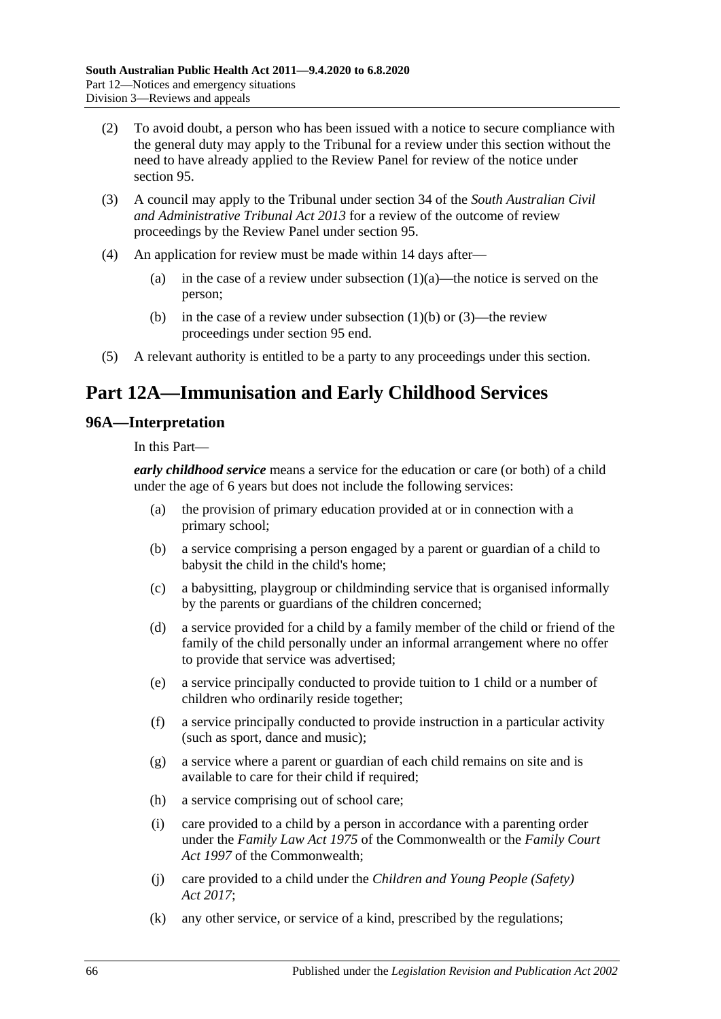- (2) To avoid doubt, a person who has been issued with a notice to secure compliance with the general duty may apply to the Tribunal for a review under this section without the need to have already applied to the Review Panel for review of the notice under [section](#page-63-2) 95.
- (3) A council may apply to the Tribunal under section 34 of the *[South Australian Civil](http://www.legislation.sa.gov.au/index.aspx?action=legref&type=act&legtitle=South%20Australian%20Civil%20and%20Administrative%20Tribunal%20Act%202013)  [and Administrative Tribunal Act](http://www.legislation.sa.gov.au/index.aspx?action=legref&type=act&legtitle=South%20Australian%20Civil%20and%20Administrative%20Tribunal%20Act%202013) 2013* for a review of the outcome of review proceedings by the Review Panel under [section](#page-63-2) 95.
- (4) An application for review must be made within 14 days after
	- (a) in the case of a review under [subsection](#page-64-0)  $(1)(a)$ —the notice is served on the person;
	- (b) in the case of a review under [subsection](#page-64-1)  $(1)(b)$  or  $(3)$ —the review proceedings under [section](#page-63-2) 95 end.
- (5) A relevant authority is entitled to be a party to any proceedings under this section.

# **Part 12A—Immunisation and Early Childhood Services**

## **96A—Interpretation**

In this Part—

*early childhood service* means a service for the education or care (or both) of a child under the age of 6 years but does not include the following services:

- (a) the provision of primary education provided at or in connection with a primary school;
- (b) a service comprising a person engaged by a parent or guardian of a child to babysit the child in the child's home;
- (c) a babysitting, playgroup or childminding service that is organised informally by the parents or guardians of the children concerned;
- (d) a service provided for a child by a family member of the child or friend of the family of the child personally under an informal arrangement where no offer to provide that service was advertised;
- (e) a service principally conducted to provide tuition to 1 child or a number of children who ordinarily reside together;
- (f) a service principally conducted to provide instruction in a particular activity (such as sport, dance and music);
- (g) a service where a parent or guardian of each child remains on site and is available to care for their child if required;
- (h) a service comprising out of school care;
- (i) care provided to a child by a person in accordance with a parenting order under the *Family Law Act 1975* of the Commonwealth or the *Family Court Act 1997* of the Commonwealth;
- (j) care provided to a child under the *[Children and Young People \(Safety\)](http://www.legislation.sa.gov.au/index.aspx?action=legref&type=act&legtitle=Children%20and%20Young%20People%20(Safety)%20Act%202017)  Act [2017](http://www.legislation.sa.gov.au/index.aspx?action=legref&type=act&legtitle=Children%20and%20Young%20People%20(Safety)%20Act%202017)*;
- (k) any other service, or service of a kind, prescribed by the regulations;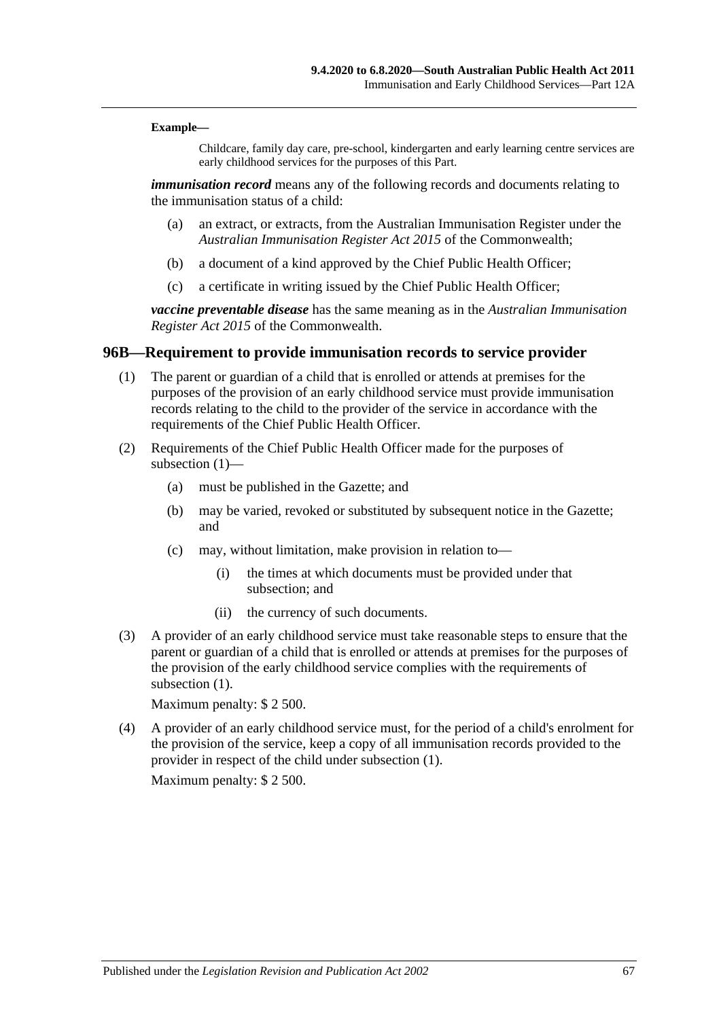#### **Example—**

Childcare, family day care, pre-school, kindergarten and early learning centre services are early childhood services for the purposes of this Part.

*immunisation record* means any of the following records and documents relating to the immunisation status of a child:

- (a) an extract, or extracts, from the Australian Immunisation Register under the *Australian Immunisation Register Act 2015* of the Commonwealth;
- (b) a document of a kind approved by the Chief Public Health Officer;
- (c) a certificate in writing issued by the Chief Public Health Officer;

*vaccine preventable disease* has the same meaning as in the *Australian Immunisation Register Act 2015* of the Commonwealth.

#### <span id="page-66-0"></span>**96B—Requirement to provide immunisation records to service provider**

- (1) The parent or guardian of a child that is enrolled or attends at premises for the purposes of the provision of an early childhood service must provide immunisation records relating to the child to the provider of the service in accordance with the requirements of the Chief Public Health Officer.
- (2) Requirements of the Chief Public Health Officer made for the purposes of [subsection](#page-66-0) (1)—
	- (a) must be published in the Gazette; and
	- (b) may be varied, revoked or substituted by subsequent notice in the Gazette; and
	- (c) may, without limitation, make provision in relation to—
		- (i) the times at which documents must be provided under that subsection; and
		- (ii) the currency of such documents.
- (3) A provider of an early childhood service must take reasonable steps to ensure that the parent or guardian of a child that is enrolled or attends at premises for the purposes of the provision of the early childhood service complies with the requirements of [subsection](#page-66-0)  $(1)$ .

Maximum penalty: \$ 2 500.

(4) A provider of an early childhood service must, for the period of a child's enrolment for the provision of the service, keep a copy of all immunisation records provided to the provider in respect of the child under [subsection](#page-66-0) (1).

Maximum penalty: \$ 2 500.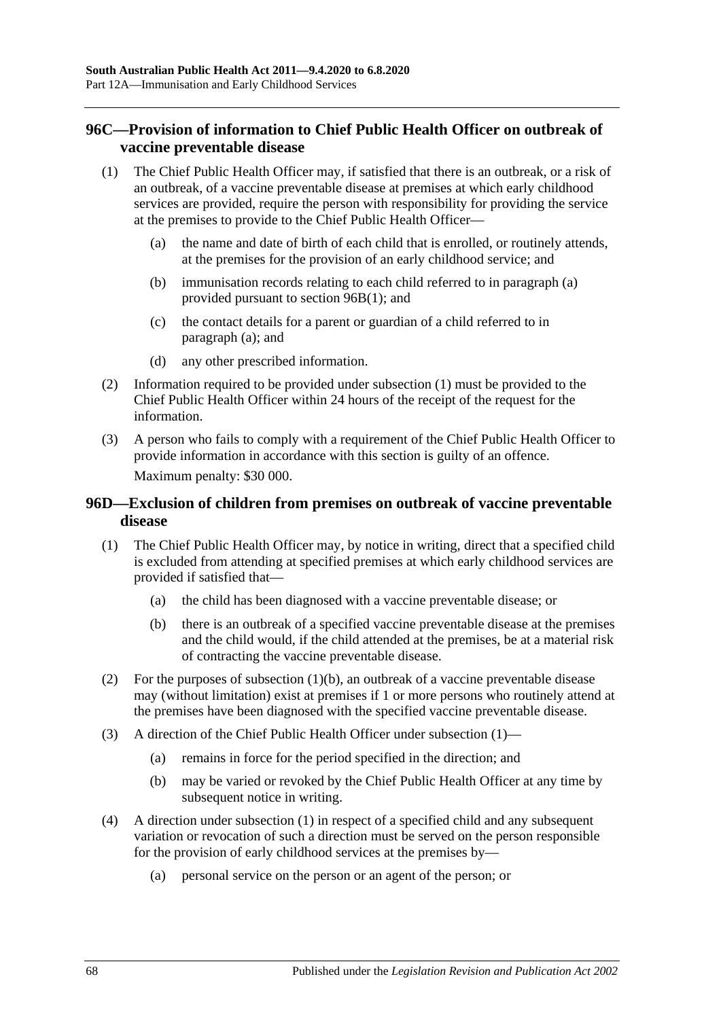## **96C—Provision of information to Chief Public Health Officer on outbreak of vaccine preventable disease**

- <span id="page-67-1"></span><span id="page-67-0"></span>(1) The Chief Public Health Officer may, if satisfied that there is an outbreak, or a risk of an outbreak, of a vaccine preventable disease at premises at which early childhood services are provided, require the person with responsibility for providing the service at the premises to provide to the Chief Public Health Officer—
	- (a) the name and date of birth of each child that is enrolled, or routinely attends, at the premises for the provision of an early childhood service; and
	- (b) immunisation records relating to each child referred to in [paragraph](#page-67-0) (a) provided pursuant to section [96B\(1\);](#page-66-0) and
	- (c) the contact details for a parent or guardian of a child referred to in [paragraph](#page-67-0) (a); and
	- (d) any other prescribed information.
- (2) Information required to be provided under [subsection](#page-67-1) (1) must be provided to the Chief Public Health Officer within 24 hours of the receipt of the request for the information.
- (3) A person who fails to comply with a requirement of the Chief Public Health Officer to provide information in accordance with this section is guilty of an offence. Maximum penalty: \$30 000.

#### **96D—Exclusion of children from premises on outbreak of vaccine preventable disease**

- <span id="page-67-3"></span>(1) The Chief Public Health Officer may, by notice in writing, direct that a specified child is excluded from attending at specified premises at which early childhood services are provided if satisfied that—
	- (a) the child has been diagnosed with a vaccine preventable disease; or
	- (b) there is an outbreak of a specified vaccine preventable disease at the premises and the child would, if the child attended at the premises, be at a material risk of contracting the vaccine preventable disease.
- <span id="page-67-2"></span>(2) For the purposes of [subsection](#page-67-2)  $(1)(b)$ , an outbreak of a vaccine preventable disease may (without limitation) exist at premises if 1 or more persons who routinely attend at the premises have been diagnosed with the specified vaccine preventable disease.
- (3) A direction of the Chief Public Health Officer under [subsection](#page-67-3) (1)—
	- (a) remains in force for the period specified in the direction; and
	- (b) may be varied or revoked by the Chief Public Health Officer at any time by subsequent notice in writing.
- <span id="page-67-4"></span>(4) A direction under [subsection](#page-67-3) (1) in respect of a specified child and any subsequent variation or revocation of such a direction must be served on the person responsible for the provision of early childhood services at the premises by—
	- (a) personal service on the person or an agent of the person; or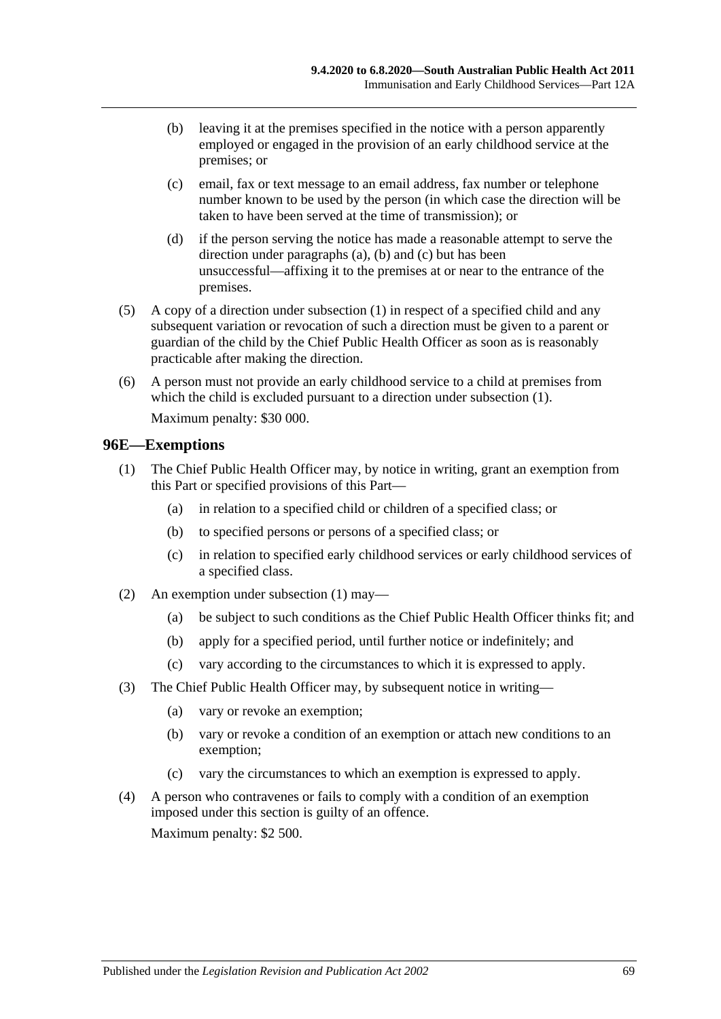- <span id="page-68-0"></span>(b) leaving it at the premises specified in the notice with a person apparently employed or engaged in the provision of an early childhood service at the premises; or
- <span id="page-68-1"></span>(c) email, fax or text message to an email address, fax number or telephone number known to be used by the person (in which case the direction will be taken to have been served at the time of transmission); or
- (d) if the person serving the notice has made a reasonable attempt to serve the direction under [paragraphs](#page-67-4) (a), [\(b\)](#page-68-0) and [\(c\)](#page-68-1) but has been unsuccessful—affixing it to the premises at or near to the entrance of the premises.
- (5) A copy of a direction under [subsection](#page-67-3) (1) in respect of a specified child and any subsequent variation or revocation of such a direction must be given to a parent or guardian of the child by the Chief Public Health Officer as soon as is reasonably practicable after making the direction.
- (6) A person must not provide an early childhood service to a child at premises from which the child is excluded pursuant to a direction under [subsection](#page-67-3) (1). Maximum penalty: \$30 000.

#### <span id="page-68-2"></span>**96E—Exemptions**

- (1) The Chief Public Health Officer may, by notice in writing, grant an exemption from this Part or specified provisions of this Part—
	- (a) in relation to a specified child or children of a specified class; or
	- (b) to specified persons or persons of a specified class; or
	- (c) in relation to specified early childhood services or early childhood services of a specified class.
- (2) An exemption under [subsection](#page-68-2) (1) may—
	- (a) be subject to such conditions as the Chief Public Health Officer thinks fit; and
	- (b) apply for a specified period, until further notice or indefinitely; and
	- (c) vary according to the circumstances to which it is expressed to apply.
- (3) The Chief Public Health Officer may, by subsequent notice in writing—
	- (a) vary or revoke an exemption;
	- (b) vary or revoke a condition of an exemption or attach new conditions to an exemption;
	- (c) vary the circumstances to which an exemption is expressed to apply.
- (4) A person who contravenes or fails to comply with a condition of an exemption imposed under this section is guilty of an offence. Maximum penalty: \$2 500.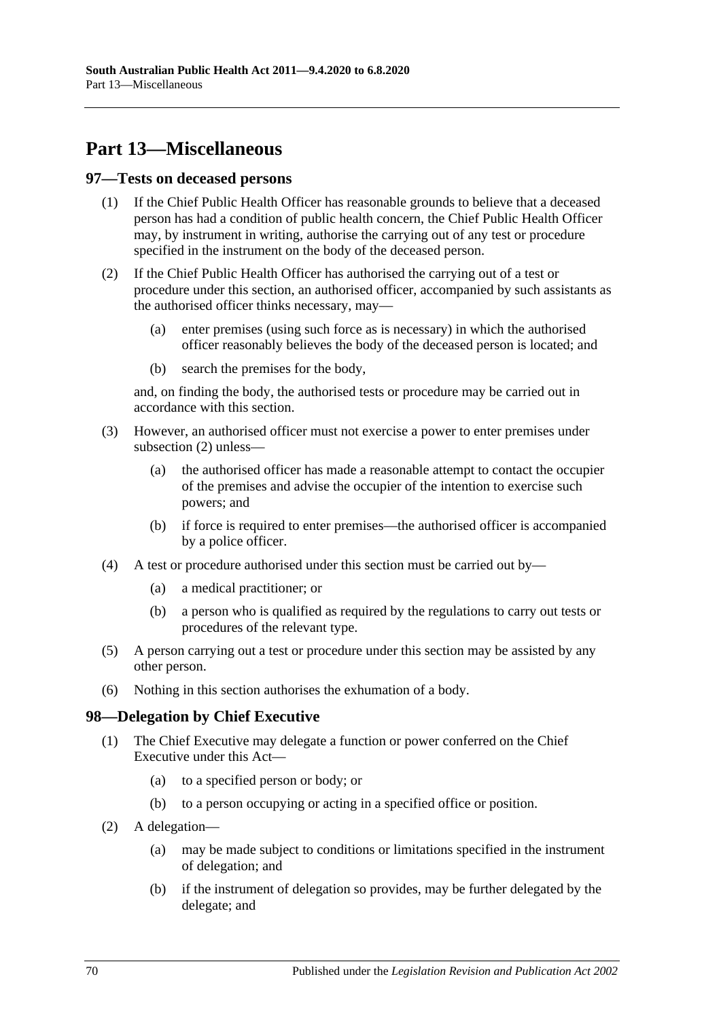# **Part 13—Miscellaneous**

#### **97—Tests on deceased persons**

- (1) If the Chief Public Health Officer has reasonable grounds to believe that a deceased person has had a condition of public health concern, the Chief Public Health Officer may, by instrument in writing, authorise the carrying out of any test or procedure specified in the instrument on the body of the deceased person.
- <span id="page-69-0"></span>(2) If the Chief Public Health Officer has authorised the carrying out of a test or procedure under this section, an authorised officer, accompanied by such assistants as the authorised officer thinks necessary, may—
	- (a) enter premises (using such force as is necessary) in which the authorised officer reasonably believes the body of the deceased person is located; and
	- (b) search the premises for the body,

and, on finding the body, the authorised tests or procedure may be carried out in accordance with this section.

- (3) However, an authorised officer must not exercise a power to enter premises under [subsection](#page-69-0) (2) unless—
	- (a) the authorised officer has made a reasonable attempt to contact the occupier of the premises and advise the occupier of the intention to exercise such powers; and
	- (b) if force is required to enter premises—the authorised officer is accompanied by a police officer.
- (4) A test or procedure authorised under this section must be carried out by—
	- (a) a medical practitioner; or
	- (b) a person who is qualified as required by the regulations to carry out tests or procedures of the relevant type.
- (5) A person carrying out a test or procedure under this section may be assisted by any other person.
- (6) Nothing in this section authorises the exhumation of a body.

#### **98—Delegation by Chief Executive**

- (1) The Chief Executive may delegate a function or power conferred on the Chief Executive under this Act—
	- (a) to a specified person or body; or
	- (b) to a person occupying or acting in a specified office or position.
- (2) A delegation—
	- (a) may be made subject to conditions or limitations specified in the instrument of delegation; and
	- (b) if the instrument of delegation so provides, may be further delegated by the delegate; and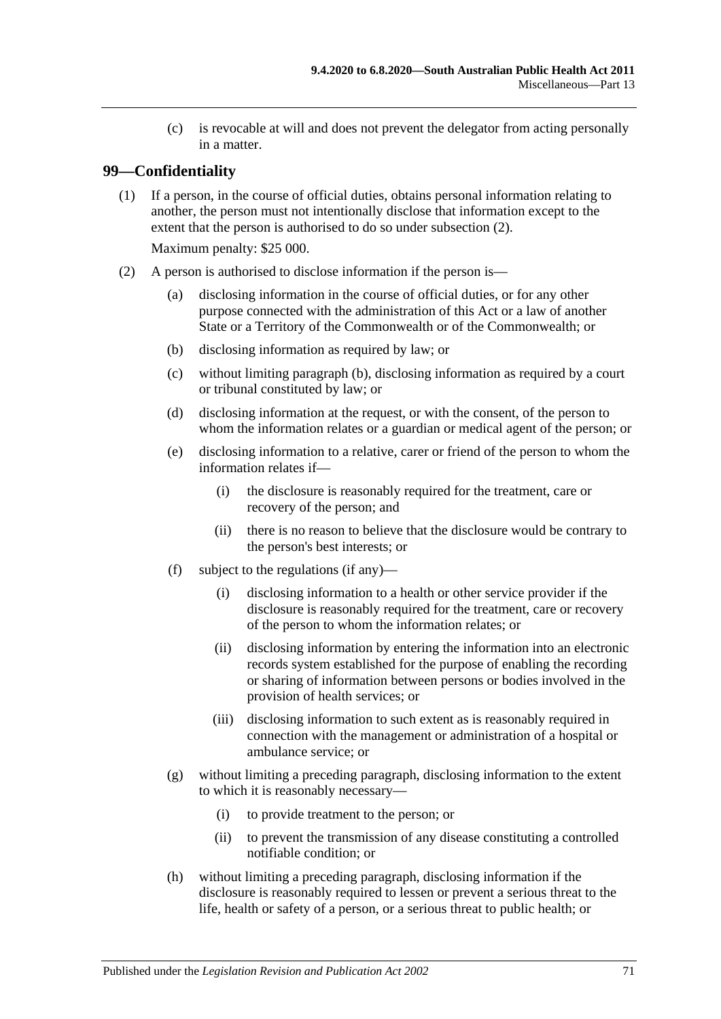(c) is revocable at will and does not prevent the delegator from acting personally in a matter.

## **99—Confidentiality**

(1) If a person, in the course of official duties, obtains personal information relating to another, the person must not intentionally disclose that information except to the extent that the person is authorised to do so under [subsection](#page-70-0) (2).

Maximum penalty: \$25 000.

- <span id="page-70-2"></span><span id="page-70-1"></span><span id="page-70-0"></span>(2) A person is authorised to disclose information if the person is—
	- (a) disclosing information in the course of official duties, or for any other purpose connected with the administration of this Act or a law of another State or a Territory of the Commonwealth or of the Commonwealth; or
	- (b) disclosing information as required by law; or
	- (c) without limiting [paragraph](#page-70-1) (b), disclosing information as required by a court or tribunal constituted by law; or
	- (d) disclosing information at the request, or with the consent, of the person to whom the information relates or a guardian or medical agent of the person; or
	- (e) disclosing information to a relative, carer or friend of the person to whom the information relates if—
		- (i) the disclosure is reasonably required for the treatment, care or recovery of the person; and
		- (ii) there is no reason to believe that the disclosure would be contrary to the person's best interests; or
	- (f) subject to the regulations (if any)—
		- (i) disclosing information to a health or other service provider if the disclosure is reasonably required for the treatment, care or recovery of the person to whom the information relates; or
		- (ii) disclosing information by entering the information into an electronic records system established for the purpose of enabling the recording or sharing of information between persons or bodies involved in the provision of health services; or
		- (iii) disclosing information to such extent as is reasonably required in connection with the management or administration of a hospital or ambulance service; or
	- (g) without limiting a preceding paragraph, disclosing information to the extent to which it is reasonably necessary—
		- (i) to provide treatment to the person; or
		- (ii) to prevent the transmission of any disease constituting a controlled notifiable condition; or
	- (h) without limiting a preceding paragraph, disclosing information if the disclosure is reasonably required to lessen or prevent a serious threat to the life, health or safety of a person, or a serious threat to public health; or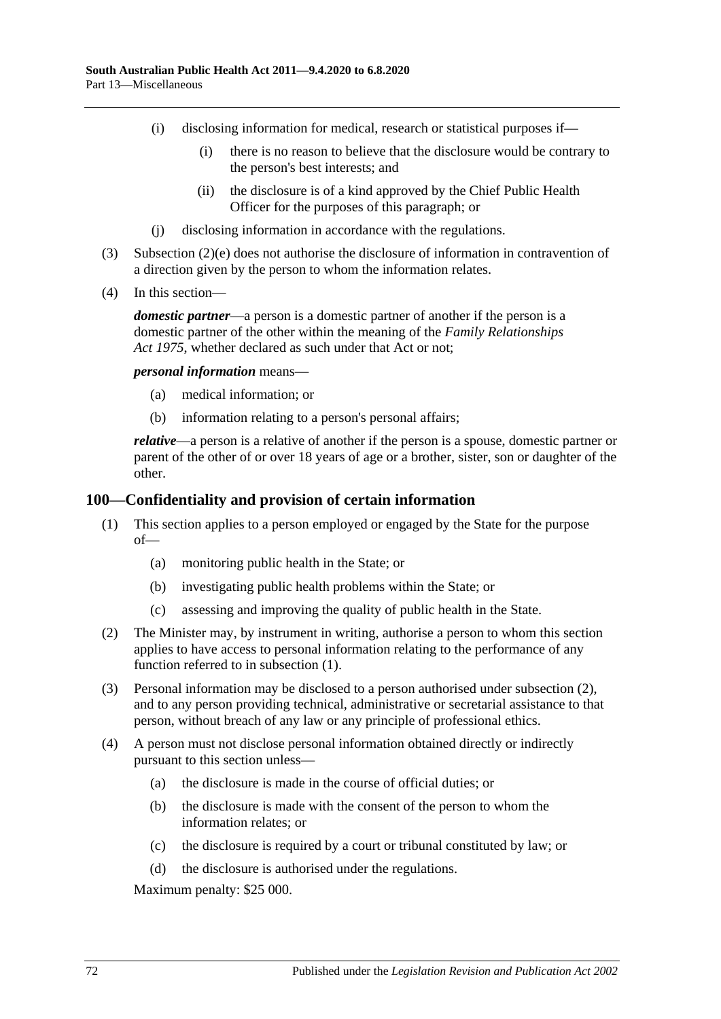- (i) disclosing information for medical, research or statistical purposes if—
	- (i) there is no reason to believe that the disclosure would be contrary to the person's best interests; and
	- (ii) the disclosure is of a kind approved by the Chief Public Health Officer for the purposes of this paragraph; or
- (j) disclosing information in accordance with the regulations.
- (3) [Subsection](#page-70-2) (2)(e) does not authorise the disclosure of information in contravention of a direction given by the person to whom the information relates.
- (4) In this section—

*domestic partner*—a person is a domestic partner of another if the person is a domestic partner of the other within the meaning of the *[Family Relationships](http://www.legislation.sa.gov.au/index.aspx?action=legref&type=act&legtitle=Family%20Relationships%20Act%201975)  Act [1975](http://www.legislation.sa.gov.au/index.aspx?action=legref&type=act&legtitle=Family%20Relationships%20Act%201975)*, whether declared as such under that Act or not;

*personal information* means—

- (a) medical information; or
- (b) information relating to a person's personal affairs;

*relative*—a person is a relative of another if the person is a spouse, domestic partner or parent of the other of or over 18 years of age or a brother, sister, son or daughter of the other.

#### <span id="page-71-0"></span>**100—Confidentiality and provision of certain information**

- (1) This section applies to a person employed or engaged by the State for the purpose of—
	- (a) monitoring public health in the State; or
	- (b) investigating public health problems within the State; or
	- (c) assessing and improving the quality of public health in the State.
- <span id="page-71-1"></span>(2) The Minister may, by instrument in writing, authorise a person to whom this section applies to have access to personal information relating to the performance of any function referred to in [subsection](#page-71-0) (1).
- (3) Personal information may be disclosed to a person authorised under [subsection](#page-71-1) (2), and to any person providing technical, administrative or secretarial assistance to that person, without breach of any law or any principle of professional ethics.
- (4) A person must not disclose personal information obtained directly or indirectly pursuant to this section unless—
	- (a) the disclosure is made in the course of official duties; or
	- (b) the disclosure is made with the consent of the person to whom the information relates; or
	- (c) the disclosure is required by a court or tribunal constituted by law; or
	- (d) the disclosure is authorised under the regulations.

Maximum penalty: \$25 000.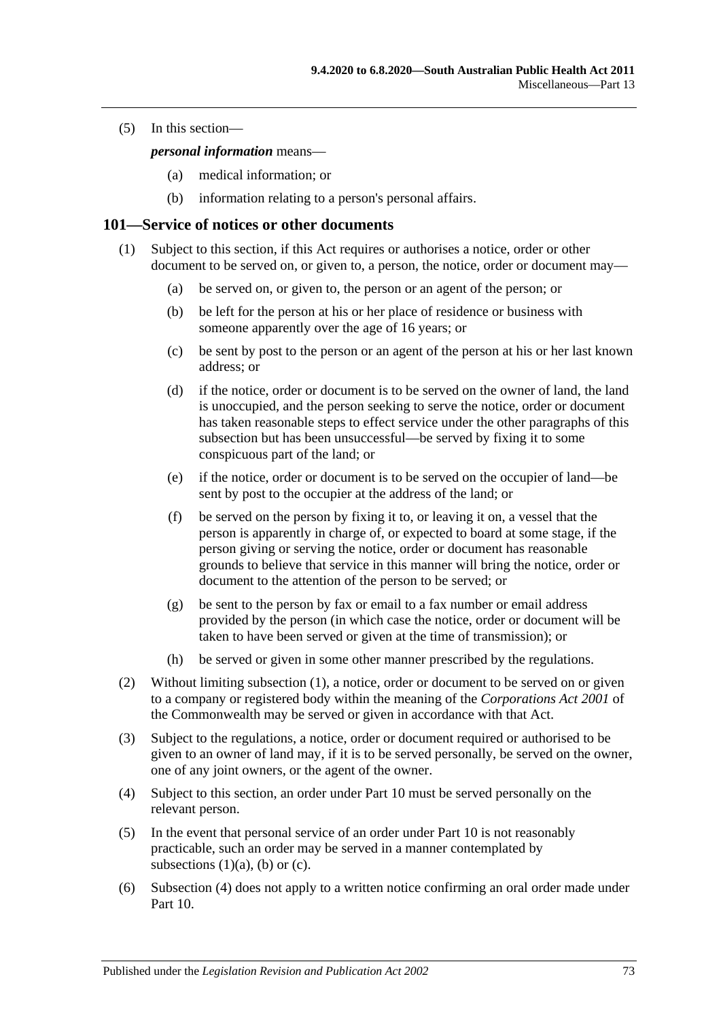(5) In this section—

*personal information* means—

- (a) medical information; or
- (b) information relating to a person's personal affairs.

#### <span id="page-72-0"></span>**101—Service of notices or other documents**

- <span id="page-72-3"></span><span id="page-72-2"></span><span id="page-72-1"></span>(1) Subject to this section, if this Act requires or authorises a notice, order or other document to be served on, or given to, a person, the notice, order or document may—
	- (a) be served on, or given to, the person or an agent of the person; or
	- (b) be left for the person at his or her place of residence or business with someone apparently over the age of 16 years; or
	- (c) be sent by post to the person or an agent of the person at his or her last known address; or
	- (d) if the notice, order or document is to be served on the owner of land, the land is unoccupied, and the person seeking to serve the notice, order or document has taken reasonable steps to effect service under the other paragraphs of this subsection but has been unsuccessful—be served by fixing it to some conspicuous part of the land; or
	- (e) if the notice, order or document is to be served on the occupier of land—be sent by post to the occupier at the address of the land; or
	- (f) be served on the person by fixing it to, or leaving it on, a vessel that the person is apparently in charge of, or expected to board at some stage, if the person giving or serving the notice, order or document has reasonable grounds to believe that service in this manner will bring the notice, order or document to the attention of the person to be served; or
	- (g) be sent to the person by fax or email to a fax number or email address provided by the person (in which case the notice, order or document will be taken to have been served or given at the time of transmission); or
	- (h) be served or given in some other manner prescribed by the regulations.
- (2) Without limiting [subsection](#page-72-0) (1), a notice, order or document to be served on or given to a company or registered body within the meaning of the *Corporations Act 2001* of the Commonwealth may be served or given in accordance with that Act.
- (3) Subject to the regulations, a notice, order or document required or authorised to be given to an owner of land may, if it is to be served personally, be served on the owner, one of any joint owners, or the agent of the owner.
- <span id="page-72-4"></span>(4) Subject to this section, an order under [Part](#page-41-0) 10 must be served personally on the relevant person.
- (5) In the event that personal service of an order under [Part](#page-41-0) 10 is not reasonably practicable, such an order may be served in a manner contemplated by [subsections](#page-72-1)  $(1)(a)$ ,  $(b)$  or  $(c)$ .
- (6) [Subsection](#page-72-4) (4) does not apply to a written notice confirming an oral order made under [Part](#page-41-0) 10.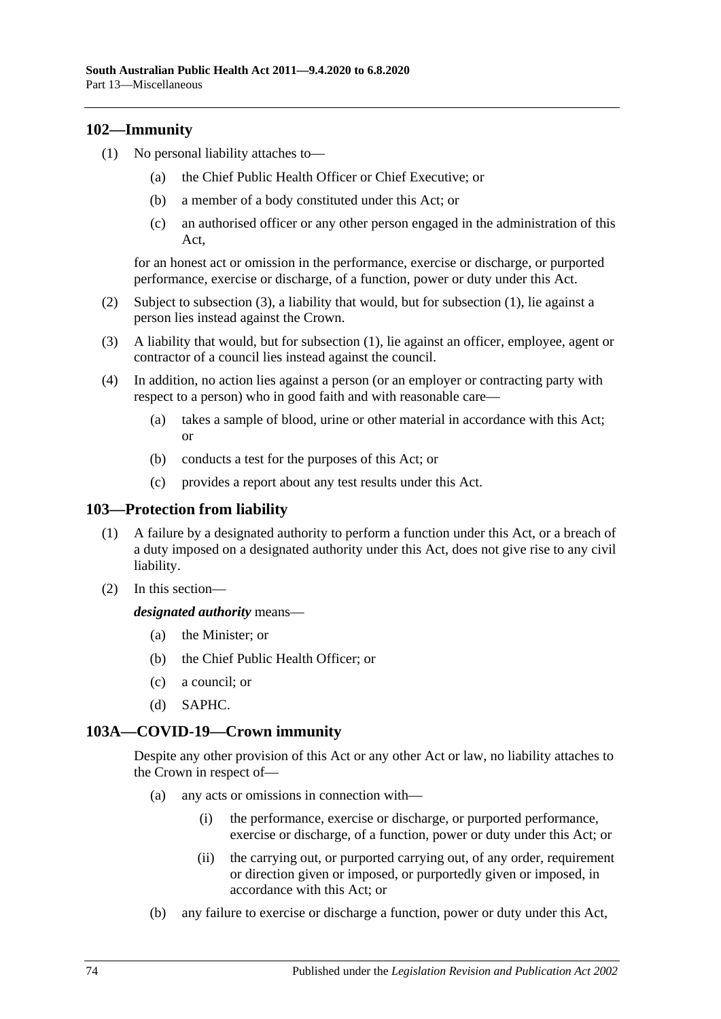### <span id="page-73-1"></span>**102—Immunity**

- (1) No personal liability attaches to—
	- (a) the Chief Public Health Officer or Chief Executive; or
	- (b) a member of a body constituted under this Act; or
	- (c) an authorised officer or any other person engaged in the administration of this Act,

for an honest act or omission in the performance, exercise or discharge, or purported performance, exercise or discharge, of a function, power or duty under this Act.

- (2) Subject to [subsection](#page-73-0) (3), a liability that would, but for [subsection](#page-73-1) (1), lie against a person lies instead against the Crown.
- <span id="page-73-0"></span>(3) A liability that would, but for [subsection](#page-73-1) (1), lie against an officer, employee, agent or contractor of a council lies instead against the council.
- (4) In addition, no action lies against a person (or an employer or contracting party with respect to a person) who in good faith and with reasonable care—
	- (a) takes a sample of blood, urine or other material in accordance with this Act; or
	- (b) conducts a test for the purposes of this Act; or
	- (c) provides a report about any test results under this Act.

#### **103—Protection from liability**

- (1) A failure by a designated authority to perform a function under this Act, or a breach of a duty imposed on a designated authority under this Act, does not give rise to any civil liability.
- (2) In this section—

#### *designated authority* means—

- (a) the Minister; or
- (b) the Chief Public Health Officer; or
- (c) a council; or
- (d) SAPHC.

### **103A—COVID-19—Crown immunity**

Despite any other provision of this Act or any other Act or law, no liability attaches to the Crown in respect of—

- (a) any acts or omissions in connection with—
	- (i) the performance, exercise or discharge, or purported performance, exercise or discharge, of a function, power or duty under this Act; or
	- (ii) the carrying out, or purported carrying out, of any order, requirement or direction given or imposed, or purportedly given or imposed, in accordance with this Act; or
- (b) any failure to exercise or discharge a function, power or duty under this Act,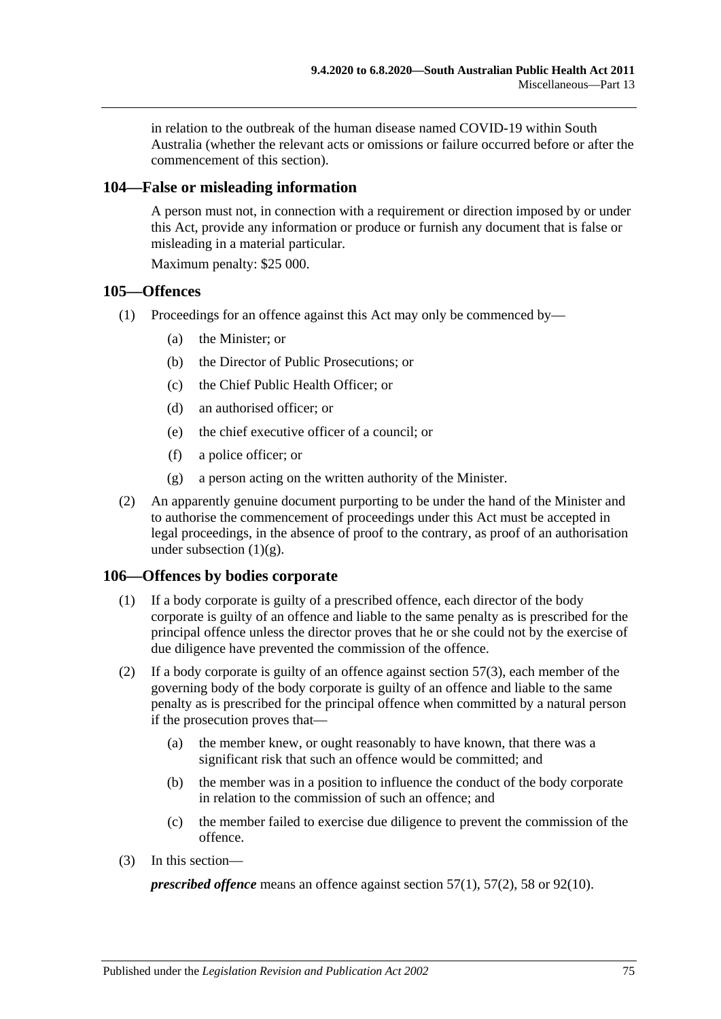in relation to the outbreak of the human disease named COVID-19 within South Australia (whether the relevant acts or omissions or failure occurred before or after the commencement of this section).

#### **104—False or misleading information**

A person must not, in connection with a requirement or direction imposed by or under this Act, provide any information or produce or furnish any document that is false or misleading in a material particular.

Maximum penalty: \$25 000.

#### **105—Offences**

- (1) Proceedings for an offence against this Act may only be commenced by—
	- (a) the Minister; or
	- (b) the Director of Public Prosecutions; or
	- (c) the Chief Public Health Officer; or
	- (d) an authorised officer; or
	- (e) the chief executive officer of a council; or
	- (f) a police officer; or
	- (g) a person acting on the written authority of the Minister.
- <span id="page-74-0"></span>(2) An apparently genuine document purporting to be under the hand of the Minister and to authorise the commencement of proceedings under this Act must be accepted in legal proceedings, in the absence of proof to the contrary, as proof of an authorisation under [subsection](#page-74-0)  $(1)(g)$ .

#### **106—Offences by bodies corporate**

- (1) If a body corporate is guilty of a prescribed offence, each director of the body corporate is guilty of an offence and liable to the same penalty as is prescribed for the principal offence unless the director proves that he or she could not by the exercise of due diligence have prevented the commission of the offence.
- (2) If a body corporate is guilty of an offence against [section](#page-33-0) 57(3), each member of the governing body of the body corporate is guilty of an offence and liable to the same penalty as is prescribed for the principal offence when committed by a natural person if the prosecution proves that—
	- (a) the member knew, or ought reasonably to have known, that there was a significant risk that such an offence would be committed; and
	- (b) the member was in a position to influence the conduct of the body corporate in relation to the commission of such an offence; and
	- (c) the member failed to exercise due diligence to prevent the commission of the offence.
- (3) In this section—

*prescribed offence* means an offence against [section](#page-33-1) 57(1), [57\(2\),](#page-33-2) [58](#page-33-3) or [92\(10\).](#page-61-0)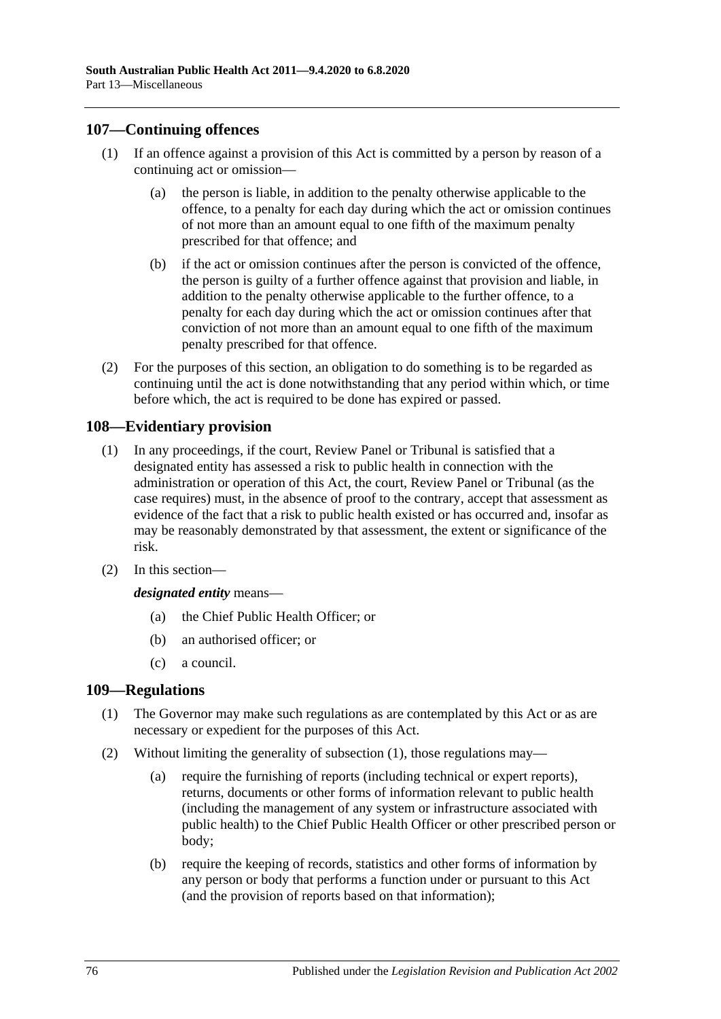### **107—Continuing offences**

- (1) If an offence against a provision of this Act is committed by a person by reason of a continuing act or omission—
	- (a) the person is liable, in addition to the penalty otherwise applicable to the offence, to a penalty for each day during which the act or omission continues of not more than an amount equal to one fifth of the maximum penalty prescribed for that offence; and
	- (b) if the act or omission continues after the person is convicted of the offence, the person is guilty of a further offence against that provision and liable, in addition to the penalty otherwise applicable to the further offence, to a penalty for each day during which the act or omission continues after that conviction of not more than an amount equal to one fifth of the maximum penalty prescribed for that offence.
- (2) For the purposes of this section, an obligation to do something is to be regarded as continuing until the act is done notwithstanding that any period within which, or time before which, the act is required to be done has expired or passed.

### **108—Evidentiary provision**

- (1) In any proceedings, if the court, Review Panel or Tribunal is satisfied that a designated entity has assessed a risk to public health in connection with the administration or operation of this Act, the court, Review Panel or Tribunal (as the case requires) must, in the absence of proof to the contrary, accept that assessment as evidence of the fact that a risk to public health existed or has occurred and, insofar as may be reasonably demonstrated by that assessment, the extent or significance of the risk.
- (2) In this section—

*designated entity* means—

- (a) the Chief Public Health Officer; or
- (b) an authorised officer; or
- (c) a council.

### <span id="page-75-0"></span>**109—Regulations**

- (1) The Governor may make such regulations as are contemplated by this Act or as are necessary or expedient for the purposes of this Act.
- (2) Without limiting the generality of [subsection](#page-75-0) (1), those regulations may—
	- (a) require the furnishing of reports (including technical or expert reports), returns, documents or other forms of information relevant to public health (including the management of any system or infrastructure associated with public health) to the Chief Public Health Officer or other prescribed person or body;
	- (b) require the keeping of records, statistics and other forms of information by any person or body that performs a function under or pursuant to this Act (and the provision of reports based on that information);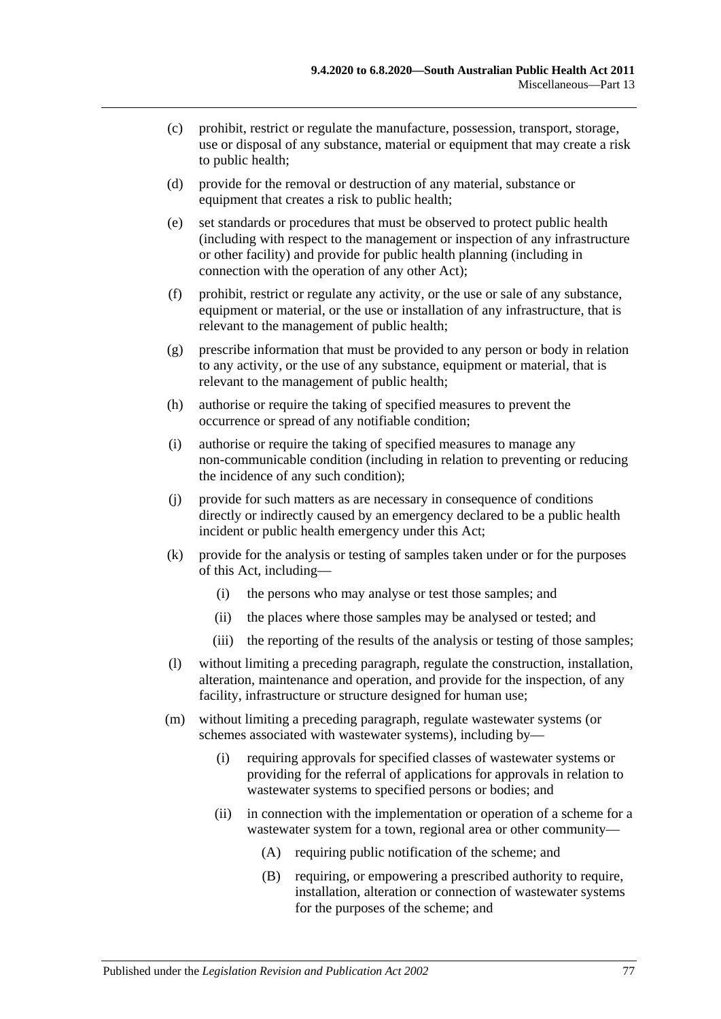- (c) prohibit, restrict or regulate the manufacture, possession, transport, storage, use or disposal of any substance, material or equipment that may create a risk to public health;
- (d) provide for the removal or destruction of any material, substance or equipment that creates a risk to public health;
- (e) set standards or procedures that must be observed to protect public health (including with respect to the management or inspection of any infrastructure or other facility) and provide for public health planning (including in connection with the operation of any other Act);
- (f) prohibit, restrict or regulate any activity, or the use or sale of any substance, equipment or material, or the use or installation of any infrastructure, that is relevant to the management of public health;
- (g) prescribe information that must be provided to any person or body in relation to any activity, or the use of any substance, equipment or material, that is relevant to the management of public health;
- (h) authorise or require the taking of specified measures to prevent the occurrence or spread of any notifiable condition;
- (i) authorise or require the taking of specified measures to manage any non-communicable condition (including in relation to preventing or reducing the incidence of any such condition);
- (j) provide for such matters as are necessary in consequence of conditions directly or indirectly caused by an emergency declared to be a public health incident or public health emergency under this Act;
- (k) provide for the analysis or testing of samples taken under or for the purposes of this Act, including—
	- (i) the persons who may analyse or test those samples; and
	- (ii) the places where those samples may be analysed or tested; and
	- (iii) the reporting of the results of the analysis or testing of those samples;
- (l) without limiting a preceding paragraph, regulate the construction, installation, alteration, maintenance and operation, and provide for the inspection, of any facility, infrastructure or structure designed for human use;
- (m) without limiting a preceding paragraph, regulate wastewater systems (or schemes associated with wastewater systems), including by—
	- (i) requiring approvals for specified classes of wastewater systems or providing for the referral of applications for approvals in relation to wastewater systems to specified persons or bodies; and
	- (ii) in connection with the implementation or operation of a scheme for a wastewater system for a town, regional area or other community—
		- (A) requiring public notification of the scheme; and
		- (B) requiring, or empowering a prescribed authority to require, installation, alteration or connection of wastewater systems for the purposes of the scheme; and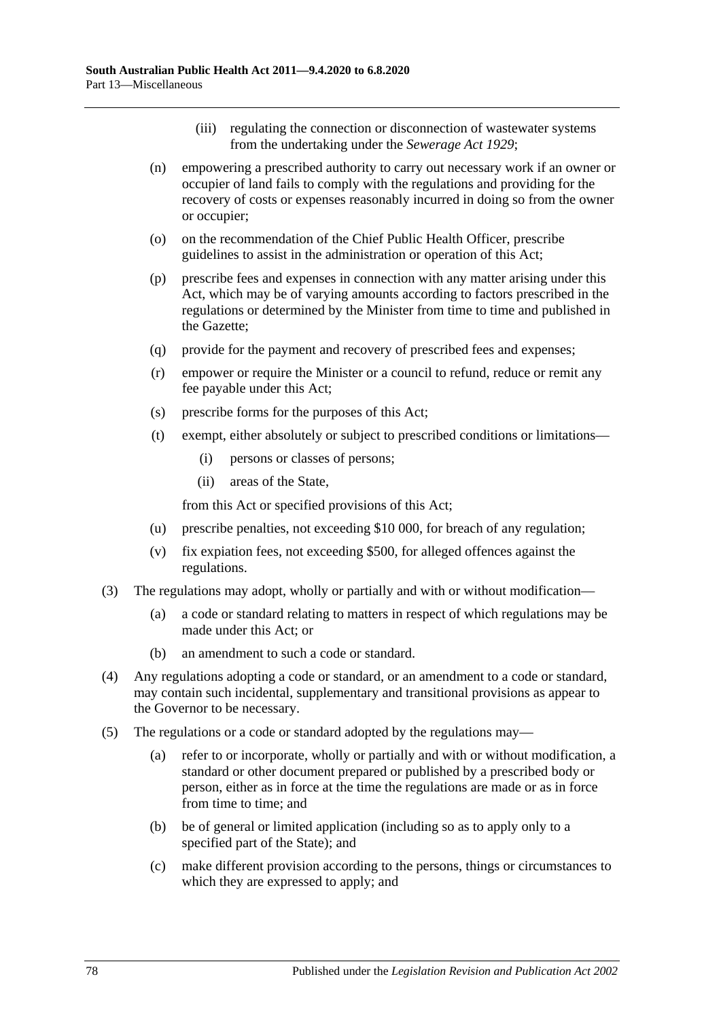- (iii) regulating the connection or disconnection of wastewater systems from the undertaking under the *[Sewerage Act](http://www.legislation.sa.gov.au/index.aspx?action=legref&type=act&legtitle=Sewerage%20Act%201929) 1929*;
- (n) empowering a prescribed authority to carry out necessary work if an owner or occupier of land fails to comply with the regulations and providing for the recovery of costs or expenses reasonably incurred in doing so from the owner or occupier;
- (o) on the recommendation of the Chief Public Health Officer, prescribe guidelines to assist in the administration or operation of this Act;
- (p) prescribe fees and expenses in connection with any matter arising under this Act, which may be of varying amounts according to factors prescribed in the regulations or determined by the Minister from time to time and published in the Gazette;
- (q) provide for the payment and recovery of prescribed fees and expenses;
- (r) empower or require the Minister or a council to refund, reduce or remit any fee payable under this Act;
- (s) prescribe forms for the purposes of this Act;
- (t) exempt, either absolutely or subject to prescribed conditions or limitations—
	- (i) persons or classes of persons;
	- (ii) areas of the State,

from this Act or specified provisions of this Act;

- (u) prescribe penalties, not exceeding \$10 000, for breach of any regulation;
- (v) fix expiation fees, not exceeding \$500, for alleged offences against the regulations.
- (3) The regulations may adopt, wholly or partially and with or without modification—
	- (a) a code or standard relating to matters in respect of which regulations may be made under this Act; or
	- (b) an amendment to such a code or standard.
- (4) Any regulations adopting a code or standard, or an amendment to a code or standard, may contain such incidental, supplementary and transitional provisions as appear to the Governor to be necessary.
- (5) The regulations or a code or standard adopted by the regulations may—
	- (a) refer to or incorporate, wholly or partially and with or without modification, a standard or other document prepared or published by a prescribed body or person, either as in force at the time the regulations are made or as in force from time to time; and
	- (b) be of general or limited application (including so as to apply only to a specified part of the State); and
	- (c) make different provision according to the persons, things or circumstances to which they are expressed to apply; and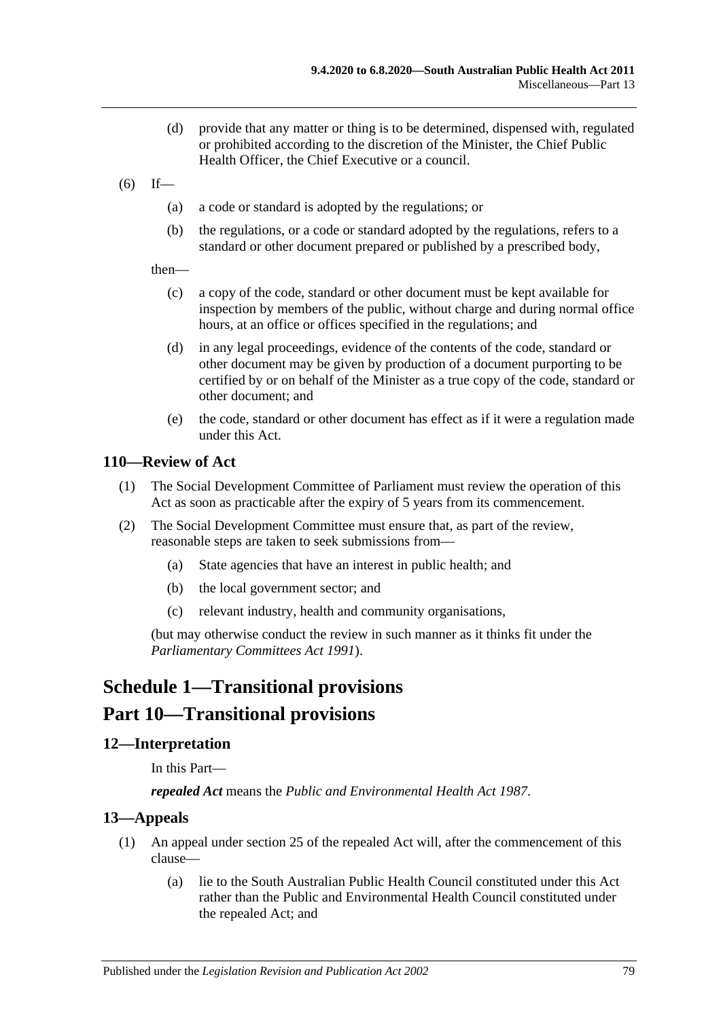- (d) provide that any matter or thing is to be determined, dispensed with, regulated or prohibited according to the discretion of the Minister, the Chief Public Health Officer, the Chief Executive or a council.
- $(6)$  If—
	- (a) a code or standard is adopted by the regulations; or
	- (b) the regulations, or a code or standard adopted by the regulations, refers to a standard or other document prepared or published by a prescribed body,
	- then—
		- (c) a copy of the code, standard or other document must be kept available for inspection by members of the public, without charge and during normal office hours, at an office or offices specified in the regulations; and
		- (d) in any legal proceedings, evidence of the contents of the code, standard or other document may be given by production of a document purporting to be certified by or on behalf of the Minister as a true copy of the code, standard or other document; and
		- (e) the code, standard or other document has effect as if it were a regulation made under this Act.

#### **110—Review of Act**

- (1) The Social Development Committee of Parliament must review the operation of this Act as soon as practicable after the expiry of 5 years from its commencement.
- (2) The Social Development Committee must ensure that, as part of the review, reasonable steps are taken to seek submissions from—
	- (a) State agencies that have an interest in public health; and
	- (b) the local government sector; and
	- (c) relevant industry, health and community organisations,

(but may otherwise conduct the review in such manner as it thinks fit under the *[Parliamentary Committees Act](http://www.legislation.sa.gov.au/index.aspx?action=legref&type=act&legtitle=Parliamentary%20Committees%20Act%201991) 1991*).

## **Schedule 1—Transitional provisions**

## **Part 10—Transitional provisions**

#### **12—Interpretation**

In this Part—

*repealed Act* means the *[Public and Environmental Health Act](http://www.legislation.sa.gov.au/index.aspx?action=legref&type=act&legtitle=Public%20and%20Environmental%20Health%20Act%201987) 1987*.

#### <span id="page-78-1"></span>**13—Appeals**

- <span id="page-78-0"></span>(1) An appeal under section 25 of the repealed Act will, after the commencement of this clause—
	- (a) lie to the South Australian Public Health Council constituted under this Act rather than the Public and Environmental Health Council constituted under the repealed Act; and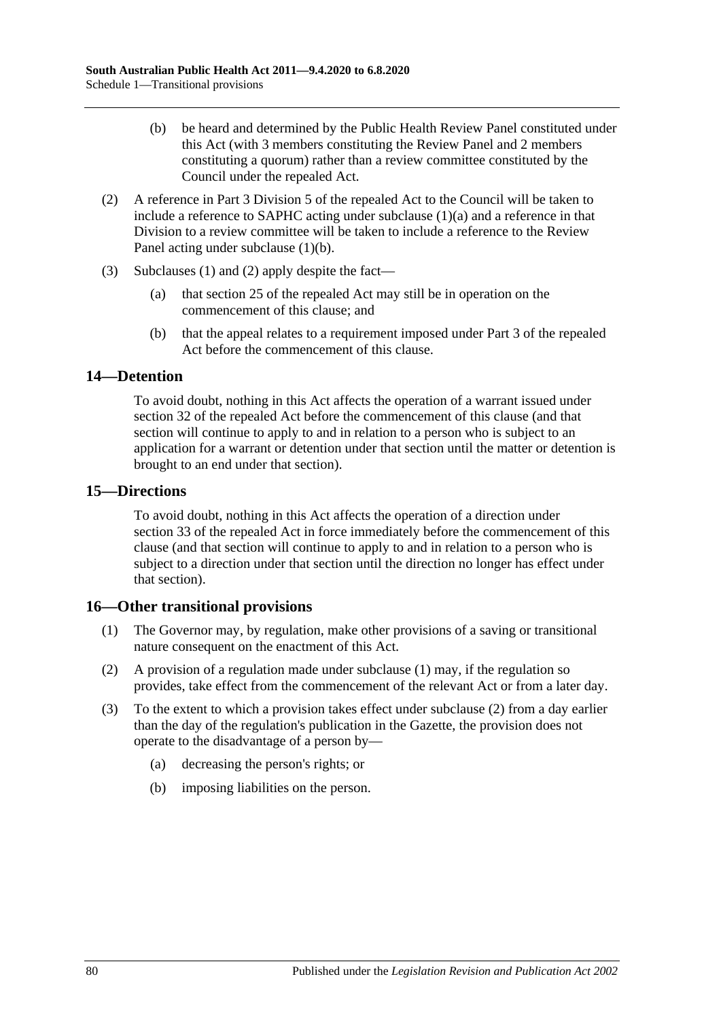- <span id="page-79-0"></span>(b) be heard and determined by the Public Health Review Panel constituted under this Act (with 3 members constituting the Review Panel and 2 members constituting a quorum) rather than a review committee constituted by the Council under the repealed Act.
- <span id="page-79-1"></span>(2) A reference in Part 3 Division 5 of the repealed Act to the Council will be taken to include a reference to SAPHC acting under [subclause](#page-78-0) (1)(a) and a reference in that Division to a review committee will be taken to include a reference to the Review Panel acting under [subclause](#page-79-0) (1)(b).
- (3) [Subclauses](#page-78-1) (1) and [\(2\)](#page-79-1) apply despite the fact—
	- (a) that section 25 of the repealed Act may still be in operation on the commencement of this clause; and
	- (b) that the appeal relates to a requirement imposed under Part 3 of the repealed Act before the commencement of this clause.

### **14—Detention**

To avoid doubt, nothing in this Act affects the operation of a warrant issued under section 32 of the repealed Act before the commencement of this clause (and that section will continue to apply to and in relation to a person who is subject to an application for a warrant or detention under that section until the matter or detention is brought to an end under that section).

### **15—Directions**

To avoid doubt, nothing in this Act affects the operation of a direction under section 33 of the repealed Act in force immediately before the commencement of this clause (and that section will continue to apply to and in relation to a person who is subject to a direction under that section until the direction no longer has effect under that section).

## <span id="page-79-2"></span>**16—Other transitional provisions**

- (1) The Governor may, by regulation, make other provisions of a saving or transitional nature consequent on the enactment of this Act.
- <span id="page-79-3"></span>(2) A provision of a regulation made under [subclause](#page-79-2) (1) may, if the regulation so provides, take effect from the commencement of the relevant Act or from a later day.
- (3) To the extent to which a provision takes effect under [subclause](#page-79-3) (2) from a day earlier than the day of the regulation's publication in the Gazette, the provision does not operate to the disadvantage of a person by—
	- (a) decreasing the person's rights; or
	- (b) imposing liabilities on the person.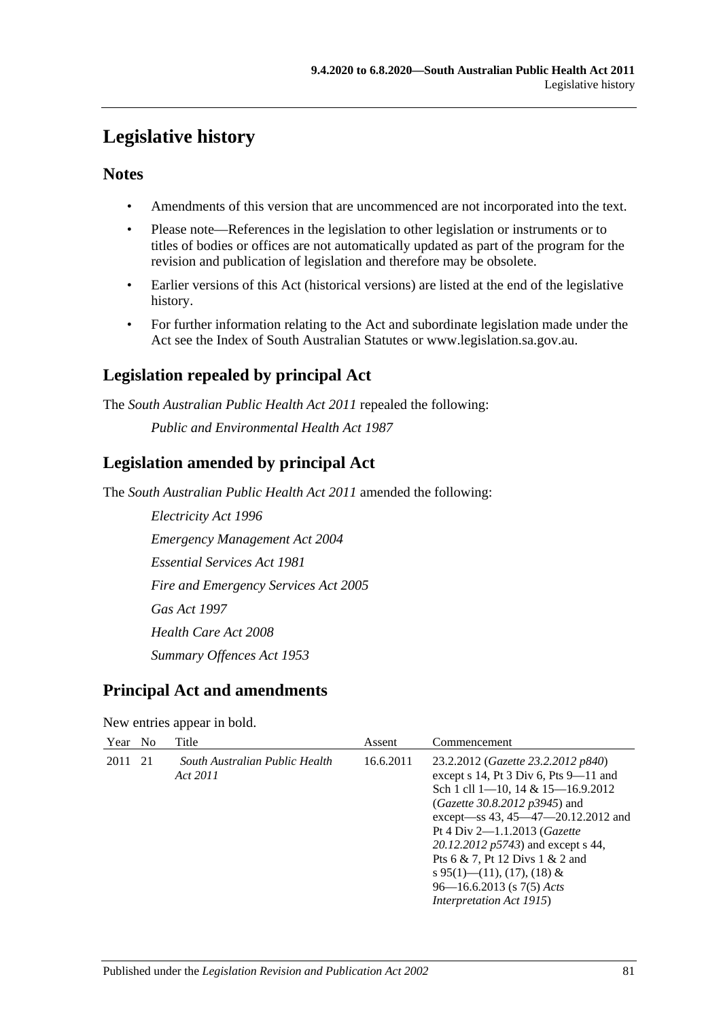# **Legislative history**

### **Notes**

- Amendments of this version that are uncommenced are not incorporated into the text.
- Please note—References in the legislation to other legislation or instruments or to titles of bodies or offices are not automatically updated as part of the program for the revision and publication of legislation and therefore may be obsolete.
- Earlier versions of this Act (historical versions) are listed at the end of the legislative history.
- For further information relating to the Act and subordinate legislation made under the Act see the Index of South Australian Statutes or www.legislation.sa.gov.au.

## **Legislation repealed by principal Act**

The *South Australian Public Health Act 2011* repealed the following:

*Public and Environmental Health Act 1987*

## **Legislation amended by principal Act**

The *South Australian Public Health Act 2011* amended the following:

*Electricity Act 1996 Emergency Management Act 2004 Essential Services Act 1981 Fire and Emergency Services Act 2005 Gas Act 1997 Health Care Act 2008 Summary Offences Act 1953*

## **Principal Act and amendments**

New entries appear in bold.

| Year No |      | Title                                      | Assent    | Commencement                                                                                                                                                                                                                                                                                                                                                                                                                      |
|---------|------|--------------------------------------------|-----------|-----------------------------------------------------------------------------------------------------------------------------------------------------------------------------------------------------------------------------------------------------------------------------------------------------------------------------------------------------------------------------------------------------------------------------------|
| 2011    | - 21 | South Australian Public Health<br>Act 2011 | 16.6.2011 | 23.2.2012 (Gazette 23.2.2012 p840)<br>except $s$ 14, Pt 3 Div 6, Pts 9-11 and<br>Sch 1 cll $1-10$ , $14 & 15-16.9.2012$<br>( <i>Gazette 30.8.2012 p3945</i> ) and<br>except—ss 43, 45—47—20.12.2012 and<br>Pt 4 Div $2 - 1.1.2013$ ( <i>Gazette</i><br>20.12.2012 p5743) and except s 44,<br>Pts 6 & 7, Pt 12 Divs 1 & 2 and<br>s 95(1)—(11), (17), (18) &<br>$96 - 16.6.2013$ (s $7(5)$ Acts<br><i>Interpretation Act 1915</i> ) |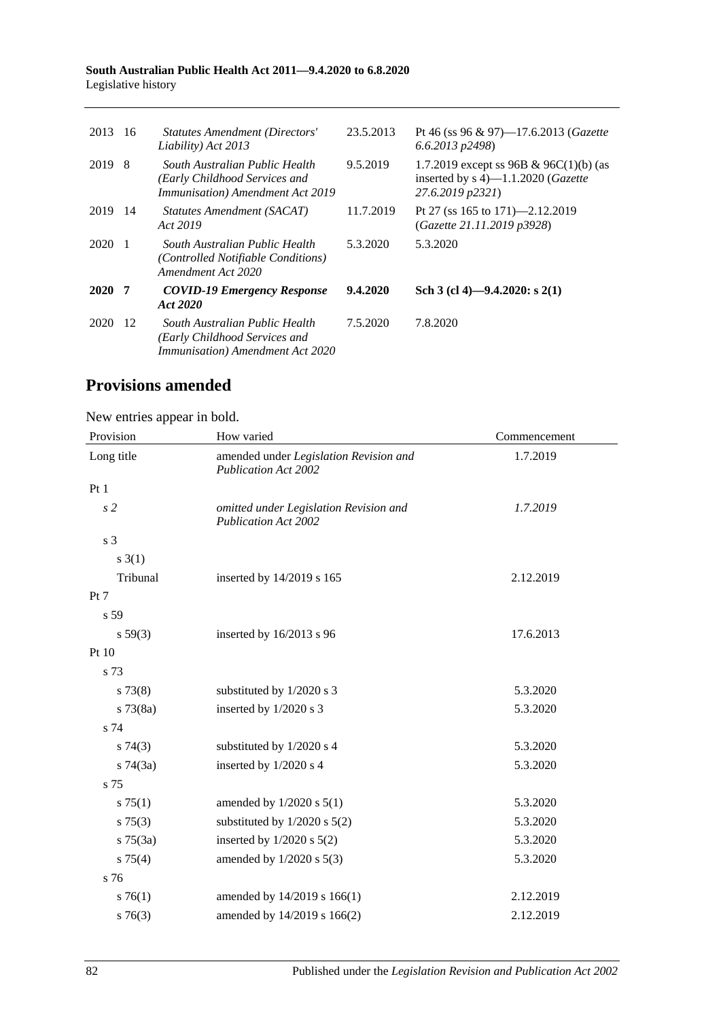#### **South Australian Public Health Act 2011—9.4.2020 to 6.8.2020** Legislative history

| 2013 | -16 | Statutes Amendment (Directors'<br>Liability) Act 2013                                                       | 23.5.2013 | Pt 46 (ss 96 & 97)—17.6.2013 ( <i>Gazette</i><br>$6.6.2013$ $p2498$                                        |
|------|-----|-------------------------------------------------------------------------------------------------------------|-----------|------------------------------------------------------------------------------------------------------------|
| 2019 | - 8 | South Australian Public Health<br>(Early Childhood Services and<br><b>Immunisation</b> ) Amendment Act 2019 | 9.5.2019  | 1.7.2019 except ss 96B & 96C(1)(b) (as<br>inserted by $s$ 4)—1.1.2020 ( <i>Gazette</i><br>27.6.2019 p2321) |
| 2019 | -14 | Statutes Amendment (SACAT)<br>Act 2019                                                                      | 11.7.2019 | Pt 27 (ss $165$ to $171$ )-2.12.2019<br>(Gazette 21.11.2019 p3928)                                         |
| 2020 |     | South Australian Public Health<br>(Controlled Notifiable Conditions)<br>Amendment Act 2020                  | 5.3.2020  | 5.3.2020                                                                                                   |
| 2020 | -7  | <b>COVID-19 Emergency Response</b><br>Act 2020                                                              | 9.4.2020  | Sch 3 (cl 4)-9.4.2020: s 2(1)                                                                              |
| 2020 | 12  | South Australian Public Health<br>(Early Childhood Services and<br><b>Immunisation</b> ) Amendment Act 2020 | 7.5.2020  | 7.8.2020                                                                                                   |

## **Provisions amended**

### New entries appear in bold.

| Provision      | How varied                                                            | Commencement |
|----------------|-----------------------------------------------------------------------|--------------|
| Long title     | amended under Legislation Revision and<br><b>Publication Act 2002</b> | 1.7.2019     |
| Pt1            |                                                                       |              |
| s <sub>2</sub> | omitted under Legislation Revision and<br><b>Publication Act 2002</b> | 1.7.2019     |
| s 3            |                                                                       |              |
| $s \; 3(1)$    |                                                                       |              |
| Tribunal       | inserted by 14/2019 s 165                                             | 2.12.2019    |
| Pt 7           |                                                                       |              |
| s 59           |                                                                       |              |
| s 59(3)        | inserted by 16/2013 s 96                                              | 17.6.2013    |
| Pt 10          |                                                                       |              |
| s 73           |                                                                       |              |
| $s\,73(8)$     | substituted by 1/2020 s 3                                             | 5.3.2020     |
| $s \, 73(8a)$  | inserted by 1/2020 s 3                                                | 5.3.2020     |
| s 74           |                                                                       |              |
| s74(3)         | substituted by 1/2020 s 4                                             | 5.3.2020     |
| $s \, 74(3a)$  | inserted by 1/2020 s 4                                                | 5.3.2020     |
| s 75           |                                                                       |              |
| $s \, 75(1)$   | amended by $1/2020$ s $5(1)$                                          | 5.3.2020     |
| $s \, 75(3)$   | substituted by $1/2020$ s $5(2)$                                      | 5.3.2020     |
| $s \, 75(3a)$  | inserted by $1/2020$ s $5(2)$                                         | 5.3.2020     |
| s 75(4)        | amended by $1/2020$ s $5(3)$                                          | 5.3.2020     |
| s 76           |                                                                       |              |
| $s \, 76(1)$   | amended by 14/2019 s 166(1)                                           | 2.12.2019    |
| $s \, 76(3)$   | amended by 14/2019 s 166(2)                                           | 2.12.2019    |
|                |                                                                       |              |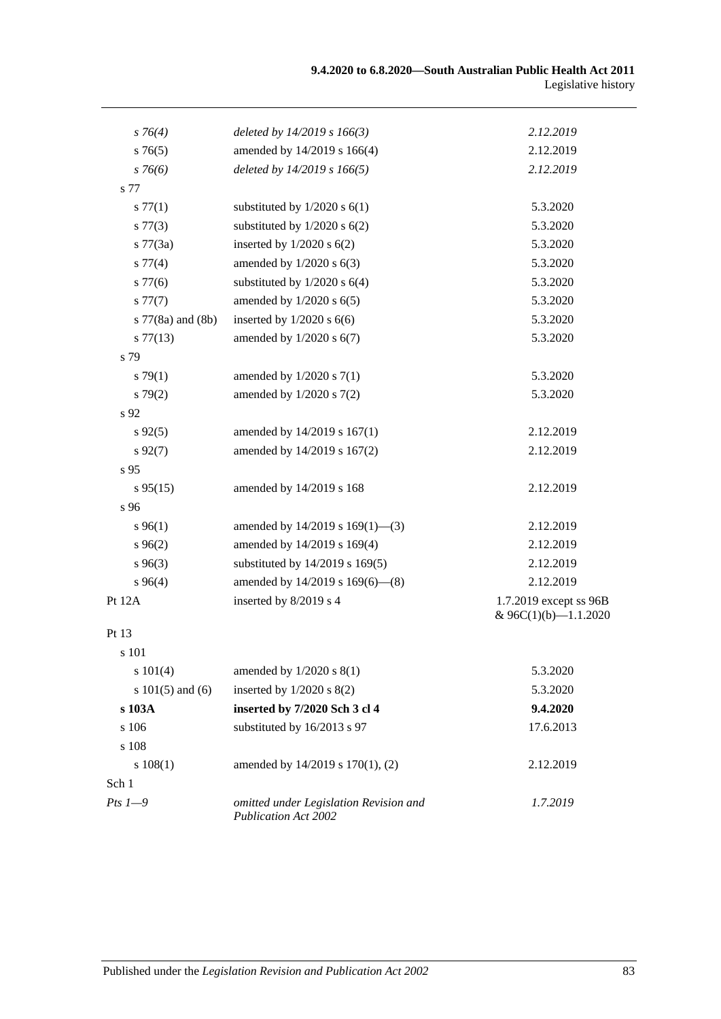| $s \, 76(4)$         | deleted by $14/2019 s 166(3)$                                         | 2.12.2019                                      |
|----------------------|-----------------------------------------------------------------------|------------------------------------------------|
| s76(5)               | amended by 14/2019 s 166(4)                                           | 2.12.2019                                      |
| $s \, 76(6)$         | deleted by 14/2019 s 166(5)                                           | 2.12.2019                                      |
| s 77                 |                                                                       |                                                |
| s 77(1)              | substituted by $1/2020$ s $6(1)$                                      | 5.3.2020                                       |
| $s\,77(3)$           | substituted by $1/2020$ s $6(2)$                                      | 5.3.2020                                       |
| $s \, 77(3a)$        | inserted by $1/2020$ s $6(2)$                                         | 5.3.2020                                       |
| s 77(4)              | amended by $1/2020$ s $6(3)$                                          | 5.3.2020                                       |
| $s\,77(6)$           | substituted by $1/2020$ s $6(4)$                                      | 5.3.2020                                       |
| s 77(7)              | amended by $1/2020$ s $6(5)$                                          | 5.3.2020                                       |
| s 77(8a) and (8b)    | inserted by $1/2020$ s $6(6)$                                         | 5.3.2020                                       |
| $s\,77(13)$          | amended by $1/2020$ s $6(7)$                                          | 5.3.2020                                       |
| s 79                 |                                                                       |                                                |
| s79(1)               | amended by $1/2020$ s $7(1)$                                          | 5.3.2020                                       |
| s79(2)               | amended by $1/2020$ s $7(2)$                                          | 5.3.2020                                       |
| s 92                 |                                                                       |                                                |
| $s\,92(5)$           | amended by 14/2019 s 167(1)                                           | 2.12.2019                                      |
| $s\,92(7)$           | amended by 14/2019 s 167(2)                                           | 2.12.2019                                      |
| s <sub>95</sub>      |                                                                       |                                                |
| $s\,95(15)$          | amended by 14/2019 s 168                                              | 2.12.2019                                      |
| s 96                 |                                                                       |                                                |
| $s\,96(1)$           | amended by $14/2019$ s $169(1)$ —(3)                                  | 2.12.2019                                      |
| $s\,96(2)$           | amended by 14/2019 s 169(4)                                           | 2.12.2019                                      |
| $s\,96(3)$           | substituted by 14/2019 s 169(5)                                       | 2.12.2019                                      |
| $s\,96(4)$           | amended by 14/2019 s 169(6)-(8)                                       | 2.12.2019                                      |
| Pt 12A               | inserted by 8/2019 s 4                                                | 1.7.2019 except ss 96B<br>& 96C(1)(b)-1.1.2020 |
| Pt 13                |                                                                       |                                                |
| s 101                |                                                                       |                                                |
| s 101(4)             | amended by $1/2020$ s $8(1)$                                          | 5.3.2020                                       |
| s $101(5)$ and $(6)$ | inserted by $1/2020$ s $8(2)$                                         | 5.3.2020                                       |
| s 103A               | inserted by 7/2020 Sch 3 cl 4                                         | 9.4.2020                                       |
| s 106                | substituted by 16/2013 s 97                                           | 17.6.2013                                      |
| s 108                |                                                                       |                                                |
| s 108(1)             | amended by 14/2019 s 170(1), (2)                                      | 2.12.2019                                      |
| Sch 1                |                                                                       |                                                |
| $Pts$ $1-9$          | omitted under Legislation Revision and<br><b>Publication Act 2002</b> | 1.7.2019                                       |